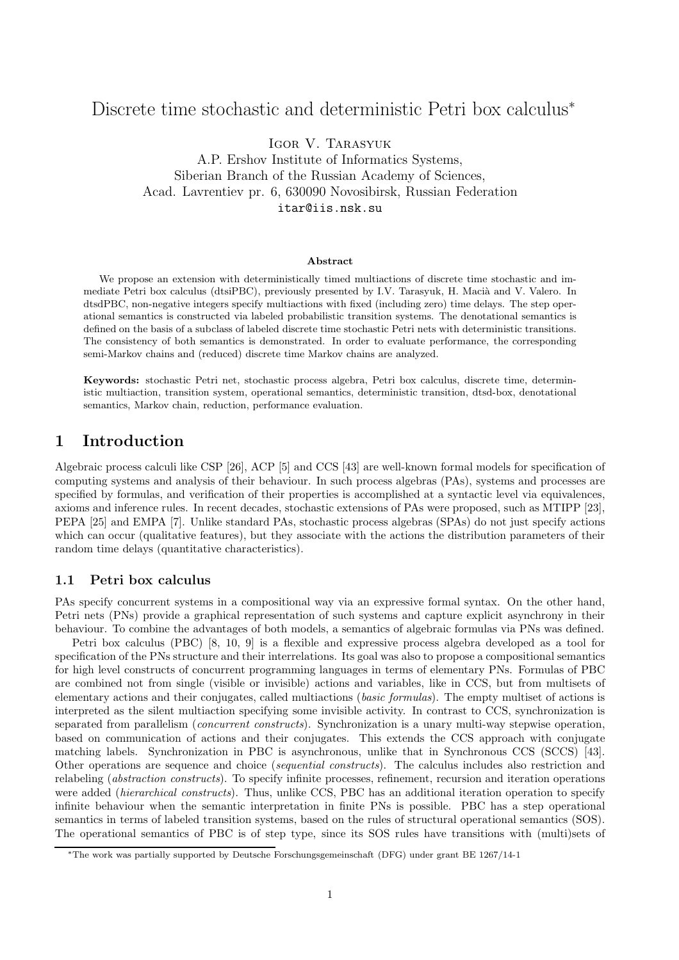# Discrete time stochastic and deterministic Petri box calculus<sup>∗</sup>

Igor V. Tarasyuk

A.P. Ershov Institute of Informatics Systems, Siberian Branch of the Russian Academy of Sciences, Acad. Lavrentiev pr. 6, 630090 Novosibirsk, Russian Federation itar@iis.nsk.su

#### Abstract

We propose an extension with deterministically timed multiactions of discrete time stochastic and immediate Petri box calculus (dtsiPBC), previously presented by I.V. Tarasyuk, H. Macià and V. Valero. In dtsdPBC, non-negative integers specify multiactions with fixed (including zero) time delays. The step operational semantics is constructed via labeled probabilistic transition systems. The denotational semantics is defined on the basis of a subclass of labeled discrete time stochastic Petri nets with deterministic transitions. The consistency of both semantics is demonstrated. In order to evaluate performance, the corresponding semi-Markov chains and (reduced) discrete time Markov chains are analyzed.

Keywords: stochastic Petri net, stochastic process algebra, Petri box calculus, discrete time, deterministic multiaction, transition system, operational semantics, deterministic transition, dtsd-box, denotational semantics, Markov chain, reduction, performance evaluation.

## 1 Introduction

Algebraic process calculi like CSP [26], ACP [5] and CCS [43] are well-known formal models for specification of computing systems and analysis of their behaviour. In such process algebras (PAs), systems and processes are specified by formulas, and verification of their properties is accomplished at a syntactic level via equivalences, axioms and inference rules. In recent decades, stochastic extensions of PAs were proposed, such as MTIPP [23], PEPA [25] and EMPA [7]. Unlike standard PAs, stochastic process algebras (SPAs) do not just specify actions which can occur (qualitative features), but they associate with the actions the distribution parameters of their random time delays (quantitative characteristics).

### 1.1 Petri box calculus

PAs specify concurrent systems in a compositional way via an expressive formal syntax. On the other hand, Petri nets (PNs) provide a graphical representation of such systems and capture explicit asynchrony in their behaviour. To combine the advantages of both models, a semantics of algebraic formulas via PNs was defined.

Petri box calculus (PBC) [8, 10, 9] is a flexible and expressive process algebra developed as a tool for specification of the PNs structure and their interrelations. Its goal was also to propose a compositional semantics for high level constructs of concurrent programming languages in terms of elementary PNs. Formulas of PBC are combined not from single (visible or invisible) actions and variables, like in CCS, but from multisets of elementary actions and their conjugates, called multiactions (basic formulas). The empty multiset of actions is interpreted as the silent multiaction specifying some invisible activity. In contrast to CCS, synchronization is separated from parallelism (concurrent constructs). Synchronization is a unary multi-way stepwise operation, based on communication of actions and their conjugates. This extends the CCS approach with conjugate matching labels. Synchronization in PBC is asynchronous, unlike that in Synchronous CCS (SCCS) [43]. Other operations are sequence and choice (sequential constructs). The calculus includes also restriction and relabeling (abstraction constructs). To specify infinite processes, refinement, recursion and iteration operations were added *(hierarchical constructs)*. Thus, unlike CCS, PBC has an additional iteration operation to specify infinite behaviour when the semantic interpretation in finite PNs is possible. PBC has a step operational semantics in terms of labeled transition systems, based on the rules of structural operational semantics (SOS). The operational semantics of PBC is of step type, since its SOS rules have transitions with (multi)sets of

<sup>∗</sup>The work was partially supported by Deutsche Forschungsgemeinschaft (DFG) under grant BE 1267/14-1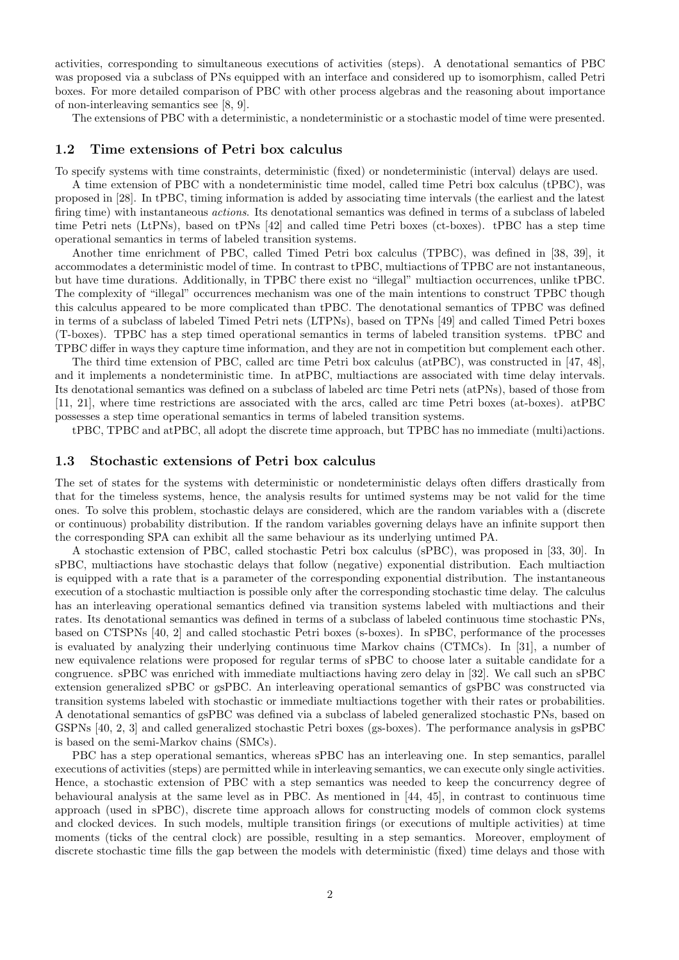activities, corresponding to simultaneous executions of activities (steps). A denotational semantics of PBC was proposed via a subclass of PNs equipped with an interface and considered up to isomorphism, called Petri boxes. For more detailed comparison of PBC with other process algebras and the reasoning about importance of non-interleaving semantics see [8, 9].

The extensions of PBC with a deterministic, a nondeterministic or a stochastic model of time were presented.

#### 1.2 Time extensions of Petri box calculus

To specify systems with time constraints, deterministic (fixed) or nondeterministic (interval) delays are used.

A time extension of PBC with a nondeterministic time model, called time Petri box calculus (tPBC), was proposed in [28]. In tPBC, timing information is added by associating time intervals (the earliest and the latest firing time) with instantaneous actions. Its denotational semantics was defined in terms of a subclass of labeled time Petri nets (LtPNs), based on tPNs [42] and called time Petri boxes (ct-boxes). tPBC has a step time operational semantics in terms of labeled transition systems.

Another time enrichment of PBC, called Timed Petri box calculus (TPBC), was defined in [38, 39], it accommodates a deterministic model of time. In contrast to tPBC, multiactions of TPBC are not instantaneous, but have time durations. Additionally, in TPBC there exist no "illegal" multiaction occurrences, unlike tPBC. The complexity of "illegal" occurrences mechanism was one of the main intentions to construct TPBC though this calculus appeared to be more complicated than tPBC. The denotational semantics of TPBC was defined in terms of a subclass of labeled Timed Petri nets (LTPNs), based on TPNs [49] and called Timed Petri boxes (T-boxes). TPBC has a step timed operational semantics in terms of labeled transition systems. tPBC and TPBC differ in ways they capture time information, and they are not in competition but complement each other.

The third time extension of PBC, called arc time Petri box calculus (atPBC), was constructed in [47, 48], and it implements a nondeterministic time. In atPBC, multiactions are associated with time delay intervals. Its denotational semantics was defined on a subclass of labeled arc time Petri nets (atPNs), based of those from [11, 21], where time restrictions are associated with the arcs, called arc time Petri boxes (at-boxes). atPBC possesses a step time operational semantics in terms of labeled transition systems.

tPBC, TPBC and atPBC, all adopt the discrete time approach, but TPBC has no immediate (multi)actions.

#### 1.3 Stochastic extensions of Petri box calculus

The set of states for the systems with deterministic or nondeterministic delays often differs drastically from that for the timeless systems, hence, the analysis results for untimed systems may be not valid for the time ones. To solve this problem, stochastic delays are considered, which are the random variables with a (discrete or continuous) probability distribution. If the random variables governing delays have an infinite support then the corresponding SPA can exhibit all the same behaviour as its underlying untimed PA.

A stochastic extension of PBC, called stochastic Petri box calculus (sPBC), was proposed in [33, 30]. In sPBC, multiactions have stochastic delays that follow (negative) exponential distribution. Each multiaction is equipped with a rate that is a parameter of the corresponding exponential distribution. The instantaneous execution of a stochastic multiaction is possible only after the corresponding stochastic time delay. The calculus has an interleaving operational semantics defined via transition systems labeled with multiactions and their rates. Its denotational semantics was defined in terms of a subclass of labeled continuous time stochastic PNs, based on CTSPNs [40, 2] and called stochastic Petri boxes (s-boxes). In sPBC, performance of the processes is evaluated by analyzing their underlying continuous time Markov chains (CTMCs). In [31], a number of new equivalence relations were proposed for regular terms of sPBC to choose later a suitable candidate for a congruence. sPBC was enriched with immediate multiactions having zero delay in [32]. We call such an sPBC extension generalized sPBC or gsPBC. An interleaving operational semantics of gsPBC was constructed via transition systems labeled with stochastic or immediate multiactions together with their rates or probabilities. A denotational semantics of gsPBC was defined via a subclass of labeled generalized stochastic PNs, based on GSPNs [40, 2, 3] and called generalized stochastic Petri boxes (gs-boxes). The performance analysis in gsPBC is based on the semi-Markov chains (SMCs).

PBC has a step operational semantics, whereas sPBC has an interleaving one. In step semantics, parallel executions of activities (steps) are permitted while in interleaving semantics, we can execute only single activities. Hence, a stochastic extension of PBC with a step semantics was needed to keep the concurrency degree of behavioural analysis at the same level as in PBC. As mentioned in [44, 45], in contrast to continuous time approach (used in sPBC), discrete time approach allows for constructing models of common clock systems and clocked devices. In such models, multiple transition firings (or executions of multiple activities) at time moments (ticks of the central clock) are possible, resulting in a step semantics. Moreover, employment of discrete stochastic time fills the gap between the models with deterministic (fixed) time delays and those with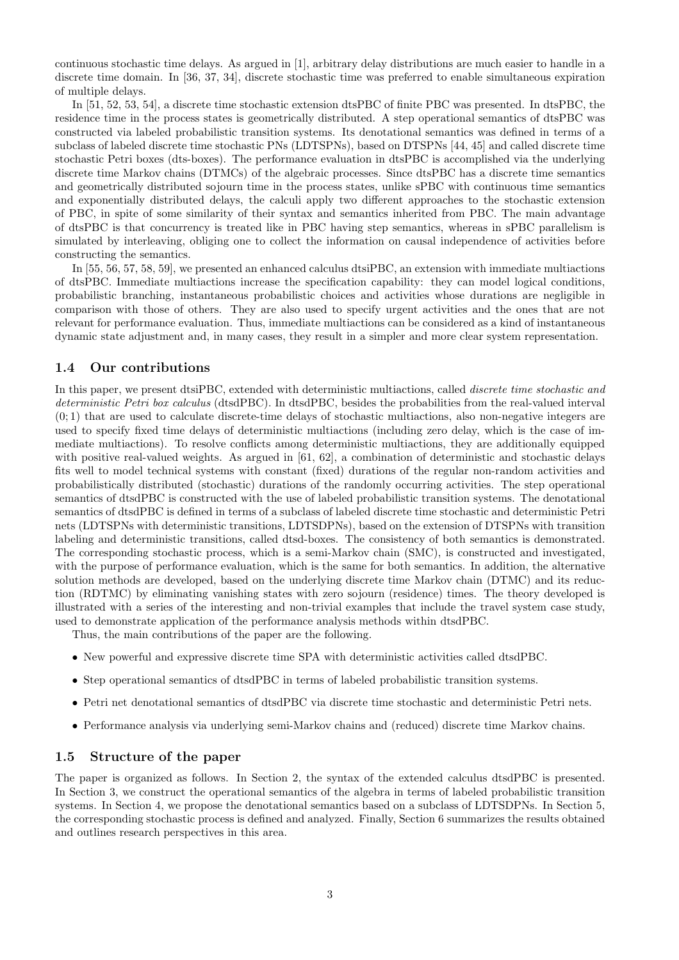continuous stochastic time delays. As argued in [1], arbitrary delay distributions are much easier to handle in a discrete time domain. In [36, 37, 34], discrete stochastic time was preferred to enable simultaneous expiration of multiple delays.

In [51, 52, 53, 54], a discrete time stochastic extension dtsPBC of finite PBC was presented. In dtsPBC, the residence time in the process states is geometrically distributed. A step operational semantics of dtsPBC was constructed via labeled probabilistic transition systems. Its denotational semantics was defined in terms of a subclass of labeled discrete time stochastic PNs (LDTSPNs), based on DTSPNs [44, 45] and called discrete time stochastic Petri boxes (dts-boxes). The performance evaluation in dtsPBC is accomplished via the underlying discrete time Markov chains (DTMCs) of the algebraic processes. Since dtsPBC has a discrete time semantics and geometrically distributed sojourn time in the process states, unlike sPBC with continuous time semantics and exponentially distributed delays, the calculi apply two different approaches to the stochastic extension of PBC, in spite of some similarity of their syntax and semantics inherited from PBC. The main advantage of dtsPBC is that concurrency is treated like in PBC having step semantics, whereas in sPBC parallelism is simulated by interleaving, obliging one to collect the information on causal independence of activities before constructing the semantics.

In [55, 56, 57, 58, 59], we presented an enhanced calculus dtsiPBC, an extension with immediate multiactions of dtsPBC. Immediate multiactions increase the specification capability: they can model logical conditions, probabilistic branching, instantaneous probabilistic choices and activities whose durations are negligible in comparison with those of others. They are also used to specify urgent activities and the ones that are not relevant for performance evaluation. Thus, immediate multiactions can be considered as a kind of instantaneous dynamic state adjustment and, in many cases, they result in a simpler and more clear system representation.

### 1.4 Our contributions

In this paper, we present dtsiPBC, extended with deterministic multiactions, called *discrete time stochastic and* deterministic Petri box calculus (dtsdPBC). In dtsdPBC, besides the probabilities from the real-valued interval  $(0, 1)$  that are used to calculate discrete-time delays of stochastic multiactions, also non-negative integers are used to specify fixed time delays of deterministic multiactions (including zero delay, which is the case of immediate multiactions). To resolve conflicts among deterministic multiactions, they are additionally equipped with positive real-valued weights. As argued in [61, 62], a combination of deterministic and stochastic delays fits well to model technical systems with constant (fixed) durations of the regular non-random activities and probabilistically distributed (stochastic) durations of the randomly occurring activities. The step operational semantics of dtsdPBC is constructed with the use of labeled probabilistic transition systems. The denotational semantics of dtsdPBC is defined in terms of a subclass of labeled discrete time stochastic and deterministic Petri nets (LDTSPNs with deterministic transitions, LDTSDPNs), based on the extension of DTSPNs with transition labeling and deterministic transitions, called dtsd-boxes. The consistency of both semantics is demonstrated. The corresponding stochastic process, which is a semi-Markov chain (SMC), is constructed and investigated, with the purpose of performance evaluation, which is the same for both semantics. In addition, the alternative solution methods are developed, based on the underlying discrete time Markov chain (DTMC) and its reduction (RDTMC) by eliminating vanishing states with zero sojourn (residence) times. The theory developed is illustrated with a series of the interesting and non-trivial examples that include the travel system case study, used to demonstrate application of the performance analysis methods within dtsdPBC.

Thus, the main contributions of the paper are the following.

- New powerful and expressive discrete time SPA with deterministic activities called dtsdPBC.
- Step operational semantics of dtsdPBC in terms of labeled probabilistic transition systems.
- Petri net denotational semantics of dtsdPBC via discrete time stochastic and deterministic Petri nets.
- Performance analysis via underlying semi-Markov chains and (reduced) discrete time Markov chains.

## 1.5 Structure of the paper

The paper is organized as follows. In Section 2, the syntax of the extended calculus dtsdPBC is presented. In Section 3, we construct the operational semantics of the algebra in terms of labeled probabilistic transition systems. In Section 4, we propose the denotational semantics based on a subclass of LDTSDPNs. In Section 5, the corresponding stochastic process is defined and analyzed. Finally, Section 6 summarizes the results obtained and outlines research perspectives in this area.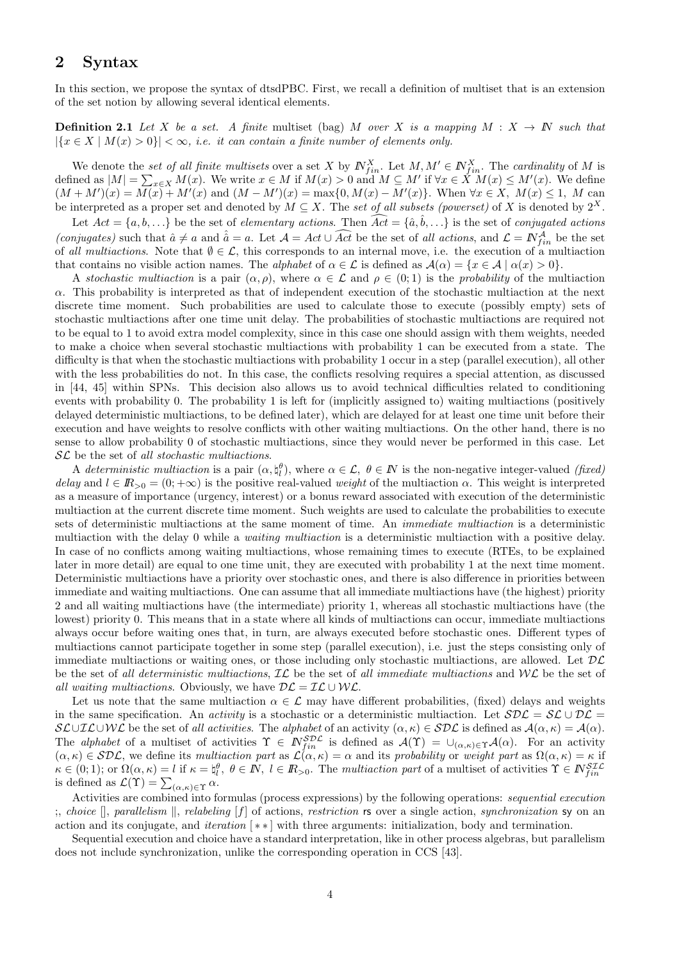# 2 Syntax

In this section, we propose the syntax of dtsdPBC. First, we recall a definition of multiset that is an extension of the set notion by allowing several identical elements.

**Definition 2.1** Let X be a set. A finite multiset (bag) M over X is a mapping  $M : X \to \mathbb{N}$  such that  $|\{x \in X \mid M(x) > 0\}| < \infty$ , i.e. it can contain a finite number of elements only.

We denote the set of all finite multisets over a set X by  $N_{fin}^X$ . Let  $M, M' \in N_{fin}^X$ . The cardinality of M is defined as  $|M| = \sum_{x \in X} M(x)$ . We write  $x \in M$  if  $M(x) > 0$  and  $M \subseteq M'$  if  $\forall x \in X \cong M(x) \le M'(x)$ . We define  $(M + M')(x) = M(x) + M'(x)$  and  $(M - M')(x) = \max\{0, M(x) - M'(x)\}\$ . When  $\forall x \in X$ ,  $M(x) \le 1$ , M can be interpreted as a proper set and denoted by  $M \subseteq X$ . The set of all subsets (powerset) of X is denoted by  $2^X$ .

Let  $Act = \{a, b, \ldots\}$  be the set of *elementary actions*. Then  $\widehat{Act} = \{\hat{a}, \hat{b}, \ldots\}$  is the set of *conjugated actions* (conjugates) such that  $\hat{a} \neq a$  and  $\hat{a} = a$ . Let  $\mathcal{A} = Act \cup \widehat{Act}$  be the set of all actions, and  $\mathcal{L} = \mathbb{N}_{fin}^{\mathcal{A}}$  be the set of all multiactions. Note that  $\emptyset \in \mathcal{L}$ , this corresponds to an internal move, i.e. the execution of a multiaction that contains no visible action names. The alphabet of  $\alpha \in \mathcal{L}$  is defined as  $\mathcal{A}(\alpha) = \{x \in \mathcal{A} \mid \alpha(x) > 0\}$ .

A stochastic multiaction is a pair  $(\alpha, \rho)$ , where  $\alpha \in \mathcal{L}$  and  $\rho \in (0, 1)$  is the probability of the multiaction α. This probability is interpreted as that of independent execution of the stochastic multiaction at the next discrete time moment. Such probabilities are used to calculate those to execute (possibly empty) sets of stochastic multiactions after one time unit delay. The probabilities of stochastic multiactions are required not to be equal to 1 to avoid extra model complexity, since in this case one should assign with them weights, needed to make a choice when several stochastic multiactions with probability 1 can be executed from a state. The difficulty is that when the stochastic multiactions with probability 1 occur in a step (parallel execution), all other with the less probabilities do not. In this case, the conflicts resolving requires a special attention, as discussed in [44, 45] within SPNs. This decision also allows us to avoid technical difficulties related to conditioning events with probability 0. The probability 1 is left for (implicitly assigned to) waiting multiactions (positively delayed deterministic multiactions, to be defined later), which are delayed for at least one time unit before their execution and have weights to resolve conflicts with other waiting multiactions. On the other hand, there is no sense to allow probability 0 of stochastic multiactions, since they would never be performed in this case. Let SL be the set of all stochastic multiactions.

A deterministic multiaction is a pair  $(\alpha, \xi_l)$ , where  $\alpha \in \mathcal{L}$ ,  $\theta \in \mathbb{N}$  is the non-negative integer-valued (fixed) delay and  $l \in \mathbb{R}_{\geq 0} = (0, +\infty)$  is the positive real-valued weight of the multiaction  $\alpha$ . This weight is interpreted as a measure of importance (urgency, interest) or a bonus reward associated with execution of the deterministic multiaction at the current discrete time moment. Such weights are used to calculate the probabilities to execute sets of deterministic multiactions at the same moment of time. An immediate multiaction is a deterministic multiaction with the delay 0 while a waiting multiaction is a deterministic multiaction with a positive delay. In case of no conflicts among waiting multiactions, whose remaining times to execute (RTEs, to be explained later in more detail) are equal to one time unit, they are executed with probability 1 at the next time moment. Deterministic multiactions have a priority over stochastic ones, and there is also difference in priorities between immediate and waiting multiactions. One can assume that all immediate multiactions have (the highest) priority 2 and all waiting multiactions have (the intermediate) priority 1, whereas all stochastic multiactions have (the lowest) priority 0. This means that in a state where all kinds of multiactions can occur, immediate multiactions always occur before waiting ones that, in turn, are always executed before stochastic ones. Different types of multiactions cannot participate together in some step (parallel execution), i.e. just the steps consisting only of immediate multiactions or waiting ones, or those including only stochastic multiactions, are allowed. Let  $\mathcal{DL}$ be the set of all deterministic multiactions,  $\mathcal{IL}$  be the set of all immediate multiactions and  $\mathcal{WL}$  be the set of all waiting multiactions. Obviously, we have  $\mathcal{DL} = \mathcal{IL} \cup \mathcal{WL}$ .

Let us note that the same multiaction  $\alpha \in \mathcal{L}$  may have different probabilities, (fixed) delays and weights in the same specification. An activity is a stochastic or a deterministic multiaction. Let  $SDE = \mathcal{SL} \cup \mathcal{DL} =$ SL∪IL∪WL be the set of all activities. The alphabet of an activity  $(\alpha, \kappa) \in SDE$  is defined as  $\mathcal{A}(\alpha, \kappa) = \mathcal{A}(\alpha)$ . The alphabet of a multiset of activities  $\Upsilon \in N_{fin}^{SDL}$  is defined as  $\mathcal{A}(\Upsilon) = \bigcup_{(\alpha,\kappa)\in\Upsilon}\mathcal{A}(\alpha)$ . For an activity  $(\alpha, \kappa) \in SDE$ , we define its multiaction part as  $\mathcal{L}(\alpha, \kappa) = \alpha$  and its probability or weight part as  $\Omega(\alpha, \kappa) = \kappa$  if  $\kappa \in (0,1)$ ; or  $\Omega(\alpha,\kappa) = l$  if  $\kappa = \natural_l^{\theta}, \ \theta \in \mathbb{N}, \ l \in \mathbb{R}_{>0}$ . The multiaction part of a multiset of activities  $\Upsilon \in \mathbb{N}_{fin}^{ST\mathcal{L}}$ is defined as  $\mathcal{L}(\Upsilon) = \sum_{(\alpha,\kappa) \in \Upsilon} \alpha$ .

Activities are combined into formulas (process expressions) by the following operations: sequential execution ;, choice  $\parallel$ , parallelism  $\parallel$ , relabeling [f] of actions, restriction rs over a single action, synchronization sy on an action and its conjugate, and *iteration* [\*\*] with three arguments: initialization, body and termination.

Sequential execution and choice have a standard interpretation, like in other process algebras, but parallelism does not include synchronization, unlike the corresponding operation in CCS [43].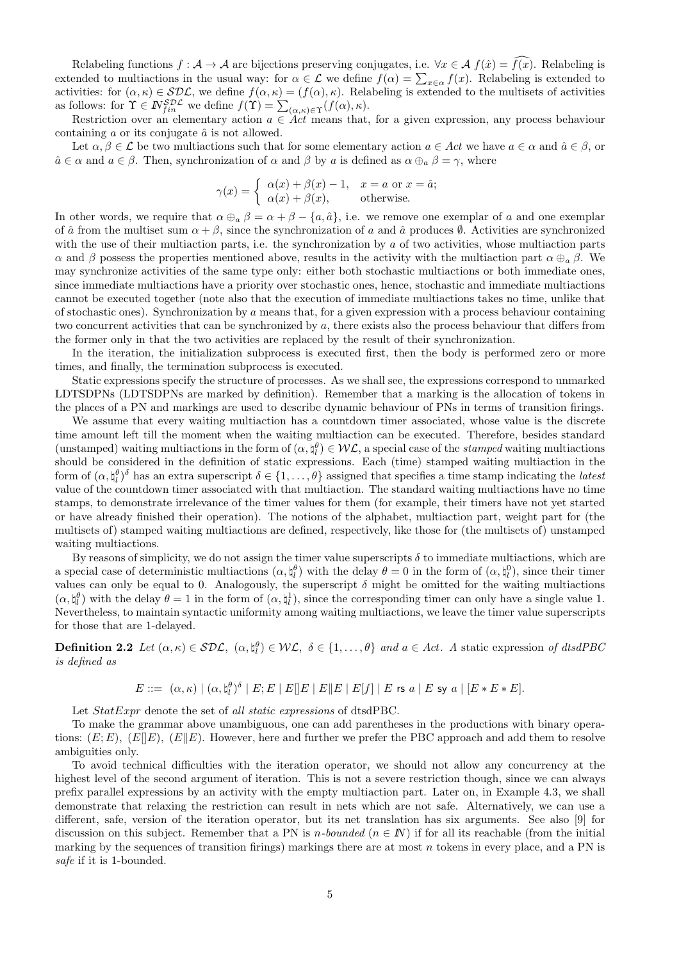Relabeling functions  $f : \mathcal{A} \to \mathcal{A}$  are bijections preserving conjugates, i.e.  $\forall x \in \mathcal{A}$   $f(\hat{x}) = \widehat{f(x)}$ . Relabeling is extended to multiactions in the usual way: for  $\alpha \in \mathcal{L}$  we define  $f(\alpha) = \sum_{x \in \alpha} f(x)$ . Relabeling is extended to activities: for  $(\alpha, \kappa) \in SDE$ , we define  $f(\alpha, \kappa) = (f(\alpha), \kappa)$ . Relabeling is extended to the multisets of activities as follows: for  $\Upsilon \in \mathbb{N}^{\text{SDL}}_{fin}$  we define  $f(\Upsilon) = \sum_{(\alpha,\kappa) \in \Upsilon} (f(\alpha), \kappa)$ .

Restriction over an elementary action  $a \in Act$  means that, for a given expression, any process behaviour containing  $a$  or its conjugate  $\hat{a}$  is not allowed.

Let  $\alpha, \beta \in \mathcal{L}$  be two multiactions such that for some elementary action  $a \in \mathcal{A}$  at we have  $a \in \alpha$  and  $\hat{a} \in \beta$ , or  $\hat{a} \in \alpha$  and  $a \in \beta$ . Then, synchronization of  $\alpha$  and  $\beta$  by  $a$  is defined as  $\alpha \oplus_{a} \beta = \gamma$ , where

$$
\gamma(x) = \begin{cases} \alpha(x) + \beta(x) - 1, & x = a \text{ or } x = \hat{a}; \\ \alpha(x) + \beta(x), & \text{otherwise.} \end{cases}
$$

In other words, we require that  $\alpha \oplus_{a} \beta = \alpha + \beta - \{a, \hat{a}\}\)$ , i.e. we remove one exemplar of a and one exemplar of  $\hat{a}$  from the multiset sum  $\alpha + \beta$ , since the synchronization of a and  $\hat{a}$  produces  $\emptyset$ . Activities are synchronized with the use of their multiaction parts, i.e. the synchronization by  $a$  of two activities, whose multiaction parts α and β possess the properties mentioned above, results in the activity with the multiaction part  $\alpha \oplus_{\alpha} \beta$ . We may synchronize activities of the same type only: either both stochastic multiactions or both immediate ones, since immediate multiactions have a priority over stochastic ones, hence, stochastic and immediate multiactions cannot be executed together (note also that the execution of immediate multiactions takes no time, unlike that of stochastic ones). Synchronization by a means that, for a given expression with a process behaviour containing two concurrent activities that can be synchronized by a, there exists also the process behaviour that differs from the former only in that the two activities are replaced by the result of their synchronization.

In the iteration, the initialization subprocess is executed first, then the body is performed zero or more times, and finally, the termination subprocess is executed.

Static expressions specify the structure of processes. As we shall see, the expressions correspond to unmarked LDTSDPNs (LDTSDPNs are marked by definition). Remember that a marking is the allocation of tokens in the places of a PN and markings are used to describe dynamic behaviour of PNs in terms of transition firings.

We assume that every waiting multiaction has a countdown timer associated, whose value is the discrete time amount left till the moment when the waiting multiaction can be executed. Therefore, besides standard (unstamped) waiting multiactions in the form of  $(\alpha, \xi_l^{\theta}) \in \mathcal{WL}$ , a special case of the *stamped* waiting multiactions should be considered in the definition of static expressions. Each (time) stamped waiting multiaction in the form of  $(\alpha, \sharp_l^{\theta})^{\delta}$  has an extra superscript  $\delta \in \{1, \ldots, \theta\}$  assigned that specifies a time stamp indicating the *latest* value of the countdown timer associated with that multiaction. The standard waiting multiactions have no time stamps, to demonstrate irrelevance of the timer values for them (for example, their timers have not yet started or have already finished their operation). The notions of the alphabet, multiaction part, weight part for (the multisets of) stamped waiting multiactions are defined, respectively, like those for (the multisets of) unstamped waiting multiactions.

By reasons of simplicity, we do not assign the timer value superscripts  $\delta$  to immediate multiactions, which are a special case of deterministic multiactions  $(\alpha, \xi_l^{\theta})$  with the delay  $\theta = 0$  in the form of  $(\alpha, \xi_l^0)$ , since their timer values can only be equal to 0. Analogously, the superscript  $\delta$  might be omitted for the waiting multiactions  $(\alpha, \xi_l^{\theta})$  with the delay  $\theta = 1$  in the form of  $(\alpha, \xi_l)$ , since the corresponding timer can only have a single value 1. Nevertheless, to maintain syntactic uniformity among waiting multiactions, we leave the timer value superscripts for those that are 1-delayed.

**Definition 2.2** Let  $(\alpha, \kappa) \in \mathcal{SDL}$ ,  $(\alpha, \natural_l^{\theta}) \in \mathcal{WL}$ ,  $\delta \in \{1, ..., \theta\}$  and  $a \in Act$ . A static expression of dtsdPBC is defined as

$$
E ::= (\alpha, \kappa) | (\alpha, \natural_l^{\theta})^{\delta} | E; E | E | E | E | E | E | E | f | | E \text{ is a } | E \text{ s y a} | [E * E * E].
$$

Let  $Statexpr$  denote the set of all static expressions of dtsdPBC.

To make the grammar above unambiguous, one can add parentheses in the productions with binary operations:  $(E; E)$ ,  $(E||E)$ ,  $(E||E)$ . However, here and further we prefer the PBC approach and add them to resolve ambiguities only.

To avoid technical difficulties with the iteration operator, we should not allow any concurrency at the highest level of the second argument of iteration. This is not a severe restriction though, since we can always prefix parallel expressions by an activity with the empty multiaction part. Later on, in Example 4.3, we shall demonstrate that relaxing the restriction can result in nets which are not safe. Alternatively, we can use a different, safe, version of the iteration operator, but its net translation has six arguments. See also [9] for discussion on this subject. Remember that a PN is n-bounded ( $n \in \mathbb{N}$ ) if for all its reachable (from the initial marking by the sequences of transition firings) markings there are at most  $n$  tokens in every place, and a PN is safe if it is 1-bounded.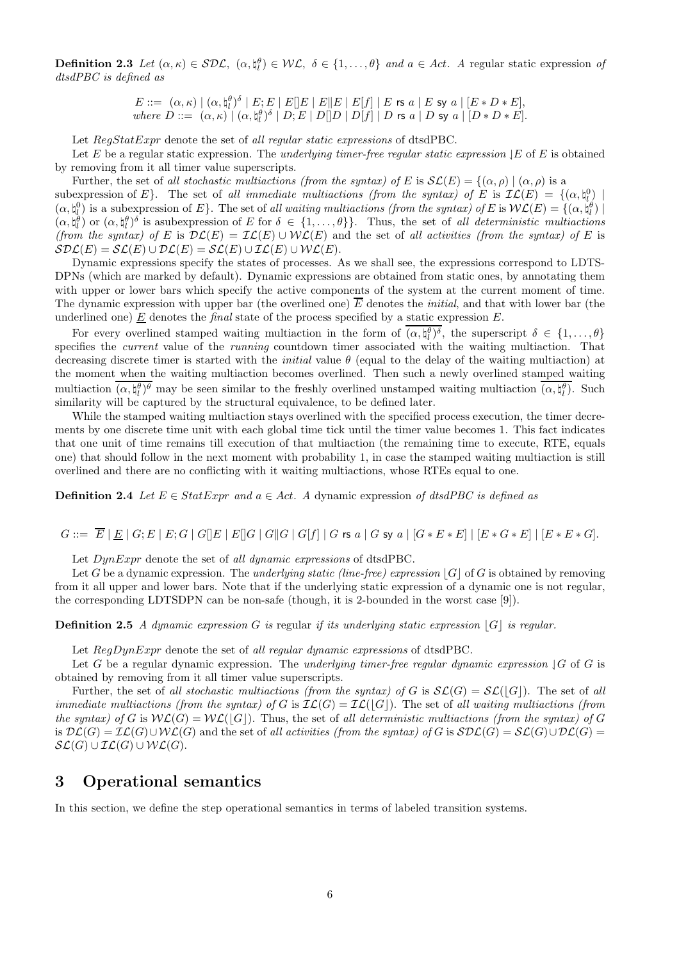**Definition 2.3** Let  $(\alpha, \kappa) \in \mathcal{SDL}$ ,  $(\alpha, \xi)$   $\in \mathcal{WL}$ ,  $\delta \in \{1, ..., \theta\}$  and  $a \in Act$ . A regular static expression of dtsdPBC is defined as

> $E::= \ (\alpha,\kappa) \mid (\alpha,\natural^{\theta}_{l})^{\delta} \mid E; E \mid E[\mid E \mid E \mid E[ f ] \mid E$  rs  $a \mid E$  sy  $a \mid [E*D*E],$ where  $D ::= (\alpha, \kappa) | (\alpha, \natural_l^{\theta})^{\delta} | D; E | D[ D | D[ f] | D$  rs  $a | D$  sy  $a | [D * D * E].$

Let RegStatExpr denote the set of all regular static expressions of dtsdPBC.

Let E be a regular static expression. The underlying timer-free regular static expression  $\downarrow$ E of E is obtained by removing from it all timer value superscripts.

Further, the set of all stochastic multiactions (from the syntax) of E is  $\mathcal{SL}(E) = \{(\alpha, \rho) | (\alpha, \rho) \text{ is a } \}$ subexpression of E}. The set of all immediate multiactions (from the syntax) of E is  $\mathcal{IL}(E) = \{(\alpha, \natural^0_{\ell}) \mid \ell \in E\}$  $(\alpha, \natural^0_\ell)$  is a subexpression of E. The set of all waiting multiactions (from the syntax) of E is  $W\mathcal{L}(E) = \{(\alpha, \natural^{\theta}_\ell) \mid$  $(\alpha, \natural_l^{\theta})$  or  $(\alpha, \natural_l^{\theta})^{\delta}$  is asubexpression of E for  $\delta \in \{1, \ldots, \theta\}$ . Thus, the set of all deterministic multiactions (from the syntax) of E is  $\mathcal{DL}(E) = \mathcal{IL}(E) \cup \mathcal{WL}(E)$  and the set of all activities (from the syntax) of E is  $SDE(E) = \mathcal{SL}(E) \cup \mathcal{DL}(E) = \mathcal{SL}(E) \cup \mathcal{IL}(E) \cup \mathcal{WL}(E).$ 

Dynamic expressions specify the states of processes. As we shall see, the expressions correspond to LDTS-DPNs (which are marked by default). Dynamic expressions are obtained from static ones, by annotating them with upper or lower bars which specify the active components of the system at the current moment of time. The dynamic expression with upper bar (the overlined one)  $\overline{E}$  denotes the *initial*, and that with lower bar (the underlined one)  $\underline{E}$  denotes the *final* state of the process specified by a static expression  $E$ .

For every overlined stamped waiting multiaction in the form of  $(\alpha, \xi_l^{\theta})^{\delta}$ , the superscript  $\delta \in \{1, ..., \theta\}$ specifies the *current* value of the *running* countdown timer associated with the waiting multiaction. That decreasing discrete timer is started with the *initial* value  $\theta$  (equal to the delay of the waiting multiaction) at the moment when the waiting multiaction becomes overlined. Then such a newly overlined stamped waiting multiaction  $(\alpha, \xi_l^{\theta})^{\theta}$  may be seen similar to the freshly overlined unstamped waiting multiaction  $(\alpha, \xi_l^{\theta})$ . Such similarity will be captured by the structural equivalence, to be defined later.

While the stamped waiting multiaction stays overlined with the specified process execution, the timer decrements by one discrete time unit with each global time tick until the timer value becomes 1. This fact indicates that one unit of time remains till execution of that multiaction (the remaining time to execute, RTE, equals one) that should follow in the next moment with probability 1, in case the stamped waiting multiaction is still overlined and there are no conflicting with it waiting multiactions, whose RTEs equal to one.

**Definition 2.4** Let  $E \in StatExpr$  and  $a \in Act$ . A dynamic expression of dtsdPBC is defined as

 $G ::= \overline{E} | E | G; E | E; G | G || E | E || G | G || G | G | f | G$  rs  $a | G$  sy  $a | [G * E * E] | [E * G * E] | [E * E * G].$ 

Let  $DynExpr$  denote the set of all dynamic expressions of dtsdPBC.

Let G be a dynamic expression. The underlying static (line-free) expression  $|G|$  of G is obtained by removing from it all upper and lower bars. Note that if the underlying static expression of a dynamic one is not regular, the corresponding LDTSDPN can be non-safe (though, it is 2-bounded in the worst case [9]).

**Definition 2.5** A dynamic expression G is regular if its underlying static expression  $|G|$  is regular.

Let  $RegDynExpr$  denote the set of all regular dynamic expressions of dtsdPBC.

Let G be a regular dynamic expression. The underlying timer-free regular dynamic expression  $\downarrow$ G of G is obtained by removing from it all timer value superscripts.

Further, the set of all stochastic multiactions (from the syntax) of G is  $\mathcal{SL}(G) = \mathcal{SL}(|G|)$ . The set of all immediate multiactions (from the syntax) of G is  $\mathcal{IL}(G) = \mathcal{IL}(|G|)$ . The set of all waiting multiactions (from the syntax) of G is  $W\mathcal{L}(G) = \mathcal{W}\mathcal{L}(|G|)$ . Thus, the set of all deterministic multiactions (from the syntax) of G is  $\mathcal{DL}(G) = \mathcal{IL}(G) \cup \mathcal{WL}(G)$  and the set of all activities (from the syntax) of G is  $\mathcal{SDL}(G) = \mathcal{SL}(G) \cup \mathcal{DL}(G)$  $\mathcal{SL}(G) \cup \mathcal{IL}(G) \cup \mathcal{WL}(G)$ .

## 3 Operational semantics

In this section, we define the step operational semantics in terms of labeled transition systems.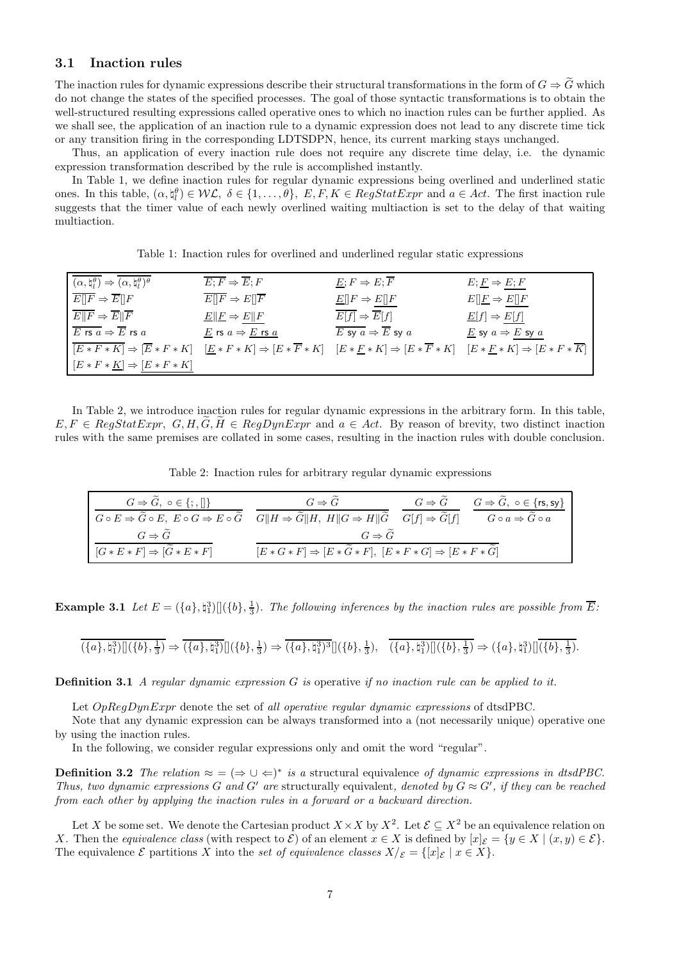## 3.1 Inaction rules

The inaction rules for dynamic expressions describe their structural transformations in the form of  $G \Rightarrow \tilde{G}$  which do not change the states of the specified processes. The goal of those syntactic transformations is to obtain the well-structured resulting expressions called operative ones to which no inaction rules can be further applied. As we shall see, the application of an inaction rule to a dynamic expression does not lead to any discrete time tick or any transition firing in the corresponding LDTSDPN, hence, its current marking stays unchanged.

Thus, an application of every inaction rule does not require any discrete time delay, i.e. the dynamic expression transformation described by the rule is accomplished instantly.

In Table 1, we define inaction rules for regular dynamic expressions being overlined and underlined static ones. In this table,  $(\alpha, \xi_l^{\theta}) \in \mathcal{WL}, \ \delta \in \{1, \ldots, \theta\}, \ E, F, K \in RegStatExpr \text{ and } a \in Act.$  The first inaction rule suggests that the timer value of each newly overlined waiting multiaction is set to the delay of that waiting multiaction.

Table 1: Inaction rules for overlined and underlined regular static expressions

| $(\alpha, \natural_l^{\theta}) \Rightarrow (\alpha, \natural_l^{\theta})^{\theta}$ | $\overline{E;F} \Rightarrow \overline{E};F$                         | $E; F \Rightarrow E; \overline{F}$                                                                                            | $E; E \Rightarrow E; F$                          |
|------------------------------------------------------------------------------------|---------------------------------------------------------------------|-------------------------------------------------------------------------------------------------------------------------------|--------------------------------------------------|
| $E  F \Rightarrow E  F$                                                            | $E  F \Rightarrow E  \overline{F}$                                  | $E[ F \Rightarrow E[ F$                                                                                                       | $E[\underline{F} \Rightarrow E[]F$               |
| $E  F \Rightarrow E  F$                                                            | $E  F \Rightarrow E  F$                                             | $\overline{E[f]} \Rightarrow \overline{E}[f]$                                                                                 | $\underline{E}[f] \Rightarrow E[f]$              |
| $\overline{E}$ rs $a \Rightarrow \overline{E}$ rs $a$                              | $\underline{E}$ rs $a \Rightarrow \underline{E}$ rs $\underline{a}$ | E sy $a \Rightarrow \overline{E}$ sy $a$                                                                                      | E sy $a \Rightarrow E$ sy $a$                    |
| $[E * F * K] \Rightarrow [\overline{E} * F * K]$                                   |                                                                     | $[\underline{E} * F * K] \Rightarrow [E * \overline{F} * K] \quad [E * \underline{F} * K] \Rightarrow [E * \overline{F} * K]$ | $[E * F * K] \Rightarrow [E * F * \overline{K}]$ |
| $[E * F * K] \Rightarrow [E * F * K]$                                              |                                                                     |                                                                                                                               |                                                  |

In Table 2, we introduce inaction rules for regular dynamic expressions in the arbitrary form. In this table,  $E, F \in \text{RegStatexpr}, G, H, G, H \in \text{RegDynError}$  and  $a \in \text{Act.}$  By reason of brevity, two distinct inaction rules with the same premises are collated in some cases, resulting in the inaction rules with double conclusion.

Table 2: Inaction rules for arbitrary regular dynamic expressions

| $G \Rightarrow \tilde{G}, o \in \{ ; ,    \}$                                                                                                                                                                                                                                                                            | $G \Rightarrow G$                                                             | $G \Rightarrow G$ | $G \Rightarrow \widetilde{G}$ , $\circ \in \{\text{rs}, \text{sy}\}\$ |  |
|--------------------------------------------------------------------------------------------------------------------------------------------------------------------------------------------------------------------------------------------------------------------------------------------------------------------------|-------------------------------------------------------------------------------|-------------------|-----------------------------------------------------------------------|--|
| $\overline{G \circ E} \Rightarrow \widetilde{G} \circ E, E \circ G \Rightarrow E \circ \overline{\widetilde{G}} \quad \overline{G \parallel H} \Rightarrow \widetilde{G} \parallel H, H \parallel G \Rightarrow H \parallel \widetilde{G} \quad G \parallel f \parallel \Rightarrow \widetilde{G} \parallel f \parallel$ |                                                                               |                   | $G \circ a \Rightarrow \tilde{G} \circ a$                             |  |
| $G \Rightarrow G$                                                                                                                                                                                                                                                                                                        | $G \Rightarrow G$                                                             |                   |                                                                       |  |
| $[G * E * F] \Rightarrow [\widetilde{G} * E * F]$                                                                                                                                                                                                                                                                        | $E * G * F$ $\Rightarrow$ $E * G * F$ , $E * F * G$ $\Rightarrow$ $E * F * G$ |                   |                                                                       |  |

**Example 3.1** Let  $E = (\{a\}, \mathfrak{h}_1^3) \[(\{b\}, \frac{1}{3})$ . The following inferences by the inaction rules are possible from  $\overline{E}$ :

$$
\overline{(\{a\},\natural_1^3)\|}(\{b\},\tfrac{1}{3})\Rightarrow\overline{(\{a\},\natural_1^3)\|}(\{b\},\tfrac{1}{3})\Rightarrow\overline{(\{a\},\natural_1^3)^3}\|(\{b\},\tfrac{1}{3}),\quad \overline{(\{a\},\natural_1^3)\|}(\{b\},\tfrac{1}{3})\Rightarrow (\{a\},\natural_1^3)\| \overline{(\{b\},\tfrac{1}{3})}.
$$

**Definition 3.1** A regular dynamic expression  $G$  is operative if no inaction rule can be applied to it.

Let  $OpRegDynExpr$  denote the set of all operative regular dynamic expressions of dtsdPBC.

Note that any dynamic expression can be always transformed into a (not necessarily unique) operative one by using the inaction rules.

In the following, we consider regular expressions only and omit the word "regular".

**Definition 3.2** The relation  $\approx$  =  $(\Rightarrow \cup \Leftarrow)^*$  is a structural equivalence of dynamic expressions in dtsdPBC. Thus, two dynamic expressions G and G' are structurally equivalent, denoted by  $G \approx G'$ , if they can be reached from each other by applying the inaction rules in a forward or a backward direction.

Let X be some set. We denote the Cartesian product  $X \times X$  by  $X^2$ . Let  $\mathcal{E} \subseteq X^2$  be an equivalence relation on X. Then the equivalence class (with respect to  $\mathcal{E}$ ) of an element  $x \in X$  is defined by  $[x]_{\mathcal{E}} = \{y \in X \mid (x, y) \in \mathcal{E}\}.$ The equivalence  $\mathcal E$  partitions X into the set of equivalence classes  $X/\mathcal E = \{[x]_{\mathcal E} \mid x \in X\}.$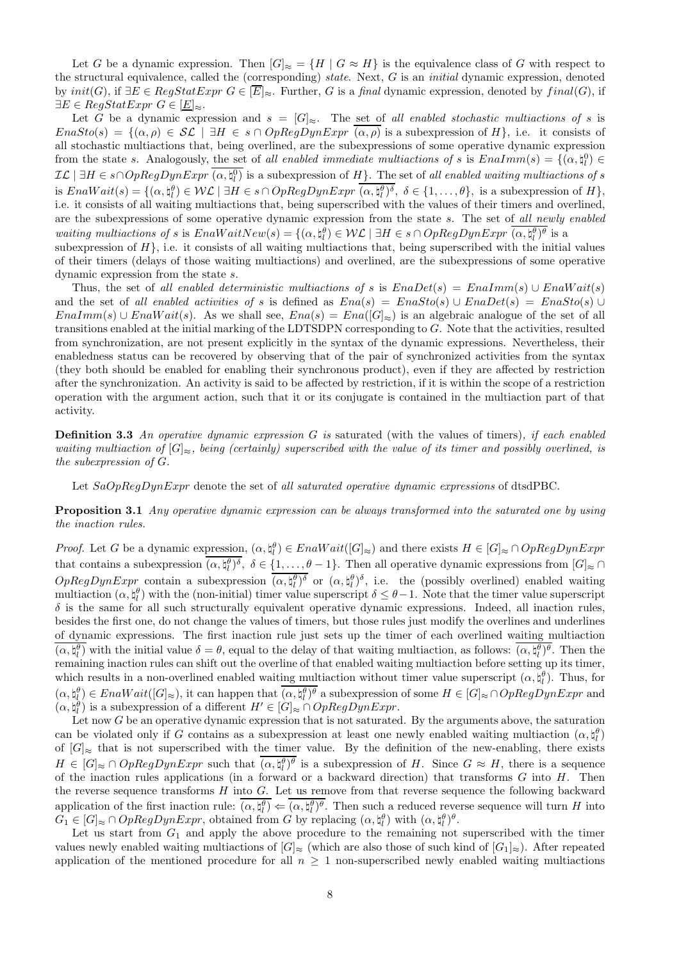Let G be a dynamic expression. Then  $[G]_{\approx} = \{H \mid G \approx H\}$  is the equivalence class of G with respect to the structural equivalence, called the (corresponding) state. Next, G is an initial dynamic expression, denoted by  $init(G)$ , if  $\exists E \in RegStatexpr \ G \in \boxed{E} \approx$ . Further, G is a final dynamic expression, denoted by  $final(G)$ , if  $\exists E \in \text{RegStatExpr } G \in [\underline{E}]_{\approx}.$ 

Let G be a dynamic expression and  $s = [G]_{\approx}$ . The set of all enabled stochastic multiactions of s is  $EnaSto(s) = \{(\alpha, \rho) \in \mathcal{SL} \mid \exists H \in s \cap OpRegDynExpr(\overline{\alpha, \rho}) \text{ is a subexpression of } H\}$ , i.e. it consists of all stochastic multiactions that, being overlined, are the subexpressions of some operative dynamic expression from the state s. Analogously, the set of all enabled immediate multiactions of s is  $EnaImm(s) = \{(\alpha, \beta_i^0) \in$  $\mathcal{IL} \mid \exists H \in s \cap OpRegDynExpr \ (\alpha, \natural^0_l)$  is a subexpression of  $H$ . The set of all enabled waiting multiactions of s is  $EnaWait(s) = \{(\alpha, \xi_i^{\theta}) \in \mathcal{WL} \mid \exists H \in s \cap OpRegDynExpr \ (\alpha, \xi_i^{\theta})^{\delta}, \ \delta \in \{1, \ldots, \theta\}, \text{ is a subexpression of } H\},\$ i.e. it consists of all waiting multiactions that, being superscribed with the values of their timers and overlined, are the subexpressions of some operative dynamic expression from the state s. The set of all newly enabled waiting multiactions of s is  $EnaWaitNew(s) = \{(\alpha, \natural_l^{\theta}) \in \mathcal{WL} \mid \exists H \in s \cap OpRegDynExpr (\alpha, \natural_l^{\theta})^{\theta} \text{ is a } \}$ subexpression of  $H$ , i.e. it consists of all waiting multiactions that, being superscribed with the initial values

of their timers (delays of those waiting multiactions) and overlined, are the subexpressions of some operative dynamic expression from the state s.

Thus, the set of all enabled deterministic multiactions of s is  $EnaDet(s) = EnaImm(s) \cup EnaWait(s)$ and the set of all enabled activities of s is defined as  $Ena(s) = EnaSto(s) \cup EnaDet(s) = EnaSto(s) \cup$  $Enalmm(s) \cup EnaWait(s)$ . As we shall see,  $Ena(s) = Ena([G]_{\approx})$  is an algebraic analogue of the set of all transitions enabled at the initial marking of the LDTSDPN corresponding to  $G$ . Note that the activities, resulted from synchronization, are not present explicitly in the syntax of the dynamic expressions. Nevertheless, their enabledness status can be recovered by observing that of the pair of synchronized activities from the syntax (they both should be enabled for enabling their synchronous product), even if they are affected by restriction after the synchronization. An activity is said to be affected by restriction, if it is within the scope of a restriction operation with the argument action, such that it or its conjugate is contained in the multiaction part of that activity.

**Definition 3.3** An operative dynamic expression G is saturated (with the values of timers), if each enabled waiting multiaction of  $[G]_{\approx}$ , being (certainly) superscribed with the value of its timer and possibly overlined, is the subexpression of G.

Let  $SaOpRegDynExpr$  denote the set of all saturated operative dynamic expressions of dtsdPBC.

Proposition 3.1 Any operative dynamic expression can be always transformed into the saturated one by using the inaction rules.

*Proof.* Let G be a dynamic expression,  $(\alpha, \xi_l^{\theta}) \in EnaWait([G]_{\approx})$  and there exists  $H \in [G]_{\approx} \cap OpRegDynExpr$ that contains a subexpression  $(\alpha, \natural_l^{\theta})^{\delta}$ ,  $\delta \in \{1, \ldots, \theta-1\}$ . Then all operative dynamic expressions from  $[G]_{\approx} \cap$  $OpRegDynExpr$  contain a subexpression  $(\alpha, \xi_l^{\theta})^{\delta}$  or  $(\alpha, \xi_l^{\theta})^{\delta}$ , i.e. the (possibly overlined) enabled waiting multiaction  $(\alpha, \xi_i^{\theta})$  with the (non-initial) timer value superscript  $\delta \leq \theta - 1$ . Note that the timer value superscript  $\delta$  is the same for all such structurally equivalent operative dynamic expressions. Indeed, all inaction rules, besides the first one, do not change the values of timers, but those rules just modify the overlines and underlines of dynamic expressions. The first inaction rule just sets up the timer of each overlined waiting multiaction  $(\alpha, \xi_i^{\theta})$  with the initial value  $\delta = \theta$ , equal to the delay of that waiting multiaction, as follows:  $(\alpha, \xi_i^{\theta})^{\theta}$ . Then the remaining inaction rules can shift out the overline of that enabled waiting multiaction before setting up its timer, which results in a non-overlined enabled waiting multiaction without timer value superscript  $(\alpha, \xi_l^{\theta})$ . Thus, for  $(\alpha, \natural_l^{\theta}) \in EnaWait([G]_{\approx}),$  it can happen that  $(\alpha, \natural_l^{\theta})^{\theta}$  a subexpression of some  $H \in [G]_{\approx} \cap OpRegDynExpr$  and  $(\alpha, \natural_l^{\theta})$  is a subexpression of a different  $H' \in [G]_{\approx} \cap OpRegDynExpr$ .

Let now G be an operative dynamic expression that is not saturated. By the arguments above, the saturation can be violated only if G contains as a subexpression at least one newly enabled waiting multiaction  $(\alpha, \natural_l^{\theta})$ of  $[G]_{\approx}$  that is not superscribed with the timer value. By the definition of the new-enabling, there exists  $H \in [G]_{\approx} \cap OpRegDynExpr$  such that  $(\alpha, \natural_l^{\theta})^{\theta}$  is a subexpression of H. Since  $G \approx H$ , there is a sequence of the inaction rules applications (in a forward or a backward direction) that transforms  $G$  into  $H$ . Then the reverse sequence transforms  $H$  into  $G$ . Let us remove from that reverse sequence the following backward application of the first inaction rule:  $(\alpha, \xi_l^{\theta}) \in (\alpha, \xi_l^{\theta})^{\theta}$ . Then such a reduced reverse sequence will turn H into  $G_1 \in [G]_{\approx} \cap OpRegDynExpr$ , obtained from G by replacing  $(\alpha, \xi_l^{\theta})$  with  $(\alpha, \xi_l^{\theta})^{\theta}$ .

Let us start from  $G_1$  and apply the above procedure to the remaining not superscribed with the timer values newly enabled waiting multiactions of  $[G]_{\approx}$  (which are also those of such kind of  $[G_1]_{\approx}$ ). After repeated application of the mentioned procedure for all  $n \geq 1$  non-superscribed newly enabled waiting multiactions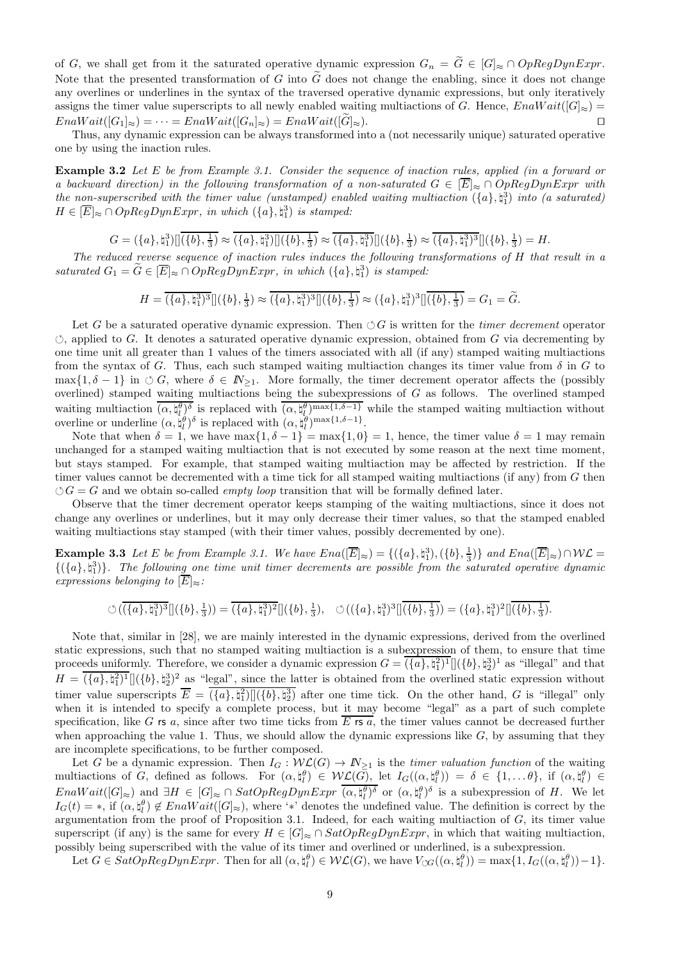of G, we shall get from it the saturated operative dynamic expression  $G_n = \tilde{G} \in [G]_{\approx} \cap OpRegDynExpr$ . Note that the presented transformation of G into  $\tilde{G}$  does not change the enabling, since it does not change any overlines or underlines in the syntax of the traversed operative dynamic expressions, but only iteratively assigns the timer value superscripts to all newly enabled waiting multiactions of G. Hence,  $EnaWait([G]_{\approx}) =$  $EnaWait([G_1]_{\approx}) = \cdots = EnaWait([G_n]_{\approx}) = EnaWait([\widetilde{G}]_{\approx}).$ 

Thus, any dynamic expression can be always transformed into a (not necessarily unique) saturated operative one by using the inaction rules.

Example 3.2 Let E be from Example 3.1. Consider the sequence of inaction rules, applied (in a forward or a backward direction) in the following transformation of a non-saturated  $G \in \left[\overline{E}\right]_{\approx} \cap OpRegDynExpr$  with the non-superscribed with the timer value (unstamped) enabled waiting multiaction  $(\{a\}, \{a\})$  into (a saturated)  $H \in \left[\overline{E}\right]_{\approx} \cap OpRegDynExpr,$  in which  $(\lbrace a \rbrace, \natural_1^3)$  is stamped:

$$
G = (\{a\},\natural_1^3) [](\{b\},\tfrac{1}{3}) \approx (\{a\},\natural_1^3) [](\{b\},\tfrac{1}{3}) \approx \overline{(\{a\},\natural_1^3)} [](\{b\},\tfrac{1}{3}) \approx \overline{(\{a\},\natural_1^3)^3} [](\{b\},\tfrac{1}{3}) = H.
$$

The reduced reverse sequence of inaction rules induces the following transformations of H that result in a saturated  $G_1 = \tilde{G} \in [\overline{E}]_{\approx} \cap OpRegDynExpr$ , in which  $(\{a\}, \natural_1^3)$  is stamped:

$$
H = \overline{(\{a\},\natural_1^3)^3} \big[ \big] (\{b\},\tfrac{1}{3}) \approx \overline{(\{a\},\natural_1^3)^3} \big[ \big] (\{b\},\tfrac{1}{3}) \approx (\{a\},\natural_1^3)^3 \big[ \overline{(\{b\},\tfrac{1}{3})} = G_1 = \widetilde{G}.
$$

Let G be a saturated operative dynamic expression. Then  $\circ$ G is written for the *timer decrement* operator  $\circlearrowleft$ , applied to G. It denotes a saturated operative dynamic expression, obtained from G via decrementing by one time unit all greater than 1 values of the timers associated with all (if any) stamped waiting multiactions from the syntax of G. Thus, each such stamped waiting multiaction changes its timer value from  $\delta$  in G to  $\max\{1,\delta-1\}$  in  $\circlearrowleft G$ , where  $\delta \in \mathbb{N}_{\geq 1}$ . More formally, the timer decrement operator affects the (possibly overlined) stamped waiting multiactions being the subexpressions of G as follows. The overlined stamped waiting multiaction  $(\alpha, \natural_l^{\theta})^{\delta}$  is replaced with  $(\alpha, \natural_l^{\theta})^{\max\{1, \delta-1\}}$  while the stamped waiting multiaction without overline or underline  $(\alpha, \dot{\mathbf{h}}_l^{\theta})^{\delta}$  is replaced with  $(\alpha, \mathbf{h}_l^{\theta})^{\max\{1, \delta - 1\}}$ .

Note that when  $\delta = 1$ , we have  $\max\{1, \delta - 1\} = \max\{1, 0\} = 1$ , hence, the timer value  $\delta = 1$  may remain unchanged for a stamped waiting multiaction that is not executed by some reason at the next time moment, but stays stamped. For example, that stamped waiting multiaction may be affected by restriction. If the timer values cannot be decremented with a time tick for all stamped waiting multiactions (if any) from G then  $\circlearrowleft G = G$  and we obtain so-called *empty loop* transition that will be formally defined later.

Observe that the timer decrement operator keeps stamping of the waiting multiactions, since it does not change any overlines or underlines, but it may only decrease their timer values, so that the stamped enabled waiting multiactions stay stamped (with their timer values, possibly decremented by one).

**Example 3.3** Let E be from Example 3.1. We have  $Ena([\overline{E}]_{\approx}) = \{(\{a\}, \natural_1^3), (\{b\}, \frac{1}{3})\}$  and  $Ena([\overline{E}]_{\approx}) \cap \mathcal{WL} =$  ${({a}, {\phi}_1^3)}$ . The following one time unit timer decrements are possible from the saturated operative dynamic expressions belonging to  $\overline{E}|_{\approx}$ :

$$
\circlearrowleft(\overline{(\{a\},\natural_1^3)^3}[(\{b\},\tfrac{1}{3})) = \overline{(\{a\},\natural_1^3)^2}[(\{b\},\tfrac{1}{3}), \quad \circlearrowleft((\{a\},\natural_1^3)^3]\overline{(\{b\},\tfrac{1}{3})}) = (\{a\},\natural_1^3)^2]\overline{(\{b\},\tfrac{1}{3})}.
$$

Note that, similar in [28], we are mainly interested in the dynamic expressions, derived from the overlined static expressions, such that no stamped waiting multiaction is a subexpression of them, to ensure that time proceeds uniformly. Therefore, we consider a dynamic expression  $G = \overline{(\{a\}, \sharp_1^2)$ <sup>1</sup> $\left[\right] (\{b\}, \sharp_2^3)$ <sup>1</sup> as "illegal" and that  $H = \overline{(\{a\}, \sharp_1^2)^T} \cdot [(\{b\}, \sharp_2^3)^2]$  as "legal", since the latter is obtained from the overlined static expression without timer value superscripts  $\overline{E} = (\{a\}, \xi_1^2) [(\{b\}, \xi_2^3)$  after one time tick. On the other hand, G is "illegal" only when it is intended to specify a complete process, but it may become "legal" as a part of such complete specification, like G rs a, since after two time ticks from  $\overline{E}$  rs a, the timer values cannot be decreased further when approaching the value 1. Thus, we should allow the dynamic expressions like  $G$ , by assuming that they are incomplete specifications, to be further composed.

Let G be a dynamic expression. Then  $I_G : \mathcal{W}\mathcal{L}(G) \to \mathbb{N}_{\geq 1}$  is the *timer valuation function* of the waiting multiactions of G, defined as follows. For  $(\alpha, \xi_l^{\theta}) \in \mathcal{WL}(\overline{G})$ , let  $I_G((\alpha, \xi_l^{\theta})) = \delta \in \{1, \dots \theta\}$ , if  $(\alpha, \xi_l^{\theta}) \in$  $EnaWait([G]_{\approx})$  and  $\exists H \in [G]_{\approx} \cap SatOpRegDynExpr \ (\alpha, \natural_{l}^{\theta})^{\delta}$  or  $(\alpha, \natural_{l}^{\theta})^{\delta}$  is a subexpression of H. We let  $I_G(t) = *$ , if  $(\alpha, \xi_t) \notin EnaWait([G]_{\approx})$ , where '\*' denotes the undefined value. The definition is correct by the argumentation from the proof of Proposition 3.1. Indeed, for each waiting multiaction of  $G$ , its timer value superscript (if any) is the same for every  $H \in [G]_{\approx} \cap SatOpRegDynExpr$ , in which that waiting multiaction, possibly being superscribed with the value of its timer and overlined or underlined, is a subexpression.

Let  $G \in SatOpRegDynExpr$ . Then for all  $(\alpha, \natural_l^{\theta}) \in \mathcal{WL}(G)$ , we have  $V_{\circ}(\alpha, \natural_l^{\theta}) = \max\{1, I_G((\alpha, \natural_l^{\theta})) - 1\}$ .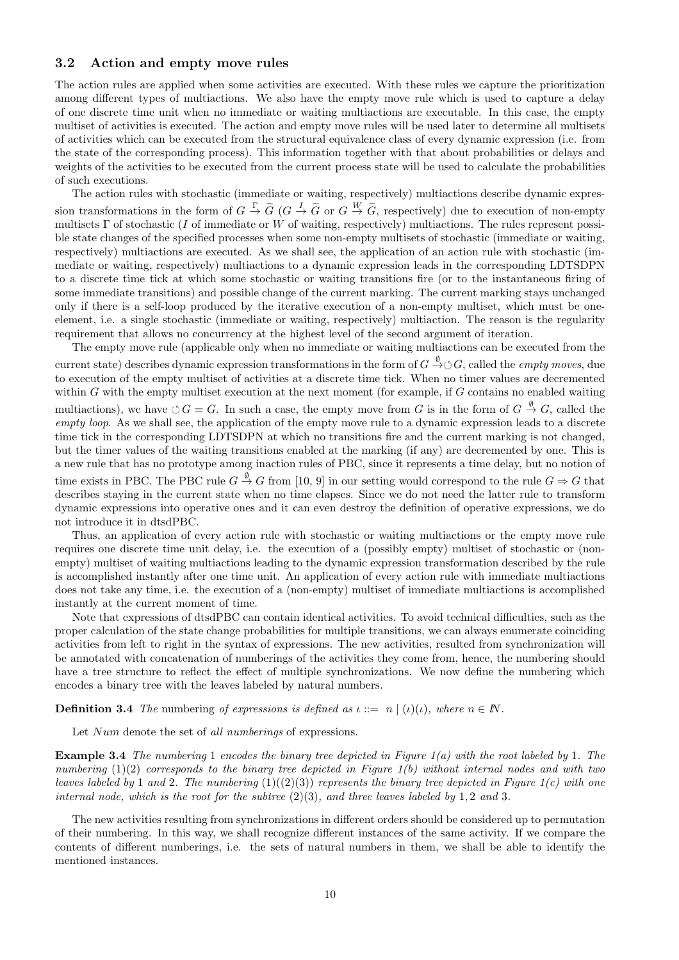#### 3.2 Action and empty move rules

The action rules are applied when some activities are executed. With these rules we capture the prioritization among different types of multiactions. We also have the empty move rule which is used to capture a delay of one discrete time unit when no immediate or waiting multiactions are executable. In this case, the empty multiset of activities is executed. The action and empty move rules will be used later to determine all multisets of activities which can be executed from the structural equivalence class of every dynamic expression (i.e. from the state of the corresponding process). This information together with that about probabilities or delays and weights of the activities to be executed from the current process state will be used to calculate the probabilities of such executions.

The action rules with stochastic (immediate or waiting, respectively) multiactions describe dynamic expression transformations in the form of  $G \stackrel{\Gamma}{\to} \widetilde{G}$  ( $G \stackrel{I}{\to} \widetilde{G}$  or  $G \stackrel{W}{\to} \widetilde{G}$ , respectively) due to execution of non-empty multisets  $\Gamma$  of stochastic (I of immediate or W of waiting, respectively) multiactions. The rules represent possible state changes of the specified processes when some non-empty multisets of stochastic (immediate or waiting, respectively) multiactions are executed. As we shall see, the application of an action rule with stochastic (immediate or waiting, respectively) multiactions to a dynamic expression leads in the corresponding LDTSDPN to a discrete time tick at which some stochastic or waiting transitions fire (or to the instantaneous firing of some immediate transitions) and possible change of the current marking. The current marking stays unchanged only if there is a self-loop produced by the iterative execution of a non-empty multiset, which must be oneelement, i.e. a single stochastic (immediate or waiting, respectively) multiaction. The reason is the regularity requirement that allows no concurrency at the highest level of the second argument of iteration.

The empty move rule (applicable only when no immediate or waiting multiactions can be executed from the current state) describes dynamic expression transformations in the form of  $G \stackrel{\emptyset}{\to} \circlearrowleft G$ , called the *empty moves*, due to execution of the empty multiset of activities at a discrete time tick. When no timer values are decremented within  $G$  with the empty multiset execution at the next moment (for example, if  $G$  contains no enabled waiting multiactions), we have  $\circlearrowleft G = G$ . In such a case, the empty move from G is in the form of  $G \stackrel{\emptyset}{\to} G$ , called the empty loop. As we shall see, the application of the empty move rule to a dynamic expression leads to a discrete time tick in the corresponding LDTSDPN at which no transitions fire and the current marking is not changed, but the timer values of the waiting transitions enabled at the marking (if any) are decremented by one. This is a new rule that has no prototype among inaction rules of PBC, since it represents a time delay, but no notion of time exists in PBC. The PBC rule  $G \stackrel{\emptyset}{\to} G$  from [10, 9] in our setting would correspond to the rule  $G \Rightarrow G$  that describes staying in the current state when no time elapses. Since we do not need the latter rule to transform dynamic expressions into operative ones and it can even destroy the definition of operative expressions, we do not introduce it in dtsdPBC.

Thus, an application of every action rule with stochastic or waiting multiactions or the empty move rule requires one discrete time unit delay, i.e. the execution of a (possibly empty) multiset of stochastic or (nonempty) multiset of waiting multiactions leading to the dynamic expression transformation described by the rule is accomplished instantly after one time unit. An application of every action rule with immediate multiactions does not take any time, i.e. the execution of a (non-empty) multiset of immediate multiactions is accomplished instantly at the current moment of time.

Note that expressions of dtsdPBC can contain identical activities. To avoid technical difficulties, such as the proper calculation of the state change probabilities for multiple transitions, we can always enumerate coinciding activities from left to right in the syntax of expressions. The new activities, resulted from synchronization will be annotated with concatenation of numberings of the activities they come from, hence, the numbering should have a tree structure to reflect the effect of multiple synchronizations. We now define the numbering which encodes a binary tree with the leaves labeled by natural numbers.

**Definition 3.4** The numbering of expressions is defined as  $\iota ::= n | (\iota)(\iota),$  where  $n \in \mathbb{N}$ .

Let Num denote the set of all numberings of expressions.

Example 3.4 The numbering 1 encodes the binary tree depicted in Figure 1(a) with the root labeled by 1. The numbering  $(1)(2)$  corresponds to the binary tree depicted in Figure 1(b) without internal nodes and with two leaves labeled by 1 and 2. The numbering  $(1)(2)(3)$  represents the binary tree depicted in Figure 1(c) with one internal node, which is the root for the subtree  $(2)(3)$ , and three leaves labeled by 1, 2 and 3.

The new activities resulting from synchronizations in different orders should be considered up to permutation of their numbering. In this way, we shall recognize different instances of the same activity. If we compare the contents of different numberings, i.e. the sets of natural numbers in them, we shall be able to identify the mentioned instances.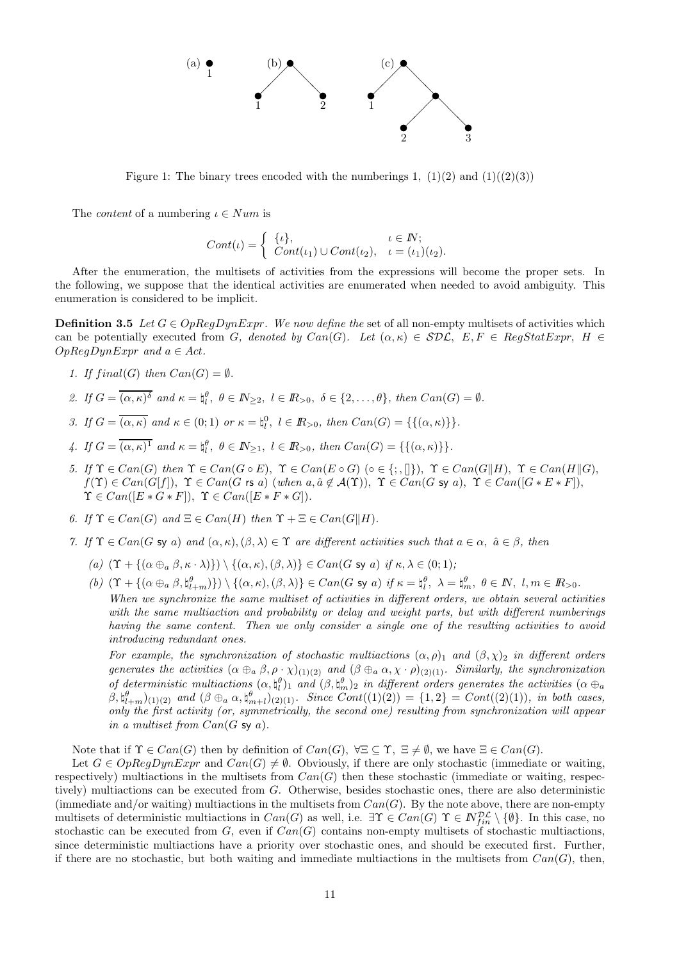

Figure 1: The binary trees encoded with the numberings 1,  $(1)(2)$  and  $(1)((2)(3))$ 

The *content* of a numbering  $\iota \in Num$  is

$$
Cont(\iota) = \begin{cases} \{\iota\}, & \iota \in \mathbb{N}; \\ Cont(\iota_1) \cup Cont(\iota_2), & \iota = (\iota_1)(\iota_2). \end{cases}
$$

After the enumeration, the multisets of activities from the expressions will become the proper sets. In the following, we suppose that the identical activities are enumerated when needed to avoid ambiguity. This enumeration is considered to be implicit.

**Definition 3.5** Let  $G \in OpRegDynExpr$ . We now define the set of all non-empty multisets of activities which can be potentially executed from G, denoted by  $Can(G)$ . Let  $(\alpha, \kappa) \in SD\mathcal{L}$ ,  $E, F \in RegStatExpr$ ,  $H \in$  $OpRegDynExpr$  and  $a \in Act$ .

- 1. If  $final(G)$  then  $Can(G) = \emptyset$ .
- 2. If  $G = \overline{(\alpha, \kappa)^{\delta}}$  and  $\kappa = \natural_{l}^{\theta}, \ \theta \in \mathbb{N}_{\geq 2}, \ l \in \mathbb{R}_{>0}, \ \delta \in \{2, \ldots, \theta\},\ \text{then } Can(G) = \emptyset.$
- 3. If  $G = \overline{(\alpha, \kappa)}$  and  $\kappa \in (0, 1)$  or  $\kappa = \mathfrak{h}_l^0$ ,  $l \in \mathbb{R}_{>0}$ , then  $Can(G) = \{\{(\alpha, \kappa)\}\}.$
- 4. If  $G = \overline{(\alpha, \kappa)^1}$  and  $\kappa = \natural_l^{\theta}, \ \theta \in \mathbb{N}_{\geq 1}, \ l \in \mathbb{R}_{>0}, \ then \ Can(G) = \{\{(\alpha, \kappa)\}\}.$
- 5. If  $\Upsilon \in Can(G)$  then  $\Upsilon \in Can(G \circ E)$ ,  $\Upsilon \in Can(E \circ G)$  ( $\circ \in \{\, \,,\,\,\parallel\}$ ),  $\Upsilon \in Can(G||H)$ ,  $\Upsilon \in Can(H||G)$ ,  $f(\Upsilon) \in Can(G[f]), \ \Upsilon \in Can(G \text{ is a})$  (when  $a, \hat{a} \notin \mathcal{A}(\Upsilon)$ ),  $\Upsilon \in Can(G \text{ sy } a)$ ,  $\Upsilon \in Can([G * E * F]),$  $\Upsilon \in Can([E * G * F]), \ \Upsilon \in Can([E * F * G]).$
- 6. If  $\Upsilon \in Can(G)$  and  $\Xi \in Can(H)$  then  $\Upsilon + \Xi \in Can(G||H)$ .
- 7. If  $\Upsilon \in Can(G \text{ sy } a)$  and  $(\alpha, \kappa), (\beta, \lambda) \in \Upsilon$  are different activities such that  $a \in \alpha, \hat{a} \in \beta$ , then
	- (a)  $(\Upsilon + {\alpha \oplus_{a} \beta, \kappa \cdot \lambda}) \ \rangle \ \ \ \ {\alpha, \kappa), (\beta, \lambda)} \in Can(G \text{ sy } a) \text{ if } \kappa, \lambda \in (0, 1);$

 $(b)$   $(\Upsilon + {\alpha \oplus_{\alpha} \beta, \sharp_{l+m}^{\theta}}) \setminus {\alpha, \kappa}, (\beta, \lambda)} \in Can(G \text{ sy } a) \text{ if } \kappa = \sharp_{l}^{\theta}, \lambda = \sharp_{m}^{\theta}, \theta \in \mathbb{N}, \ l, m \in \mathbb{R}_{>0}.$ When we synchronize the same multiset of activities in different orders, we obtain several activities with the same multiaction and probability or delay and weight parts, but with different numberings having the same content. Then we only consider a single one of the resulting activities to avoid introducing redundant ones.

For example, the synchronization of stochastic multiactions  $(\alpha, \rho)_1$  and  $(\beta, \chi)_2$  in different orders generates the activities  $(\alpha \oplus_{a} \beta, \rho \cdot \chi)_{(1)(2)}$  and  $(\beta \oplus_{a} \alpha, \chi \cdot \rho)_{(2)(1)}$ . Similarly, the synchronization of deterministic multiactions  $(\alpha, \xi_l^{\theta})_1$  and  $(\beta, \xi_m^{\theta})_2$  in different orders generates the activities  $(\alpha \oplus_{\alpha})$  $(\beta, \natural_{l+m}^{\theta})_{(1)(2)}$  and  $(\beta \oplus_a \alpha, \natural_{m+l}^{\theta})_{(2)(1)}$ . Since  $Cont((1)(2)) = \{1,2\} = Cont((2)(1)),$  in both cases, only the first activity (or, symmetrically, the second one) resulting from synchronization will appear in a multiset from  $Can(G \text{ sy } a)$ .

Note that if  $\Upsilon \in Can(G)$  then by definition of  $Can(G)$ ,  $\forall \Xi \subseteq \Upsilon$ ,  $\Xi \neq \emptyset$ , we have  $\Xi \in Can(G)$ .

Let  $G \in OpRegDynExpr$  and  $Can(G) \neq \emptyset$ . Obviously, if there are only stochastic (immediate or waiting, respectively) multiactions in the multisets from  $Can(G)$  then these stochastic (immediate or waiting, respectively) multiactions can be executed from G. Otherwise, besides stochastic ones, there are also deterministic (immediate and/or waiting) multiactions in the multisets from  $Can(G)$ . By the note above, there are non-empty multisets of deterministic multiactions in  $Can(G)$  as well, i.e.  $\exists \Upsilon \in Can(G) \ \Upsilon \in N_{fin}^{\mathcal{DL}} \setminus \{\emptyset\}$ . In this case, no stochastic can be executed from  $G$ , even if  $Can(G)$  contains non-empty multisets of stochastic multiactions, since deterministic multiactions have a priority over stochastic ones, and should be executed first. Further, if there are no stochastic, but both waiting and immediate multiactions in the multisets from  $Can(G)$ , then,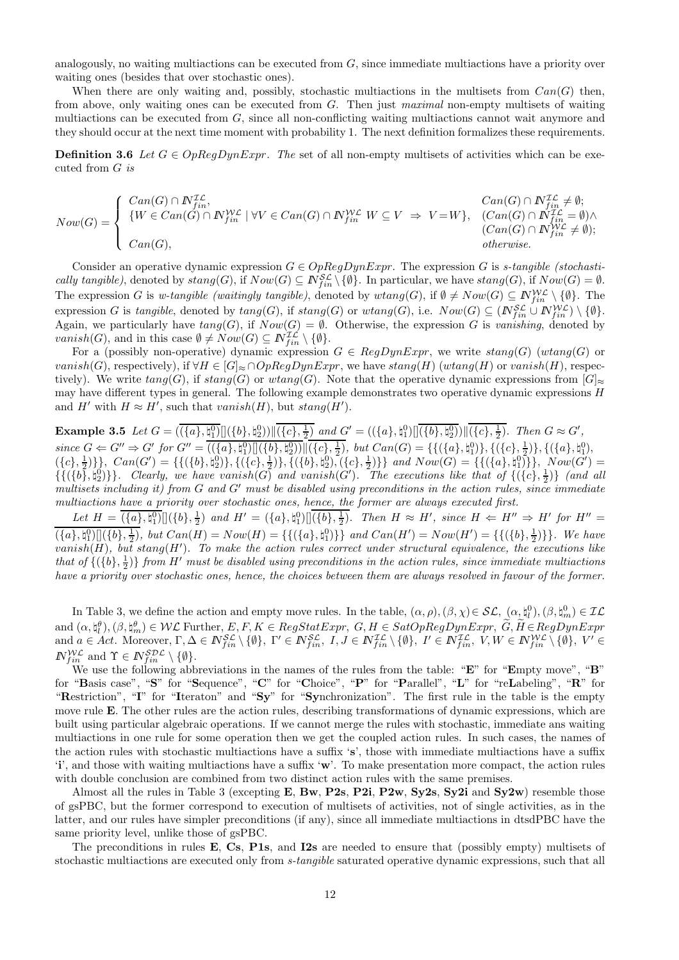analogously, no waiting multiactions can be executed from G, since immediate multiactions have a priority over waiting ones (besides that over stochastic ones).

When there are only waiting and, possibly, stochastic multiactions in the multisets from  $Can(G)$  then, from above, only waiting ones can be executed from G. Then just maximal non-empty multisets of waiting multiactions can be executed from G, since all non-conflicting waiting multiactions cannot wait anymore and they should occur at the next time moment with probability 1. The next definition formalizes these requirements.

**Definition 3.6** Let  $G \in OpRegDynExpr$ . The set of all non-empty multisets of activities which can be executed from G is

$$
Now(G) = \begin{cases} Can(G) \cap N_{fin}^{\mathcal{IL}}, & Can(G) \cap N_{fin}^{\mathcal{IL}} \neq \emptyset; \\ \{W \in Can(G) \cap N_{fin}^{\mathcal{UL}} \mid \forall V \in Can(G) \cap N_{fin}^{\mathcal{WL}} \mid W \subseteq V \Rightarrow V = W\}, & (Can(G) \cap N_{fin}^{\mathcal{IL}} \neq \emptyset; \\ Can(G), & (Can(G) \cap N_{fin}^{\mathcal{UL}} \neq \emptyset); \\ Can(G), & otherwise. \end{cases}
$$

Consider an operative dynamic expression  $G \in OpRegDynExpr$ . The expression G is s-tangible (stochastically tangible), denoted by  $stang(G)$ , if  $Now(G) \subseteq N_{fin}^{\mathcal{SL}} \setminus \{\emptyset\}$ . In particular, we have  $stang(G)$ , if  $Now(G) = \emptyset$ . The expression G is w-tangible (waitingly tangible), denoted by  $wtang(G)$ , if  $\emptyset \neq Now(G) \subseteq \mathbb{N}_{fin}^{W\mathcal{L}} \setminus \{\emptyset\}$ . The expression G is tangible, denoted by  $tang(G)$ , if  $stang(G)$  or  $wtang(G)$ , i.e.  $Now(G) \subseteq (N_{fin}^{SL} \cup N_{fin}^{WC}) \setminus \{\emptyset\}$ . Again, we particularly have  $tang(G)$ , if  $Now(G) = \emptyset$ . Otherwise, the expression G is vanishing, denoted by *vanish*(*G*), and in this case  $\emptyset \neq Now(G) \subseteq \mathbb{N}_{fin}^{\mathcal{IL}} \setminus \{\emptyset\}.$ 

For a (possibly non-operative) dynamic expression  $G \in RegDynExpr$ , we write  $stang(G)$  (wtang(G) or vanish(G), respectively), if  $\forall H \in [G]_{\approx} \cap OpRegDynExpr$ , we have stang(H) (wtang(H) or vanish(H), respectively). We write  $tang(G)$ , if  $stang(G)$  or  $wtang(G)$ . Note that the operative dynamic expressions from  $|G|_{\approx}$ may have different types in general. The following example demonstrates two operative dynamic expressions H and H' with  $H \approx H'$ , such that  $vanish(H)$ , but  $stang(H')$ .

Example 3.5 Let  $G = ((\{a\}, \natural_1^0) [](\{b\}, \natural_2^0)) || (\{c\}, \frac{1}{2})$  and  $G' = ((\{a\}, \natural_1^0) [](\{b\}, \natural_2^0)) || (\{c\}, \frac{1}{2})$ . Then  $G \approx G'$ ,  $since G \Leftarrow G'' \Rightarrow G' \text{ for } G'' = \overline{((a), \natural_1^0)[((b), \natural_2^0)][((c), \frac{1}{2}), \text{ but } Can(G) = \{\{(\{a\}, \natural_1^0)\}, \{(\{c\}, \frac{1}{2})\}, \{(\{a\}, \natural_1^0), (\{c\}, \frac{1}{2})\} \}$  $({c}, \frac{1}{2})\}, \text{ Can}(G') = {\{((b), \phi_2^0)\}, ((\{c\}, \frac{1}{2})\}, ((\{b\}, \phi_2^0), ((\{c\}, \frac{1}{2})\}) \text{ and } \text{Now}(G) = {\{((a), \phi_1^0)\}, ( \text{Now}(G') = \{((\{d\}, \phi_2^0)\}, (\{d, \phi_2^0\}, \{d, \phi_1^0\}, \{d, \phi_2^0\})\})$  $\{(\{b\}, \phi_2^0)\}\$ . Clearly, we have vanish(G) and vanish(G'). The executions like that of  $\{(\{c\}, \frac{1}{2})\}$  (and all multisets including it) from G and G′ must be disabled using preconditions in the action rules, since immediate multiactions have a priority over stochastic ones, hence, the former are always executed first.

Let  $H = \overline{(\lbrace a \rbrace, \natural_1^0)} \left[ \left( \lbrace b \rbrace, \frac{1}{2} \right) \text{ and } H' = (\lbrace a \rbrace, \natural_1^0) \left[ \left( \lbrace b \rbrace, \frac{1}{2} \right) \right]$ . Then  $H \approx H'$ , since  $H \Leftarrow H'' \Rightarrow H'$  for  $H'' =$  $(\{a\}, \natural_1^0) \big[ (\{b\}, \frac{1}{2}), \text{ but } \text{Can}(H) = \text{Now}(H) = \{ (\{a\}, \natural_1^0) \} \}$  and  $\text{Can}(H') = \text{Now}(H') = \{ (\{b\}, \frac{1}{2}) \}$ . We have vanish $(H)$ , but stang $(H')$ . To make the action rules correct under structural equivalence, the executions like that of  $\{(\{b\},\frac{1}{2})\}$  from H' must be disabled using preconditions in the action rules, since immediate multiactions have a priority over stochastic ones, hence, the choices between them are always resolved in favour of the former.

In Table 3, we define the action and empty move rules. In the table,  $(\alpha, \rho), (\beta, \chi) \in \mathcal{SL}, (\alpha, \natural_l^0), (\beta, \natural_m^0) \in \mathcal{IL}$ and  $(\alpha, \xi_l^{\theta}), (\beta, \xi_m^{\theta}) \in \mathcal{WL}$  Further,  $E, F, K \in RegStatexpr$ ,  $G, H \in SatOpRegDynExpr$ ,  $\widetilde{G}, \widetilde{H} \in RegDynExpr$ and  $a \in Act$ . Moreover,  $\Gamma, \Delta \in \mathbb{N}_{fin}^{\mathcal{SL}} \setminus \{\emptyset\}, \ \Gamma' \in \mathbb{N}_{fin}^{\mathcal{SL}}, \ I, J \in \mathbb{N}_{fin}^{\mathcal{IL}} \setminus \{\emptyset\}, \ I' \in \mathbb{N}_{fin}^{\mathcal{IL}}, \ V, W \in \mathbb{N}_{fin}^{\mathcal{VL}} \setminus \{\emptyset\}, \ V' \in \mathbb{N}_{fin}^{\mathcal{IL}} \setminus \{\emptyset\}, \ V' \in \mathbb{N}_{fin}^{\mathcal{IL}} \setminus \{\emptyset\}, \ V' \in \mathbb$  $\mathbb{N}_{fin}^{\mathcal{W}\mathcal{L}}$  and  $\Upsilon \in \mathbb{N}_{fin}^{\mathcal{SDL}} \setminus \{\emptyset\}.$ 

We use the following abbreviations in the names of the rules from the table: "E" for "Empty move", "B" for "Basis case", "S" for "Sequence", "C" for "Choice", "P" for "Parallel", "L" for "reLabeling", "R" for "Restriction", "I" for "Iteraton" and "Sy" for "Synchronization". The first rule in the table is the empty move rule E. The other rules are the action rules, describing transformations of dynamic expressions, which are built using particular algebraic operations. If we cannot merge the rules with stochastic, immediate ans waiting multiactions in one rule for some operation then we get the coupled action rules. In such cases, the names of the action rules with stochastic multiactions have a suffix 's', those with immediate multiactions have a suffix 'i', and those with waiting multiactions have a suffix 'w'. To make presentation more compact, the action rules with double conclusion are combined from two distinct action rules with the same premises.

Almost all the rules in Table 3 (excepting E, Bw, P2s, P2i, P2w, Sy2s, Sy2i and Sy2w) resemble those of gsPBC, but the former correspond to execution of multisets of activities, not of single activities, as in the latter, and our rules have simpler preconditions (if any), since all immediate multiactions in dtsdPBC have the same priority level, unlike those of gsPBC.

The preconditions in rules E, Cs, P1s, and I2s are needed to ensure that (possibly empty) multisets of stochastic multiactions are executed only from *s-tangible* saturated operative dynamic expressions, such that all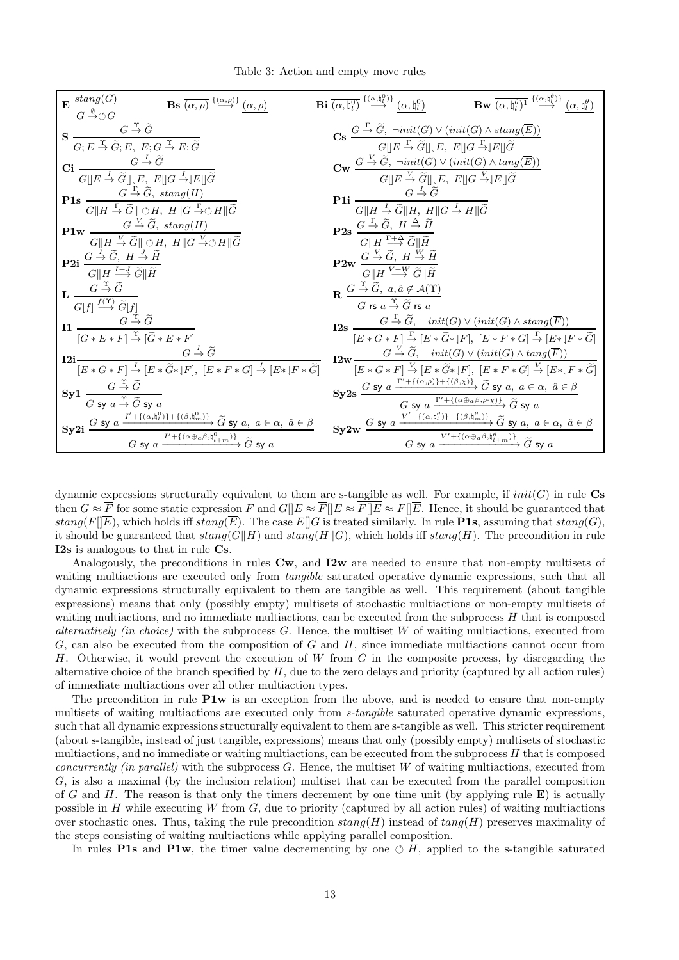Table 3: Action and empty move rules

| $\mathbf{E}\xrightarrow[\alpha]{\text{stang}(G)} \qquad \qquad \mathbf{Bs} \xrightarrow[\alpha,\rho) \xrightarrow{\{(\alpha,\rho)\}} (\alpha,\rho)$<br>$G \stackrel{\emptyset}{\rightarrow} \circlearrowleft G$                                                                                                      | <b>Bi</b> $\overline{(\alpha, \natural_l^0)} \stackrel{\{(\alpha, \natural_l^0)\}}{\longrightarrow} (\alpha, \natural_l^0)$ <b>Bw</b> $\overline{(\alpha, \natural_l^{\theta})^1} \stackrel{\{\alpha, \natural_l^{\theta}\}}{\longrightarrow} (\alpha, \natural_l^{\theta})$                                   |
|----------------------------------------------------------------------------------------------------------------------------------------------------------------------------------------------------------------------------------------------------------------------------------------------------------------------|----------------------------------------------------------------------------------------------------------------------------------------------------------------------------------------------------------------------------------------------------------------------------------------------------------------|
| $\mathbf{S} \xrightarrow[G; E \xrightarrow{\Upsilon} \widetilde{G}; E, E; G \xrightarrow{\Upsilon} E; \widetilde{G}]$                                                                                                                                                                                                | $\textbf{Cs} \xrightarrow{G \xrightarrow{\Gamma} \widetilde{G}, \ \neg init(G) \vee (init(G) \wedge stand(\overline{E}))} G \parallel E \xrightarrow{\Gamma} \widetilde{G} \parallel \rfloor E, \ E \parallel G \xrightarrow{\Gamma} \perp E \parallel \widetilde{G}$                                          |
| Ci $\frac{G \stackrel{I}{\rightarrow} \widetilde{G}}{G \parallel E \stackrel{I}{\rightarrow} \widetilde{G} \parallel \parallel E, E \parallel G \stackrel{I}{\rightarrow} \parallel E \parallel \widetilde{G}}$                                                                                                      | $\text{Cw} \xrightarrow{G \xrightarrow{V} \widetilde{G}, \ \neg init(G) \vee (init(G) \wedge tang(\overline{E}))} G  E \xrightarrow{V} \widetilde{G}  JE, E  G \xrightarrow{V}  E  \widetilde{G}$                                                                                                              |
| <b>P1s</b> $\frac{G \overset{\Gamma}{\rightarrow} \widetilde{G}, \ \text{stang}(H)}{G \  H \overset{\Gamma}{\rightarrow} \widetilde{G} \  \circ H, \ H \  G \overset{\Gamma}{\rightarrow} \circ H \  \widetilde{G} }$                                                                                                | <b>P1i</b> $\frac{G \stackrel{I}{\rightarrow} \widetilde{G}}{G \  H \stackrel{I}{\rightarrow} \widetilde{G} \  H, H \  G \stackrel{I}{\rightarrow} H \  \widetilde{G}}$                                                                                                                                        |
| <b>P1w</b> $\frac{G \overset{V}{\rightarrow} \widetilde{G}, \ \text{stang}(H)}{G \parallel H \overset{V}{\rightarrow} \widetilde{G} \parallel \circ H, \ \text{H} \parallel G \overset{V}{\rightarrow} \circ H \parallel \widetilde{G}}$                                                                             | <b>P2s</b> $\frac{G \overset{\Gamma}{\rightarrow} \widetilde{G}, H \overset{\Delta}{\rightarrow} \widetilde{H}}{G \  H \overset{\Gamma + \Delta}{\rightarrow} \widetilde{G} \  \widetilde{H}}$                                                                                                                 |
| <b>P2i</b> $\frac{G \stackrel{I}{\rightarrow} \widetilde{G}, H \stackrel{J}{\rightarrow} \widetilde{H}}{H}$<br>$G  H \stackrel{I+J}{\longrightarrow} \widetilde{G}  \widetilde{H}$                                                                                                                                   | $\mathbf{P2w} \xrightarrow[G][H]{} \overbrace{G \parallel H} \xrightarrow{V+W}{} \widetilde{G} \parallel \widetilde{H}$                                                                                                                                                                                        |
| $\mathbf{L}\xrightarrow[G[f]\xrightarrow{f(\Upsilon)}\widetilde{G}[f]$                                                                                                                                                                                                                                               | $\mathbf{R} \xrightarrow[G \to \widetilde{G}, a, \hat{a} \notin \mathcal{A}(\Upsilon)]$<br>$G$ rs $\overset{\Upsilon}{a} \to \widetilde{G}$ rs $\overset{\Upsilon}{a}$                                                                                                                                         |
| $\begin{array}{ccc}\n & G \stackrel{\text{def}}{\rightarrow} \widetilde{G} \\  & G \stackrel{\text{def}}{\rightarrow} \widetilde{G}\n\end{array}$<br>$[G * E * F] \stackrel{\Upsilon}{\rightarrow} [\widetilde{G} * E * F]$                                                                                          | <b>12s</b> $\frac{G \overset{\Gamma}{\rightarrow} \widetilde{G}, \ \neg init(G) \vee (init(G) \wedge stang(\overline{F}))}{[E * G * F] \overset{\Gamma}{\rightarrow} [E * \widetilde{G} * [F], [E * F * G] \overset{\Gamma}{\rightarrow} [E * [F * \widetilde{G}]]]$                                           |
| I2i $G \stackrel{I}{\rightarrow} \widetilde{G}$<br>$\overline{[E*G*F] \xrightarrow{I} [E*\widetilde{G}*]F]}, \ \overline{[E*F*G] \xrightarrow{I} [E*]F*\widetilde{G}]}$                                                                                                                                              | $\textbf{I2w}\frac{G \overset{V}{\rightarrow} \widetilde{G}, \ \neg init(G) \lor (init(G) \land tang(\overline{F}))}{[E * G * F] \overset{V}{\rightarrow} [E * \widetilde{G} *]F], \ [E * F * G] \overset{V}{\rightarrow} [E *]F * \widetilde{G}]}$                                                            |
| Sy1 $\frac{G \stackrel{\text{T}}{\rightarrow} \tilde{G}}{G \text{ sy } a \stackrel{\text{T}}{\rightarrow} \tilde{G} \text{ sy } a}$                                                                                                                                                                                  | Sy2s $\frac{G \text{ sy } a \xrightarrow{\Gamma'+((\alpha,\rho))+((\beta,\chi))} \widetilde{G} \text{ sy } a, a \in \alpha, \hat{a} \in \beta}{G \text{ sy } a \xrightarrow{\Gamma'+((\alpha \oplus a\beta,\rho \cdot \chi))} \widetilde{G} \text{ sy } a}$                                                    |
| $\textbf{Sy2i} \xrightarrow{G \text{ sy } a} \xrightarrow{I'+ \{(\alpha, \natural_l^0)\} + \{(\beta, \natural_m^0)\}} \widetilde{G} \text{ sy } a, \ a \in \alpha, \ \hat{a} \in \beta \\ \xrightarrow{G \text{ sy } a} \xrightarrow{I'+ \{(\alpha \oplus_a \beta, \natural_{l+m}^0)\}} \widetilde{G} \text{ sy } a$ | $\textbf{Sy2w}\xrightarrow{G\text{ sy }a\xrightarrow{V'+\{(\alpha,\natural^{\theta}_{l})\}+\{(\beta,\natural^{\theta}_{m})\}}{\widetilde{G}\text{ sy }a,\ a\in\alpha,\ \hat{a}\in\beta}\xrightarrow{V'+\{(\alpha\oplus_a\beta,\natural^{\theta}_{l+m})\}}{\widetilde{G}\text{ sy }a}\widetilde{G}\text{ sy }a$ |

dynamic expressions structurally equivalent to them are s-tangible as well. For example, if  $init(G)$  in rule Cs then  $G \approx \overline{F}$  for some static expression F and  $G||E \approx \overline{F||E} \approx \overline{F||E} \approx F||\overline{E}$ . Hence, it should be guaranteed that stang(F| $\overline{E}$ ), which holds iff stang( $\overline{E}$ ). The case  $E[[G]$  is treated similarly. In rule **P1s**, assuming that stang( $G$ ), it should be guaranteed that  $stang(G||H)$  and  $stang(H||G)$ , which holds iff  $stang(H)$ . The precondition in rule I2s is analogous to that in rule Cs.

Analogously, the preconditions in rules  $\mathbf{C}\mathbf{w}$ , and  $\mathbf{I2}\mathbf{w}$  are needed to ensure that non-empty multisets of waiting multiactions are executed only from *tangible* saturated operative dynamic expressions, such that all dynamic expressions structurally equivalent to them are tangible as well. This requirement (about tangible expressions) means that only (possibly empty) multisets of stochastic multiactions or non-empty multisets of waiting multiactions, and no immediate multiactions, can be executed from the subprocess H that is composed alternatively (in choice) with the subprocess  $G$ . Hence, the multiset W of waiting multiactions, executed from  $G$ , can also be executed from the composition of  $G$  and  $H$ , since immediate multiactions cannot occur from H. Otherwise, it would prevent the execution of W from  $G$  in the composite process, by disregarding the alternative choice of the branch specified by  $H$ , due to the zero delays and priority (captured by all action rules) of immediate multiactions over all other multiaction types.

The precondition in rule  $\text{PIw}$  is an exception from the above, and is needed to ensure that non-empty multisets of waiting multiactions are executed only from *s-tangible* saturated operative dynamic expressions, such that all dynamic expressions structurally equivalent to them are s-tangible as well. This stricter requirement (about s-tangible, instead of just tangible, expressions) means that only (possibly empty) multisets of stochastic multiactions, and no immediate or waiting multiactions, can be executed from the subprocess  $H$  that is composed concurrently (in parallel) with the subprocess  $G$ . Hence, the multiset  $W$  of waiting multiactions, executed from G, is also a maximal (by the inclusion relation) multiset that can be executed from the parallel composition of G and H. The reason is that only the timers decrement by one time unit (by applying rule  $\bf{E}$ ) is actually possible in H while executing W from  $G$ , due to priority (captured by all action rules) of waiting multiactions over stochastic ones. Thus, taking the rule precondition  $stang(H)$  instead of  $tang(H)$  preserves maximality of the steps consisting of waiting multiactions while applying parallel composition.

In rules P1s and P1w, the timer value decrementing by one  $\circ$  H, applied to the s-tangible saturated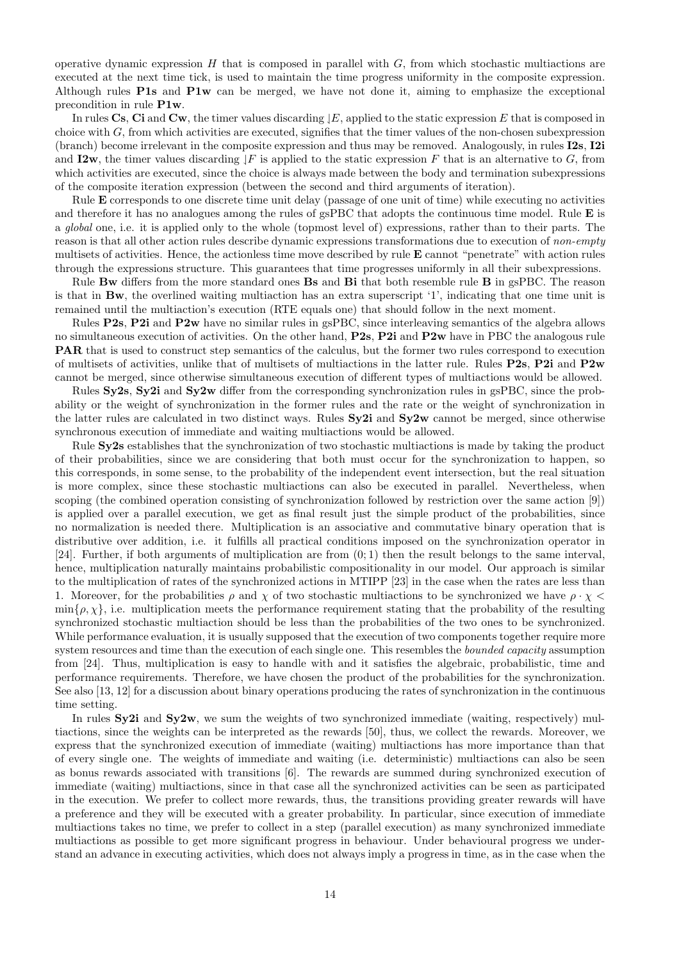operative dynamic expression  $H$  that is composed in parallel with  $G$ , from which stochastic multiactions are executed at the next time tick, is used to maintain the time progress uniformity in the composite expression. Although rules P1s and P1w can be merged, we have not done it, aiming to emphasize the exceptional precondition in rule P1w.

In rules Cs, Ci and Cw, the timer values discarding  $|E$ , applied to the static expression E that is composed in choice with  $G$ , from which activities are executed, signifies that the timer values of the non-chosen subexpression (branch) become irrelevant in the composite expression and thus may be removed. Analogously, in rules I2s, I2i and I2w, the timer values discarding  $|F|$  is applied to the static expression F that is an alternative to G, from which activities are executed, since the choice is always made between the body and termination subexpressions of the composite iteration expression (between the second and third arguments of iteration).

Rule E corresponds to one discrete time unit delay (passage of one unit of time) while executing no activities and therefore it has no analogues among the rules of gsPBC that adopts the continuous time model. Rule **E** is a global one, i.e. it is applied only to the whole (topmost level of) expressions, rather than to their parts. The reason is that all other action rules describe dynamic expressions transformations due to execution of non-empty multisets of activities. Hence, the actionless time move described by rule E cannot "penetrate" with action rules through the expressions structure. This guarantees that time progresses uniformly in all their subexpressions.

Rule Bw differs from the more standard ones Bs and Bi that both resemble rule B in gsPBC. The reason is that in Bw, the overlined waiting multiaction has an extra superscript '1', indicating that one time unit is remained until the multiaction's execution (RTE equals one) that should follow in the next moment.

Rules P2s, P2i and P2w have no similar rules in gsPBC, since interleaving semantics of the algebra allows no simultaneous execution of activities. On the other hand, P2s, P2i and P2w have in PBC the analogous rule PAR that is used to construct step semantics of the calculus, but the former two rules correspond to execution of multisets of activities, unlike that of multisets of multiactions in the latter rule. Rules P2s, P2i and P2w cannot be merged, since otherwise simultaneous execution of different types of multiactions would be allowed.

Rules Sy2s, Sy2i and Sy2w differ from the corresponding synchronization rules in gsPBC, since the probability or the weight of synchronization in the former rules and the rate or the weight of synchronization in the latter rules are calculated in two distinct ways. Rules Sy2i and Sy2w cannot be merged, since otherwise synchronous execution of immediate and waiting multiactions would be allowed.

Rule  $Sy2s$  establishes that the synchronization of two stochastic multiactions is made by taking the product of their probabilities, since we are considering that both must occur for the synchronization to happen, so this corresponds, in some sense, to the probability of the independent event intersection, but the real situation is more complex, since these stochastic multiactions can also be executed in parallel. Nevertheless, when scoping (the combined operation consisting of synchronization followed by restriction over the same action [9]) is applied over a parallel execution, we get as final result just the simple product of the probabilities, since no normalization is needed there. Multiplication is an associative and commutative binary operation that is distributive over addition, i.e. it fulfills all practical conditions imposed on the synchronization operator in [24]. Further, if both arguments of multiplication are from (0; 1) then the result belongs to the same interval, hence, multiplication naturally maintains probabilistic compositionality in our model. Our approach is similar to the multiplication of rates of the synchronized actions in MTIPP [23] in the case when the rates are less than 1. Moreover, for the probabilities  $\rho$  and  $\chi$  of two stochastic multiactions to be synchronized we have  $\rho \cdot \chi$  $\min{\{\rho, \chi\}}$ , i.e. multiplication meets the performance requirement stating that the probability of the resulting synchronized stochastic multiaction should be less than the probabilities of the two ones to be synchronized. While performance evaluation, it is usually supposed that the execution of two components together require more system resources and time than the execution of each single one. This resembles the *bounded capacity* assumption from [24]. Thus, multiplication is easy to handle with and it satisfies the algebraic, probabilistic, time and performance requirements. Therefore, we have chosen the product of the probabilities for the synchronization. See also [13, 12] for a discussion about binary operations producing the rates of synchronization in the continuous time setting.

In rules Sy2i and Sy2w, we sum the weights of two synchronized immediate (waiting, respectively) multiactions, since the weights can be interpreted as the rewards [50], thus, we collect the rewards. Moreover, we express that the synchronized execution of immediate (waiting) multiactions has more importance than that of every single one. The weights of immediate and waiting (i.e. deterministic) multiactions can also be seen as bonus rewards associated with transitions [6]. The rewards are summed during synchronized execution of immediate (waiting) multiactions, since in that case all the synchronized activities can be seen as participated in the execution. We prefer to collect more rewards, thus, the transitions providing greater rewards will have a preference and they will be executed with a greater probability. In particular, since execution of immediate multiactions takes no time, we prefer to collect in a step (parallel execution) as many synchronized immediate multiactions as possible to get more significant progress in behaviour. Under behavioural progress we understand an advance in executing activities, which does not always imply a progress in time, as in the case when the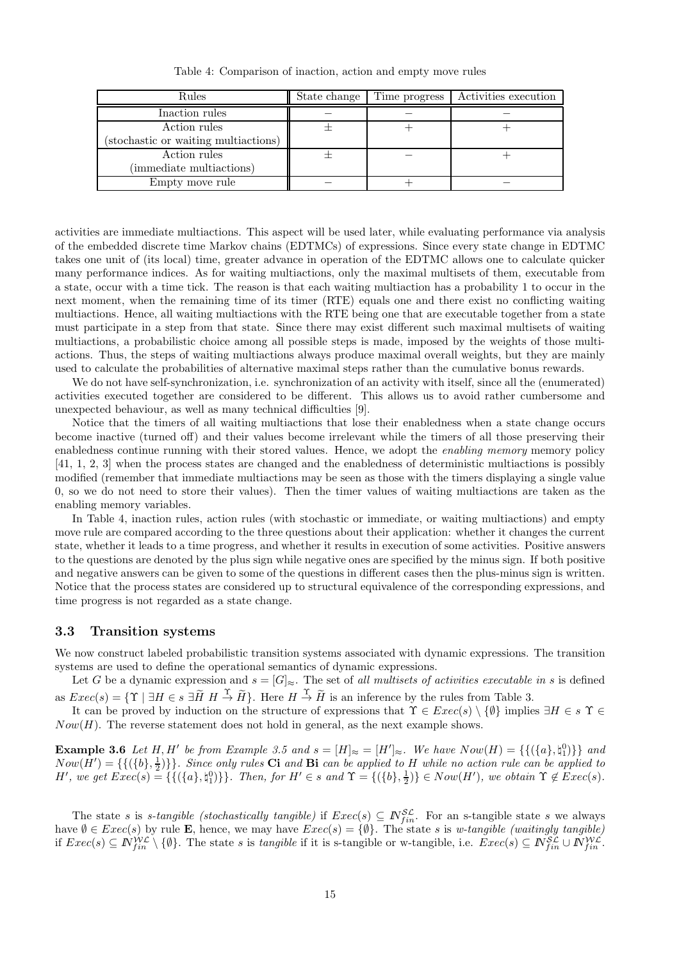| Rules                                | State change | Time progress | Activities execution |
|--------------------------------------|--------------|---------------|----------------------|
| Inaction rules                       |              |               |                      |
| Action rules                         |              |               |                      |
| (stochastic or waiting multiactions) |              |               |                      |
| Action rules                         |              |               |                      |
| (immediate multiactions)             |              |               |                      |
| Empty move rule                      |              |               |                      |

Table 4: Comparison of inaction, action and empty move rules

activities are immediate multiactions. This aspect will be used later, while evaluating performance via analysis of the embedded discrete time Markov chains (EDTMCs) of expressions. Since every state change in EDTMC takes one unit of (its local) time, greater advance in operation of the EDTMC allows one to calculate quicker many performance indices. As for waiting multiactions, only the maximal multisets of them, executable from a state, occur with a time tick. The reason is that each waiting multiaction has a probability 1 to occur in the next moment, when the remaining time of its timer (RTE) equals one and there exist no conflicting waiting multiactions. Hence, all waiting multiactions with the RTE being one that are executable together from a state must participate in a step from that state. Since there may exist different such maximal multisets of waiting multiactions, a probabilistic choice among all possible steps is made, imposed by the weights of those multiactions. Thus, the steps of waiting multiactions always produce maximal overall weights, but they are mainly used to calculate the probabilities of alternative maximal steps rather than the cumulative bonus rewards.

We do not have self-synchronization, i.e. synchronization of an activity with itself, since all the (enumerated) activities executed together are considered to be different. This allows us to avoid rather cumbersome and unexpected behaviour, as well as many technical difficulties [9].

Notice that the timers of all waiting multiactions that lose their enabledness when a state change occurs become inactive (turned off) and their values become irrelevant while the timers of all those preserving their enabledness continue running with their stored values. Hence, we adopt the enabling memory memory policy [41, 1, 2, 3] when the process states are changed and the enabledness of deterministic multiactions is possibly modified (remember that immediate multiactions may be seen as those with the timers displaying a single value 0, so we do not need to store their values). Then the timer values of waiting multiactions are taken as the enabling memory variables.

In Table 4, inaction rules, action rules (with stochastic or immediate, or waiting multiactions) and empty move rule are compared according to the three questions about their application: whether it changes the current state, whether it leads to a time progress, and whether it results in execution of some activities. Positive answers to the questions are denoted by the plus sign while negative ones are specified by the minus sign. If both positive and negative answers can be given to some of the questions in different cases then the plus-minus sign is written. Notice that the process states are considered up to structural equivalence of the corresponding expressions, and time progress is not regarded as a state change.

### 3.3 Transition systems

We now construct labeled probabilistic transition systems associated with dynamic expressions. The transition systems are used to define the operational semantics of dynamic expressions.

Let G be a dynamic expression and  $s = [G]_{\approx}$ . The set of all multisets of activities executable in s is defined as  $Exec(s) = \{ \Upsilon \mid \exists H \in s \exists \widetilde{H} \ H \stackrel{\Upsilon}{\rightarrow} \widetilde{H} \}.$  Here  $H \stackrel{\Upsilon}{\rightarrow} \widetilde{H}$  is an inference by the rules from Table 3.

It can be proved by induction on the structure of expressions that  $\Upsilon \in \mathit{Exec}(s) \setminus \{\emptyset\}$  implies  $\exists H \in s \Upsilon$  $Now(H)$ . The reverse statement does not hold in general, as the next example shows.

**Example 3.6** Let H, H' be from Example 3.5 and  $s = [H]_{\approx} = [H']_{\approx}$ . We have  $Now(H) = \{\{(\{a\}, \{\{\{a\}\}, \{\{\})\}\}\}$  and  $Now(H') = \{\{(\{b\},\frac{1}{2})\}\}\$ . Since only rules Ci and Bi can be applied to H while no action rule can be applied to H', we get  $Exec(s) = \{ \{ (\{a\}, \{a\}) \} \}$ . Then, for  $H' \in s$  and  $\Upsilon = \{ (\{b\}, \frac{1}{2}) \} \in Now(H')$ , we obtain  $\Upsilon \notinExec(s)$ .

The state s is s-tangible (stochastically tangible) if  $Exec(s) \subseteq N_{fin}^{SL}$ . For an s-tangible state s we always have  $\emptyset \in Excel(s)$  by rule **E**, hence, we may have  $Exec(s) = \{\emptyset\}$ . The state s is w-tangible (waitingly tangible) if  $Exec(s) \subseteq N_{fin}^{W\mathcal{L}} \setminus \{\emptyset\}$ . The state s is tangible if it is s-tangible or w-tangible, i.e.  $Exec(s) \subseteq N_{fin}^{SL} \cup N_{fin}^{W\mathcal{L}}$ .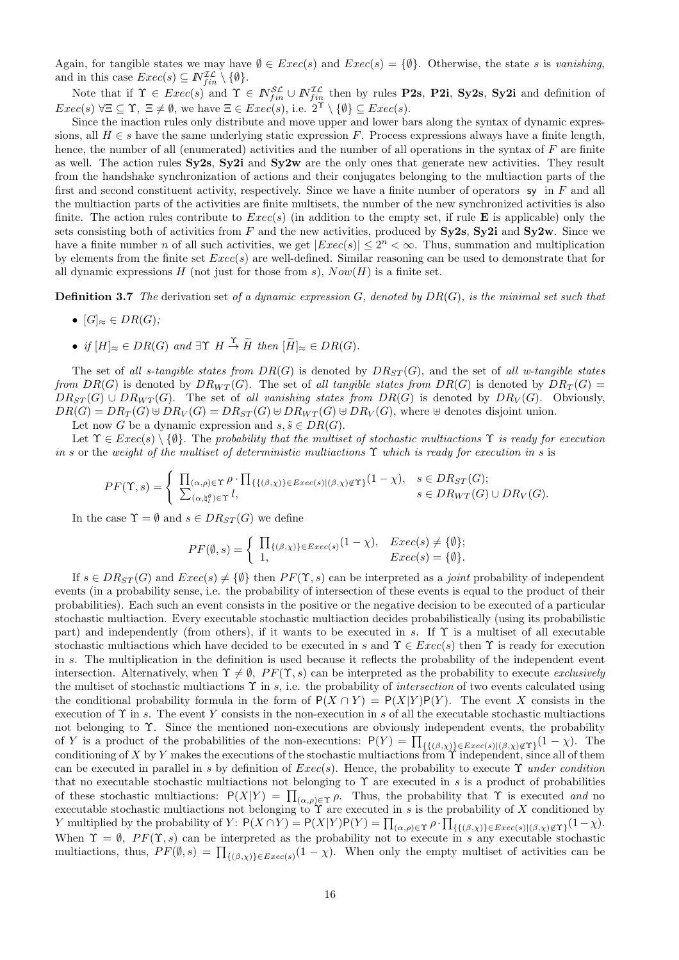Again, for tangible states we may have  $\emptyset \in Excel(s)$  and  $Exec(s) = \{\emptyset\}$ . Otherwise, the state s is vanishing, and in this case  $Exec(s) \subseteq N_{fin}^{\mathcal{IL}} \setminus \{\emptyset\}.$ 

Note that if  $\Upsilon \in \text{Exec}(s)$  and  $\Upsilon \in \mathbb{N}_{fin}^{\mathcal{SL}} \cup \mathbb{N}_{fin}^{\mathcal{IL}}$  then by rules **P2s**, **P2i**, **Sy2s**, **Sy2i** and definition of  $Exec(s) \,\forall \Xi \subseteq \Upsilon, \, \Xi \neq \emptyset$ , we have  $\Xi \in Excel(s)$ , i.e.  $2^{\Upsilon} \setminus {\emptyset} \subseteq Excel(s)$ .

Since the inaction rules only distribute and move upper and lower bars along the syntax of dynamic expressions, all  $H \in s$  have the same underlying static expression F. Process expressions always have a finite length, hence, the number of all (enumerated) activities and the number of all operations in the syntax of F are finite as well. The action rules  $S_y2s$ ,  $S_y2i$  and  $S_y2w$  are the only ones that generate new activities. They result from the handshake synchronization of actions and their conjugates belonging to the multiaction parts of the first and second constituent activity, respectively. Since we have a finite number of operators  $s\gamma$  in F and all the multiaction parts of the activities are finite multisets, the number of the new synchronized activities is also finite. The action rules contribute to  $Exec(s)$  (in addition to the empty set, if rule **E** is applicable) only the sets consisting both of activities from F and the new activities, produced by  $Sy2s$ ,  $Sy2i$  and  $Sy2w$ . Since we have a finite number n of all such activities, we get  $|Exec(s)| \leq 2^{n} < \infty$ . Thus, summation and multiplication by elements from the finite set  $Exec(s)$  are well-defined. Similar reasoning can be used to demonstrate that for all dynamic expressions H (not just for those from s),  $Now(H)$  is a finite set.

**Definition 3.7** The derivation set of a dynamic expression  $G$ , denoted by  $DR(G)$ , is the minimal set such that

- $[G]_{\approx} \in DR(G)$ :
- if  $[H]_{\approx} \in DR(G)$  and  $\exists \Upsilon \ H \stackrel{\Upsilon}{\rightarrow} \widetilde{H}$  then  $[\widetilde{H}]_{\approx} \in DR(G)$ .

The set of all s-tangible states from  $DR(G)$  is denoted by  $DR_{ST}(G)$ , and the set of all w-tangible states from  $DR(G)$  is denoted by  $DR_{WT}(G)$ . The set of all tangible states from  $DR(G)$  is denoted by  $DR_T(G)$  $DR_{ST}(G) \cup DR_{WT}(G)$ . The set of all vanishing states from  $DR(G)$  is denoted by  $DR_V(G)$ . Obviously,  $DR(G) = DR_T(G) \oplus DR_V(G) = DR_{ST}(G) \oplus DR_{WT}(G) \oplus DR_V(G)$ , where  $\oplus$  denotes disjoint union.

Let now G be a dynamic expression and  $s, \tilde{s} \in DR(G)$ .

Let  $\Upsilon \in \text{Exec}(s) \setminus \{\emptyset\}$ . The probability that the multiset of stochastic multiactions  $\Upsilon$  is ready for execution in s or the weight of the multiset of deterministic multiactions  $\Upsilon$  which is ready for execution in s is

$$
PF(\Upsilon,s) = \begin{cases} \prod_{(\alpha,\rho) \in \Upsilon} \rho \cdot \prod_{\{(\beta,\chi)\} \in E \text{vec}(s) | (\beta,\chi) \notin \Upsilon\}} (1-\chi), & s \in DR_{ST}(G); \\ \sum_{(\alpha,\natural^{\theta}_{l}) \in \Upsilon} l, & s \in DR_{WT}(G) \cup DR_{V}(G). \end{cases}
$$

In the case  $\Upsilon = \emptyset$  and  $s \in DR_{ST}(G)$  we define

$$
PF(\emptyset, s) = \begin{cases} \prod_{\{(\beta, \chi)\}\in \text{Exec}(s)} (1 - \chi), & \text{Exec}(s) \neq \{\emptyset\}; \\ 1, & \text{Exec}(s) = \{\emptyset\}. \end{cases}
$$

If  $s \in DR_{ST}(G)$  and  $Exec(s) \neq \{\emptyset\}$  then  $PF(\Upsilon, s)$  can be interpreted as a joint probability of independent events (in a probability sense, i.e. the probability of intersection of these events is equal to the product of their probabilities). Each such an event consists in the positive or the negative decision to be executed of a particular stochastic multiaction. Every executable stochastic multiaction decides probabilistically (using its probabilistic part) and independently (from others), if it wants to be executed in s. If  $\Upsilon$  is a multiset of all executable stochastic multiactions which have decided to be executed in s and  $\Upsilon \in \text{Exec}(s)$  then  $\Upsilon$  is ready for execution in s. The multiplication in the definition is used because it reflects the probability of the independent event intersection. Alternatively, when  $\Upsilon \neq \emptyset$ ,  $PF(\Upsilon, s)$  can be interpreted as the probability to execute exclusively the multiset of stochastic multiactions  $\Upsilon$  in s, i.e. the probability of *intersection* of two events calculated using the conditional probability formula in the form of  $P(X \cap Y) = P(X|Y)P(Y)$ . The event X consists in the execution of  $\Upsilon$  in s. The event Y consists in the non-execution in s of all the executable stochastic multiactions not belonging to Υ. Since the mentioned non-executions are obviously independent events, the probability of Y is a product of the probabilities of the non-executions:  $P(Y) = \prod_{\{\{(\beta,\chi)\}\in Excel(\beta,\chi)\notin \Upsilon\}} (1-\chi)$ . The conditioning of X by Y makes the executions of the stochastic multiactions from  $\Upsilon$  independent, since all of them can be executed in parallel in s by definition of  $Exec(s)$ . Hence, the probability to execute  $\Upsilon$  under condition that no executable stochastic multiactions not belonging to  $\Upsilon$  are executed in s is a product of probabilities of these stochastic multiactions:  $P(X|Y) = \prod_{(\alpha,\rho) \in \Upsilon} \rho$ . Thus, the probability that  $\Upsilon$  is executed and no executable stochastic multiactions not belonging to  $\Upsilon$  are executed in s is the probability of X conditioned by Y multiplied by the probability of  $Y$ :  $P(X \cap Y) = P(X|Y)P(Y) = \prod_{(\alpha,\rho) \in \Upsilon} \rho \cdot \prod_{\{\{\beta,\chi\}\in\text{Exec}(s) | (\beta,\chi) \notin \Upsilon\}} (1-\chi)$ . When  $\Upsilon = \emptyset$ ,  $PF(\Upsilon, s)$  can be interpreted as the probability not to execute in s any executable stochastic multiactions, thus,  $PF(\emptyset, s) = \prod_{\{(\beta,\chi)\}\in Excel(s)} (1-\chi)$ . When only the empty multiset of activities can be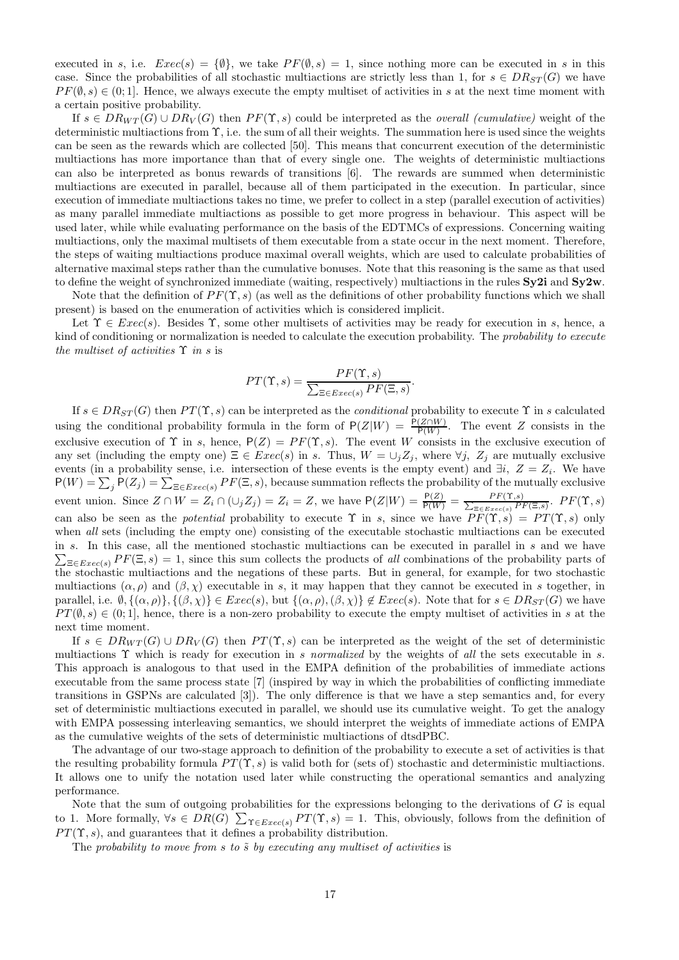executed in s, i.e.  $Exec(s) = \{\emptyset\}$ , we take  $PF(\emptyset, s) = 1$ , since nothing more can be executed in s in this case. Since the probabilities of all stochastic multiactions are strictly less than 1, for  $s \in DR_{ST}(G)$  we have  $PF(\emptyset, s) \in (0, 1]$ . Hence, we always execute the empty multiset of activities in s at the next time moment with a certain positive probability.

If  $s \in DR_{WT}(G) \cup DR_V(G)$  then  $PF(\Upsilon, s)$  could be interpreted as the *overall (cumulative)* weight of the deterministic multiactions from Υ, i.e. the sum of all their weights. The summation here is used since the weights can be seen as the rewards which are collected [50]. This means that concurrent execution of the deterministic multiactions has more importance than that of every single one. The weights of deterministic multiactions can also be interpreted as bonus rewards of transitions [6]. The rewards are summed when deterministic multiactions are executed in parallel, because all of them participated in the execution. In particular, since execution of immediate multiactions takes no time, we prefer to collect in a step (parallel execution of activities) as many parallel immediate multiactions as possible to get more progress in behaviour. This aspect will be used later, while while evaluating performance on the basis of the EDTMCs of expressions. Concerning waiting multiactions, only the maximal multisets of them executable from a state occur in the next moment. Therefore, the steps of waiting multiactions produce maximal overall weights, which are used to calculate probabilities of alternative maximal steps rather than the cumulative bonuses. Note that this reasoning is the same as that used to define the weight of synchronized immediate (waiting, respectively) multiactions in the rules  $Sv2i$  and  $Sv2w$ .

Note that the definition of  $PF(\Upsilon, s)$  (as well as the definitions of other probability functions which we shall present) is based on the enumeration of activities which is considered implicit.

Let  $\Upsilon \in \text{Exec}(s)$ . Besides  $\Upsilon$ , some other multisets of activities may be ready for execution in s, hence, a kind of conditioning or normalization is needed to calculate the execution probability. The *probability to execute* the multiset of activities  $\Upsilon$  in s is

$$
PT(\Upsilon, s) = \frac{PF(\Upsilon, s)}{\sum_{\Xi \in \text{Exec}(s)} PF(\Xi, s)}.
$$

If  $s \in DR_{ST}(G)$  then  $PT(\Upsilon, s)$  can be interpreted as the *conditional* probability to execute  $\Upsilon$  in s calculated using the conditional probability formula in the form of  $P(Z|W) = \frac{P(Z \cap W)}{P(W)}$ . The event Z consists in the exclusive execution of  $\Upsilon$  in s, hence,  $P(Z) = PF(\Upsilon, s)$ . The event W consists in the exclusive execution of any set (including the empty one)  $\Xi \in \text{Exec}(s)$  in s. Thus,  $W = \bigcup_i Z_i$ , where  $\forall j$ ,  $Z_j$  are mutually exclusive events (in a probability sense, i.e. intersection of these events is the empty event) and  $\exists i, Z = Z_i$ . We have  $P(W) = \sum_j P(Z_j) = \sum_{\Xi \in Excel(s)} PF(\Xi, s)$ , because summation reflects the probability of the mutually exclusive event union. Since  $Z \cap W = Z_i \cap (\cup_j Z_j) = Z_i = Z$ , we have  $P(Z|W) = \frac{P(Z)}{P(W)} = \frac{P(F(Y, s))}{\sum_{z \in Exercise(s)} P(Z)}$  $\frac{F\,F\,(1\,,s)}{\Xi\in\text{Exec}(s)}\,PF(\Xi,s)}.$   $PF(\Upsilon,s)$ can also be seen as the *potential* probability to execute  $\Upsilon$  in s, since we have  $PF(\Upsilon, s) = PT(\Upsilon, s)$  only when all sets (including the empty one) consisting of the executable stochastic multiactions can be executed in s. In this case, all the mentioned stochastic multiactions can be executed in parallel in s and we have  $\sum_{\Xi \in Excel(s)} PF(\Xi, s) = 1$ , since this sum collects the products of all combinations of the probability parts of the stochastic multiactions and the negations of these parts. But in general, for example, for two stochastic multiactions  $(\alpha, \rho)$  and  $(\beta, \chi)$  executable in s, it may happen that they cannot be executed in s together, in parallel, i.e.  $\emptyset$ ,  $\{(\alpha, \rho)\}, \{(\beta, \chi)\}\in \text{Exec}(s)$ , but  $\{(\alpha, \rho), (\beta, \chi)\}\notin \text{Exec}(s)$ . Note that for  $s \in DR_{ST}(G)$  we have  $PT(\emptyset, s) \in (0, 1]$ , hence, there is a non-zero probability to execute the empty multiset of activities in s at the next time moment.

If  $s \in DR_{WT}(G) \cup DR_V(G)$  then  $PT(\Upsilon, s)$  can be interpreted as the weight of the set of deterministic multiactions  $\Upsilon$  which is ready for execution in s normalized by the weights of all the sets executable in s. This approach is analogous to that used in the EMPA definition of the probabilities of immediate actions executable from the same process state [7] (inspired by way in which the probabilities of conflicting immediate transitions in GSPNs are calculated [3]). The only difference is that we have a step semantics and, for every set of deterministic multiactions executed in parallel, we should use its cumulative weight. To get the analogy with EMPA possessing interleaving semantics, we should interpret the weights of immediate actions of EMPA as the cumulative weights of the sets of deterministic multiactions of dtsdPBC.

The advantage of our two-stage approach to definition of the probability to execute a set of activities is that the resulting probability formula  $PT(\Upsilon, s)$  is valid both for (sets of) stochastic and deterministic multiactions. It allows one to unify the notation used later while constructing the operational semantics and analyzing performance.

Note that the sum of outgoing probabilities for the expressions belonging to the derivations of  $G$  is equal to 1. More formally,  $\forall s \in DR(G)$   $\sum_{\Upsilon \in Excel(s)} PT(\Upsilon, s) = 1$ . This, obviously, follows from the definition of  $PT(\Upsilon, s)$ , and guarantees that it defines a probability distribution.

The probability to move from  $s$  to  $\tilde{s}$  by executing any multiset of activities is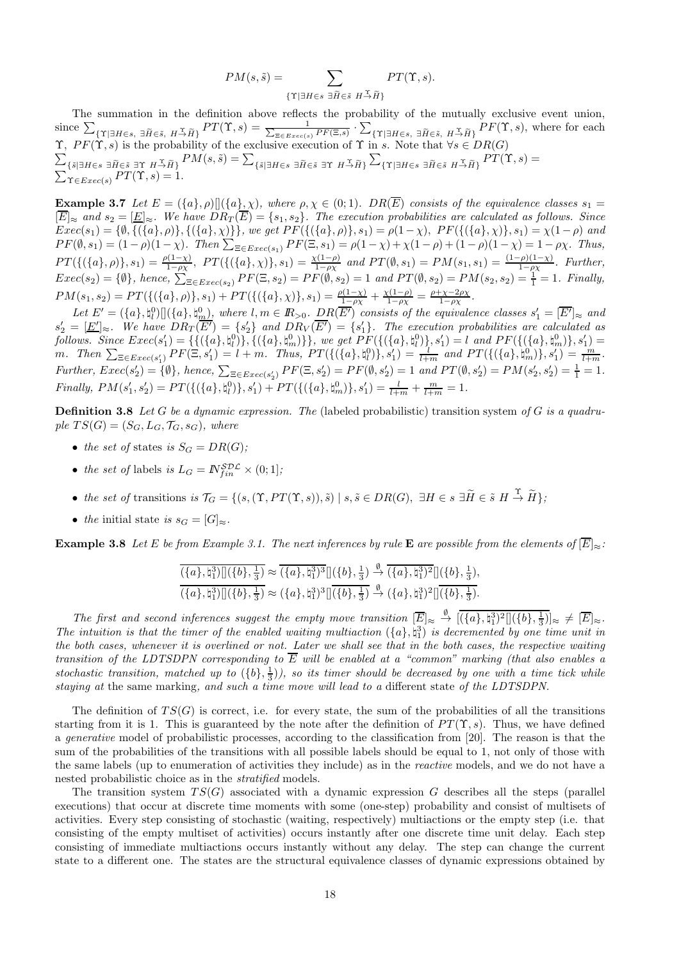$$
PM(s, \tilde{s}) = \sum_{\{\Upsilon \mid \exists H \in s \ \exists \tilde{H} \in \tilde{s} \ H \stackrel{\Upsilon}{\rightarrow} \tilde{H}\}} PT(\Upsilon, s).
$$

The summation in the definition above reflects the probability of the mutually exclusive event union, since  $\sum_{\{\Upsilon \mid \exists H \in s, \ \exists \widetilde{H} \in \tilde{s}, \ H \overset{\Upsilon}{\to} \widetilde{H}\}} PT(\Upsilon, s) = \frac{1}{\sum_{\Xi \in \text{Exec}(s)} PF(\Xi, s)} \cdot \sum$  ${\{\Upsilon | \exists H \in s, \exists \widetilde{H} \in \widetilde{s}, H \rightarrow \widetilde{H}\}}$   $PF(\Upsilon, s)$ , where for each  $\sum$  $\Upsilon$ ,  $PF(\Upsilon, s)$  is the probability of the exclusive execution of  $\Upsilon$  in s. Note that  $\forall s \in DR(G)$  $\{ \bar{s} | \exists H \in s \ \exists \tilde{H} \in \tilde{s} \ \exists \Upsilon \ H \stackrel{\tau}{\rightarrow} \tilde{H} \} } \ {\cal P} M(s,\tilde{s}) = \sum\nolimits_{\{ \tilde{s} | \exists H \in s \ \exists \tilde{H} \in \tilde{s} \ \exists \Upsilon \ H \stackrel{\tau}{\rightarrow} \tilde{H} \} } \sum \pi$  $\{\Upsilon | \exists H \in s \; \exists \widetilde{H} \in \widetilde{s} \; H \overset{\Upsilon}{\rightarrow} \widetilde{H}\} \frac{PT(\Upsilon,s)}{F} =$  $\sum_{\Upsilon \in \text{Exec}(s)} P T(\Upsilon, s) = 1.$ 

**Example 3.7** Let  $E = (\{a\}, \rho) [(\{a\}, \chi),$  where  $\rho, \chi \in (0, 1)$ .  $DR(\overline{E})$  consists of the equivalence classes  $s_1 =$  $[\overline{E}]_{\approx}$  and  $s_2 = [\underline{E}]_{\approx}$ . We have  $\overline{DR_T(E)} = \{s_1, s_2\}$ . The execution probabilities are calculated as follows. Since  $Exec(s_1) = \{\emptyset, \{(\{a\}, \rho)\}, \{(\{a\}, \chi)\}\}\$ , we get  $PF(\{(\{a\}, \rho)\}, s_1) = \rho(1-\chi), PF(\{(\{a\}, \chi)\}, s_1) = \chi(1-\rho)$  and  $PF(\emptyset, s_1) = (1 - \rho)(1 - \chi)$ . Then  $\sum_{\Xi \in Excel(s_1)} PF(\Xi, s_1) = \rho(1 - \chi) + \chi(1 - \rho) + (1 - \rho)(1 - \chi) = 1 - \rho\chi$ . Thus,  $PT(\{(\{a\}, \rho)\}, s_1) = \frac{\rho(1-\chi)}{1-\rho\chi}, PT(\{(\{a\}, \chi)\}, s_1) = \frac{\chi(1-\rho)}{1-\rho\chi} \text{ and } PT(\emptyset, s_1) = PM(s_1, s_1) = \frac{(1-\rho)(1-\chi)}{1-\rho\chi}.$  Further,  $Exec(s_2) = \{\emptyset\}, \text{ hence, } \sum_{\Xi \in Exercise(s_2)} PF(\Xi, s_2) = PF(\emptyset, s_2) = 1 \text{ and } PT(\emptyset, s_2) = PM(s_2, s_2) = \frac{1}{1} = 1. \text{ Finally,}$  $PM(s_1, s_2) = PT(\{(\{a\}, \rho)\}, s_1) + PT(\{(\{a\}, \chi)\}, s_1) = \frac{\rho(1-\chi)}{1-\rho\chi} + \frac{\chi(1-\rho)}{1-\rho\chi} = \frac{\rho+\chi-2\rho\chi}{1-\rho\chi}.$ 

Let  $E' = (\{a\}, \natural_l^0) [(\{a\}, \natural_m^0),$  where  $l, m \in \mathbb{R}_{>0}$ .  $\overline{DR(\overline{E'})}$  consists of the equivalence classes  $s'_1 = [\overline{E'}]_{\approx}$  and  $s'_2 = [\underline{E}']_{\approx}$ . We have  $DR_T(\overline{E'}) = \{s'_2\}$  and  $DR_V(\overline{E'}) = \{s'_1\}$ . The execution probabilities are calculated as  $\text{follows. Since } \text{Exec}(s_1') = \{ \{ (\{a\}, \natural_i^0) \}, \{ (\{a\}, \natural_m^0) \} \}, \text{ we get } \text{PF}( \{ (\{a\}, \natural_i^0) \}, s_1') = l \text{ and } \text{PF}( \{ (\{a\}, \natural_m^0) \}, s_1') = l \text{ and } \text{PF}( \{ (\{a\}, \natural_i^0 \}, s_1') = l \text{ and } \text{PF}( \{ (\{a\}, \natural_i^0 \}, s_1') = l \text{ and } \text{PF}( \{ (\{a\}, \natural_i^0 \}, s_1') = l \text{ and } \text{PF}( \{ (\{a$  $m.$  Then  $\sum_{\Xi \in \text{Exec}(s'_1)} PF(\Xi, s'_1) = l + m.$  Thus,  $PT(\{(\{a\}, \phi_i^0)\}, s'_1) = \frac{l}{l+m}$  and  $PT(\{(\{a\}, \phi_m^0)\}, s'_1) = \frac{m}{l+m}.$ Further,  $Exec(s'_2) = \{\emptyset\}$ , hence,  $\sum_{\Xi \inExec(s'_2)} PF(\Xi, s'_2) = PF(\emptyset, s'_2) = 1$  and  $PT(\emptyset, s'_2) = PM(s'_2, s'_2) = \frac{1}{1} = 1$ . Finally,  $PM(s'_1, s'_2) = PT(\{(\{a\}, \mathfrak{h}_l^0)\}, s'_1) + PT(\{(\{a\}, \mathfrak{h}_m^0)\}, s'_1) = \frac{l}{l+m} + \frac{m}{l+m} = 1.$ 

**Definition 3.8** Let G be a dynamic expression. The (labeled probabilistic) transition system of G is a quadruple  $TS(G) = (S_G, L_G, \mathcal{T}_G, s_G)$ , where

- the set of states is  $S_G = DR(G);$
- the set of labels is  $L_G = N_{fin}^{\mathcal{SDL}} \times (0, 1];$
- the set of transitions is  $\mathcal{T}_G = \{ (s, (\Upsilon, PT(\Upsilon, s)), \tilde{s}) \mid s, \tilde{s} \in DR(G), \exists H \in s \exists \tilde{H} \in \tilde{s} \ H \stackrel{\Upsilon}{\rightarrow} \tilde{H} \};$
- the initial state is  $s_G = [G]_{\approx}$ .

**Example 3.8** Let E be from Example 3.1. The next inferences by rule E are possible from the elements of  $\boxed{E}$   $\approx$ :

$$
\overline{(\{a\},\natural_1^3)\|(\{b\},\frac{1}{3})} \approx \overline{(\{a\},\natural_1^3)^3}\|(\{b\},\frac{1}{3}) \stackrel{\emptyset}{\to} \overline{(\{a\},\natural_1^3)^2}\|(\{b\},\frac{1}{3})
$$
  

$$
\overline{(\{a\},\natural_1^3)\|(\{b\},\frac{1}{3})} \approx (\{a\},\natural_1^3)^3\| \overline{(\{b\},\frac{1}{3})} \stackrel{\emptyset}{\to} (\{a\},\natural_1^3)^2\| \overline{(\{b\},\frac{1}{3})}.
$$

The first and second inferences suggest the empty move transition  $\left[\overline{E}\right]_{\approx} \stackrel{\emptyset}{\to} \left[\overline{\left(\{a\}, \natural_1^3\right)^2}\right]\left[\left(\{b\}, \frac{1}{3}\right]\right]_{\approx} \neq \left[\overline{E}\right]_{\approx}$ . The intuition is that the timer of the enabled waiting multiaction  $(\{a\},\natural_1^3)$  is decremented by one time unit in the both cases, whenever it is overlined or not. Later we shall see that in the both cases, the respective waiting transition of the LDTSDPN corresponding to E will be enabled at a "common" marking (that also enables a stochastic transition, matched up to  $(\{b\}, \frac{1}{3})$ , so its timer should be decreased by one with a time tick while staying at the same marking, and such a time move will lead to a different state of the LDTSDPN.

The definition of  $TS(G)$  is correct, i.e. for every state, the sum of the probabilities of all the transitions starting from it is 1. This is guaranteed by the note after the definition of  $PT(\Upsilon, s)$ . Thus, we have defined a generative model of probabilistic processes, according to the classification from [20]. The reason is that the sum of the probabilities of the transitions with all possible labels should be equal to 1, not only of those with the same labels (up to enumeration of activities they include) as in the reactive models, and we do not have a nested probabilistic choice as in the stratified models.

The transition system  $TS(G)$  associated with a dynamic expression G describes all the steps (parallel executions) that occur at discrete time moments with some (one-step) probability and consist of multisets of activities. Every step consisting of stochastic (waiting, respectively) multiactions or the empty step (i.e. that consisting of the empty multiset of activities) occurs instantly after one discrete time unit delay. Each step consisting of immediate multiactions occurs instantly without any delay. The step can change the current state to a different one. The states are the structural equivalence classes of dynamic expressions obtained by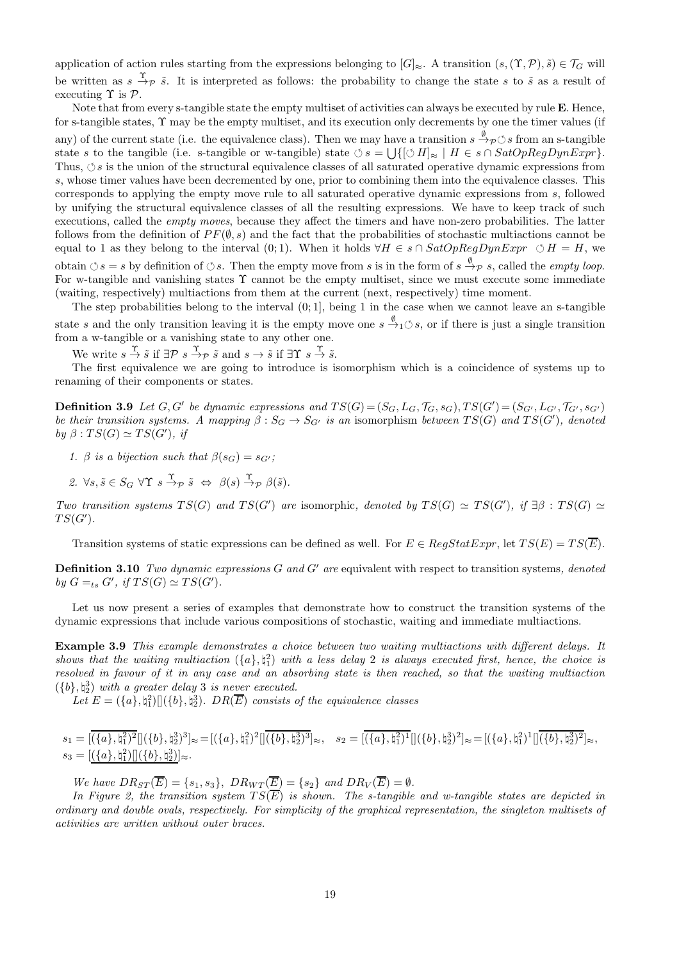application of action rules starting from the expressions belonging to  $[G]_{\approx}$ . A transition  $(s,(\Upsilon,\mathcal{P}),\tilde{s})\in\mathcal{T}_G$  will be written as  $s \stackrel{\Upsilon}{\to} p \tilde{s}$ . It is interpreted as follows: the probability to change the state s to  $\tilde{s}$  as a result of executing  $\Upsilon$  is  $\mathcal{P}$ .

Note that from every s-tangible state the empty multiset of activities can always be executed by rule **E**. Hence, for s-tangible states, Υ may be the empty multiset, and its execution only decrements by one the timer values (if any) of the current state (i.e. the equivalence class). Then we may have a transition  $s \xrightarrow{\emptyset} \rho \circ s$  from an s-tangible state s to the tangible (i.e. s-tangible or w-tangible) state  $\circ s = \bigcup \{ [\circ H]_{\approx} \mid H \in s \cap \text{SatOpRegDynExpr} \}.$ Thus,  $\circ$  is the union of the structural equivalence classes of all saturated operative dynamic expressions from s, whose timer values have been decremented by one, prior to combining them into the equivalence classes. This corresponds to applying the empty move rule to all saturated operative dynamic expressions from s, followed by unifying the structural equivalence classes of all the resulting expressions. We have to keep track of such executions, called the empty moves, because they affect the timers and have non-zero probabilities. The latter follows from the definition of  $PF(\emptyset, s)$  and the fact that the probabilities of stochastic multiactions cannot be equal to 1 as they belong to the interval  $(0, 1)$ . When it holds  $\forall H \in s \cap SatOpRegDynExpr \circ H = H$ , we obtain  $\circ s = s$  by definition of  $\circ s$ . Then the empty move from s is in the form of  $s \stackrel{\emptyset}{\to} \mathcal{P} s$ , called the *empty loop*. For w-tangible and vanishing states  $\Upsilon$  cannot be the empty multiset, since we must execute some immediate (waiting, respectively) multiactions from them at the current (next, respectively) time moment.

The step probabilities belong to the interval  $(0, 1]$ , being 1 in the case when we cannot leave an s-tangible state s and the only transition leaving it is the empty move one  $s \stackrel{\emptyset}{\to}_1 \circlearrowleft s$ , or if there is just a single transition from a w-tangible or a vanishing state to any other one.

We write  $s \stackrel{\Upsilon}{\rightarrow} \tilde{s}$  if  $\exists \mathcal{P} \ s \stackrel{\Upsilon}{\rightarrow} \tilde{s}$  and  $s \rightarrow \tilde{s}$  if  $\exists \Upsilon \ s \stackrel{\Upsilon}{\rightarrow} \tilde{s}$ .

The first equivalence we are going to introduce is isomorphism which is a coincidence of systems up to renaming of their components or states.

**Definition 3.9** Let  $G, G'$  be dynamic expressions and  $TS(G) = (S_G, L_G, \mathcal{T}_G, s_G), TS(G') = (S_{G'}, L_{G'}, \mathcal{T}_{G'}, s_{G'})$ be their transition systems. A mapping  $\beta: S_G \to S_{G'}$  is an isomorphism between  $TS(G)$  and  $TS(G')$ , denoted by  $\beta: TS(G) \simeq TS(G')$ , if

- 1. β is a bijection such that  $\beta(s_G) = s_{G'}$ ;
- 2.  $\forall s, \tilde{s} \in S_G \ \forall \Upsilon \ s \stackrel{\Upsilon}{\rightarrow} \mathcal{P} \ \tilde{s} \ \Leftrightarrow \ \beta(s) \stackrel{\Upsilon}{\rightarrow} \mathcal{P} \ \beta(\tilde{s}).$

Two transition systems  $TS(G)$  and  $TS(G')$  are isomorphic, denoted by  $TS(G) \simeq TS(G')$ , if  $\exists \beta : TS(G) \simeq$  $TS(G')$ .

Transition systems of static expressions can be defined as well. For  $E \in RegStatexpr$ , let  $TS(E) = TS(\overline{E})$ .

**Definition 3.10** Two dynamic expressions  $G$  and  $G'$  are equivalent with respect to transition systems, denoted by  $G =_{ts} G'$ , if  $TS(G) \simeq TS(G')$ .

Let us now present a series of examples that demonstrate how to construct the transition systems of the dynamic expressions that include various compositions of stochastic, waiting and immediate multiactions.

Example 3.9 This example demonstrates a choice between two waiting multiactions with different delays. It shows that the waiting multiaction  $({a}, {}_{1}^{2})$  with a less delay 2 is always executed first, hence, the choice is resolved in favour of it in any case and an absorbing state is then reached, so that the waiting multiaction  $({b}, <sup>3</sup>/<sub>2</sub>)$  with a greater delay 3 is never executed.

Let  $E = (\{a\}, \natural_1^2) [](\{b\}, \natural_2^3)$ .  $DR(\overline{E})$  consists of the equivalence classes

 $s_1 = \overline{[(\{a\},\natural_1^2)^2}][(\{b\},\natural_2^3)^3]_{\approx} = [(\{a\},\natural_1^2)^2]\overline{[(\{b\},\natural_2^3)^3]}_{\approx},\quad s_2 = \overline{[(\{a\},\natural_1^2)^1}][(\{b\},\natural_2^3)^2]_{\approx} = [(\{a\},\natural_1^2)^1]\overline{[(\{b\},\natural_2^3)^2]}_{\approx},$  $s_3 = [(\{a\}, \mathbf{h}_1^2)][(\{b\}, \mathbf{h}_2^3)]_{\approx}.$ 

We have  $DR_{ST}(\overline{E}) = \{s_1, s_3\}, \ D R_{WT}(\overline{E}) = \{s_2\} \ and \ DR_V(\overline{E}) = \emptyset.$ 

In Figure 2, the transition system  $TS(\overline{E})$  is shown. The s-tangible and w-tangible states are depicted in ordinary and double ovals, respectively. For simplicity of the graphical representation, the singleton multisets of activities are written without outer braces.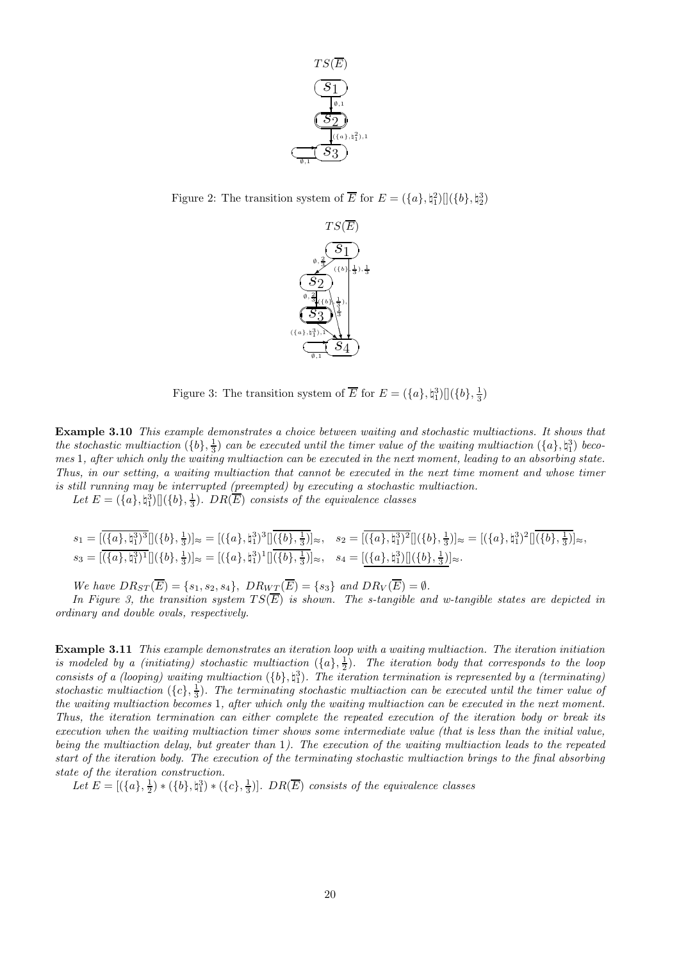

Figure 2: The transition system of  $\overline{E}$  for  $E = (\lbrace a \rbrace, \natural_1^2) [](\lbrace b \rbrace, \natural_2^3)$ 



Figure 3: The transition system of  $\overline{E}$  for  $E = (\lbrace a \rbrace, \natural_1^3) [](\lbrace b \rbrace, \frac{1}{3})$ 

Example 3.10 This example demonstrates a choice between waiting and stochastic multiactions. It shows that the stochastic multiaction  $(\{b\}, \frac{1}{3})$  can be executed until the timer value of the waiting multiaction  $(\{a\}, \natural_1^3)$  becomes 1, after which only the waiting multiaction can be executed in the next moment, leading to an absorbing state. Thus, in our setting, a waiting multiaction that cannot be executed in the next time moment and whose timer is still running may be interrupted (preempted) by executing a stochastic multiaction.

Let  $E = (\{a\}, \natural_1^3) [](\{b\}, \frac{1}{3})$ . DR( $\overline{E}$ ) consists of the equivalence classes

$$
s_1 = [(\overline{\{a\}, \natural_1^3\}^3][(\{b\}, \frac{1}{3})]_{\approx} = [(\{a\}, \natural_1^3)^3][\overline{(\{b\}, \frac{1}{3})}]_{\approx}, \quad s_2 = [(\overline{\{a\}, \natural_1^3\}^2][(\{b\}, \frac{1}{3})]_{\approx} = [(\{a\}, \natural_1^3)^2][(\{b\}, \frac{1}{3})]_{\approx},
$$
  

$$
s_3 = [(\overline{\{a\}, \natural_1^3\}^1][(\{b\}, \frac{1}{3})]_{\approx} = [(\{a\}, \natural_1^3)^1][(\{b\}, \frac{1}{3})]_{\approx}, \quad s_4 = [(\{a\}, \natural_1^3)][(\{b\}, \frac{1}{3})]_{\approx}.
$$

We have  $DR_{ST}(\overline{E}) = \{s_1, s_2, s_4\}, \ DR_{WT}(\overline{E}) = \{s_3\} \text{ and } DR_V(\overline{E}) = \emptyset.$ 

In Figure 3, the transition system  $TS(\overline{E})$  is shown. The s-tangible and w-tangible states are depicted in ordinary and double ovals, respectively.

Example 3.11 This example demonstrates an iteration loop with a waiting multiaction. The iteration initiation is modeled by a (initiating) stochastic multiaction  $(\{a\},\frac{1}{2})$ . The iteration body that corresponds to the loop consists of a (looping) waiting multiaction  $({b}, \xi_1^3)$ . The iteration termination is represented by a (terminating) stochastic multiaction  $(\{c\}, \frac{1}{3})$ . The terminating stochastic multiaction can be executed until the timer value of the waiting multiaction becomes 1, after which only the waiting multiaction can be executed in the next moment. Thus, the iteration termination can either complete the repeated execution of the iteration body or break its execution when the waiting multiaction timer shows some intermediate value (that is less than the initial value, being the multiaction delay, but greater than 1). The execution of the waiting multiaction leads to the repeated start of the iteration body. The execution of the terminating stochastic multiaction brings to the final absorbing state of the iteration construction.

Let  $E = [(\{a\}, \frac{1}{2}) * (\{b\}, \natural_1^3) * (\{c\}, \frac{1}{3})]$ . DR( $\overline{E}$ ) consists of the equivalence classes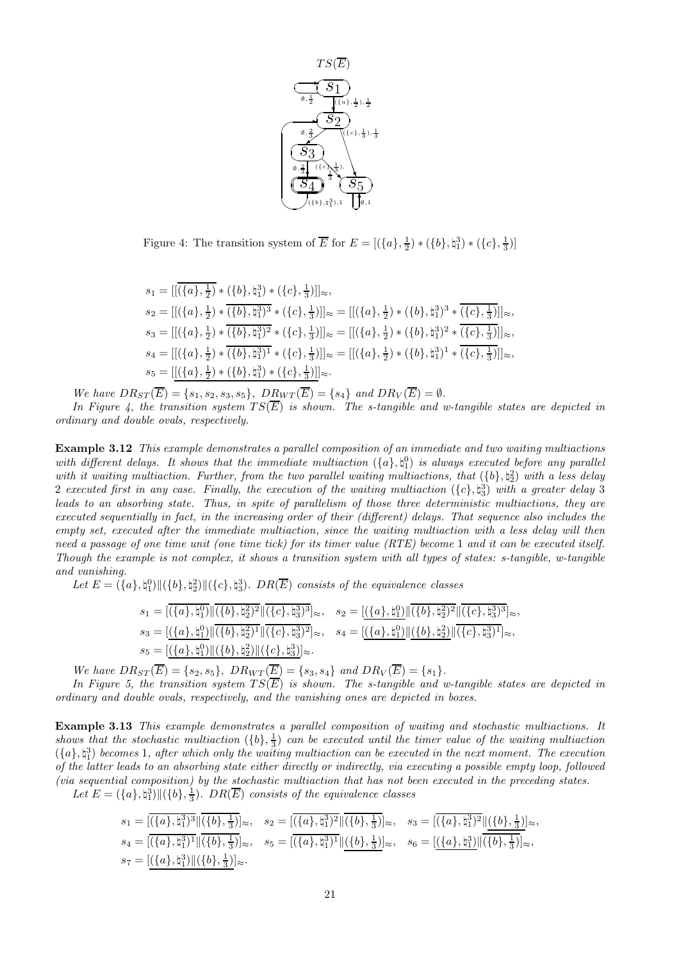

Figure 4: The transition system of  $\overline{E}$  for  $E = [(\lbrace a \rbrace, \frac{1}{2}) * (\lbrace b \rbrace, \natural] ) * (\lbrace c \rbrace, \frac{1}{3})]$ 

 $s_1 = [[(\lbrace a \rbrace, \frac{1}{2}) * (\lbrace b \rbrace, \natural_1^3) * (\lbrace c \rbrace, \frac{1}{3})]]_{\approx},$  $s_2 = [[(\{a\}, \frac{1}{2}) * \overline{(\{b\}, \natural_1^3)^3} * (\{c\}, \frac{1}{3})]]_{\approx} = [[(\{a\}, \frac{1}{2}) * (\{b\}, \natural_1^3)^3 * (\{c\}, \frac{1}{3})]]_{\approx}$  $s_3 = [[(\{a\}, \frac{1}{2}) * \overline{(\{b\}, \natural_1^3)^2} * (\{c\}, \frac{1}{3})]]_{\approx} = [[(\{a\}, \frac{1}{2}) * (\{b\}, \natural_1^3)^2 * (\{c\}, \frac{1}{3})]]_{\approx}$  $s_4 = [[(\{a\}, \frac{1}{2}) * \overline{(\{b\}, \natural_1^3)^1} * (\{c\}, \frac{1}{3})]]_{\approx} = [[(\{a\}, \frac{1}{2}) * (\{b\}, \natural_1^3)^1 * (\{c\}, \frac{1}{3})]]_{\approx}$  $s_5 = [[(\lbrace a \rbrace, \frac{1}{2}) * (\lbrace b \rbrace, \natural_1^3) * (\lbrace c \rbrace, \frac{1}{3})]]_{\approx}.$ 

We have  $DR_{ST}(\overline{E}) = \{s_1, s_2, s_3, s_5\}, \ D R_{WT}(\overline{E}) = \{s_4\} \text{ and } DR_V(\overline{E}) = \emptyset.$ 

In Figure 4, the transition system  $TS(\overline{E})$  is shown. The s-tangible and w-tangible states are depicted in ordinary and double ovals, respectively.

Example 3.12 This example demonstrates a parallel composition of an immediate and two waiting multiactions with different delays. It shows that the immediate multiaction  $(\{a\}, \natural_1^0)$  is always executed before any parallel with it waiting multiaction. Further, from the two parallel waiting multiactions, that  $(\{b\}, \natural_2^2)$  with a less delay 2 executed first in any case. Finally, the execution of the waiting multiaction  $(\{c\}, \natural_3^3)$  with a greater delay 3 leads to an absorbing state. Thus, in spite of parallelism of those three deterministic multiactions, they are executed sequentially in fact, in the increasing order of their (different) delays. That sequence also includes the empty set, executed after the immediate multiaction, since the waiting multiaction with a less delay will then need a passage of one time unit (one time tick) for its timer value (RTE) become 1 and it can be executed itself. Though the example is not complex, it shows a transition system with all types of states: s-tangible, w-tangible and vanishing.

Let  $E = (\{a\}, \natural_1^0) \| (\{b\}, \natural_2^2) \| (\{c\}, \natural_3^3)$ . DR( $\overline{E}$ ) consists of the equivalence classes

$$
s_1 = \overline{[\langle\{a\}, \natural_1^0\rangle \| \langle\{b\}, \natural_2^2\rangle^2 \| \langle\{c\}, \natural_3^3\rangle^3]}\approx, \quad s_2 = \underline{[\langle\{a\}, \natural_1^0\rangle \| \langle\{b\}, \natural_2^2\rangle^2 \| \langle\{c\}, \natural_3^3\rangle^3]}\approx, s_3 = \underline{[\langle\{a\}, \natural_1^0\rangle \| \langle\{b\}, \natural_2^2\rangle^2 \| \langle\{c\}, \natural_3^3\rangle^2]}\approx, \quad s_4 = \underline{[\langle\{a\}, \natural_1^0\rangle \| \langle\{b\}, \natural_2^2\rangle \| \langle\{c\}, \natural_3^3\rangle^1]}\approx, s_5 = \underline{[\langle\{a\}, \natural_1^0\rangle \| \langle\{b\}, \natural_2^2\rangle \| \langle\{c\}, \natural_3^3\rangle]}\approx.
$$

We have  $DR_{ST}(\overline{E}) = \{s_2, s_5\}, \, DR_{WT}(\overline{E}) = \{s_3, s_4\} \,$  and  $DR_V(\overline{E}) = \{s_1\}.$ 

In Figure 5, the transition system  $TS(\overline{E})$  is shown. The s-tangible and w-tangible states are depicted in ordinary and double ovals, respectively, and the vanishing ones are depicted in boxes.

Example 3.13 This example demonstrates a parallel composition of waiting and stochastic multiactions. It shows that the stochastic multiaction  $(\{b\}, \frac{1}{3})$  can be executed until the timer value of the waiting multiaction  $(\{a\},\natural_1^3)$  becomes 1, after which only the waiting multiaction can be executed in the next moment. The execution of the latter leads to an absorbing state either directly or indirectly, via executing a possible empty loop, followed (via sequential composition) by the stochastic multiaction that has not been executed in the preceding states.

Let  $E = (\{a\}, \natural_1^3) || (\{b\}, \frac{1}{3})$ . DR( $\overline{E}$ ) consists of the equivalence classes

$$
\begin{aligned} s_1&=[\overline{(\{a\},\natural_1^3)^3}||\overline{(\{b\},\tfrac{1}{3})}]_{\approx},\quad s_2=[\overline{(\{a\},\natural_1^3)^2}||\overline{(\{b\},\tfrac{1}{3})}]_{\approx},\quad s_3=[\overline{(\{a\},\natural_1^3)^2}||\overline{(\{b\},\tfrac{1}{3})}]_{\approx},\\ s_4&=[\overline{(\{a\},\natural_1^3)^1}||\overline{(\{b\},\tfrac{1}{3})}]_{\approx},\quad s_5=[\overline{(\{a\},\natural_1^3)^1}||\overline{(\{b\},\tfrac{1}{3})}]_{\approx},\quad s_6=[\underline{(\{a\},\natural_1^3)||\overline{(\{b\},\tfrac{1}{3})}]_{\approx},\\ s_7&=[\underline{(\{a\},\natural_1^3)||(\{b\},\tfrac{1}{3})}]_{\approx}.\end{aligned}
$$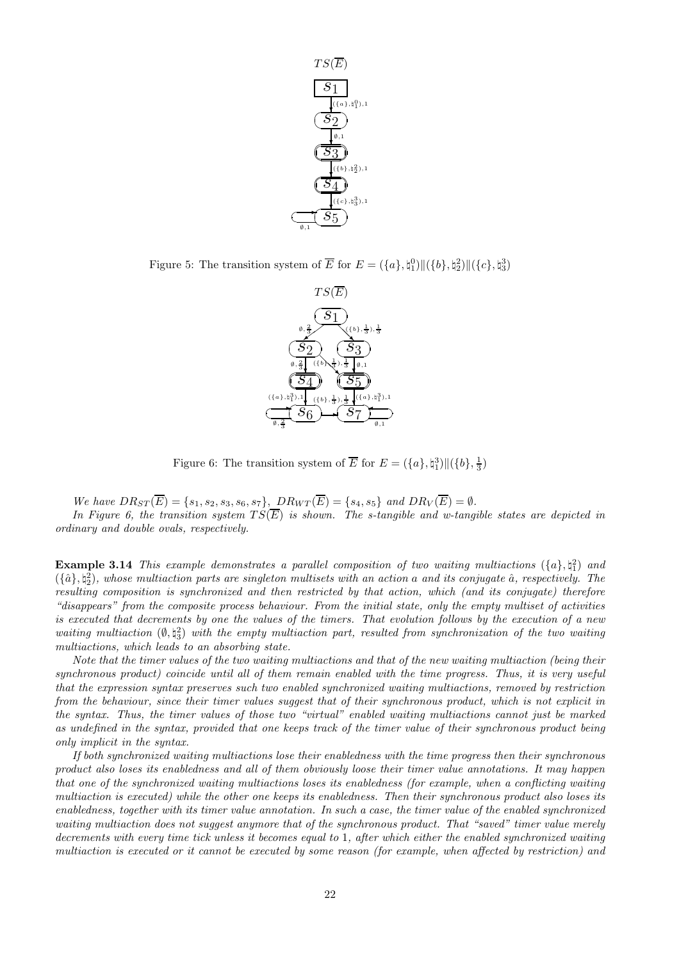

Figure 5: The transition system of  $\overline{E}$  for  $E = (\{a\}, \natural_1^0) || (\{b\}, \natural_2^2) || (\{c\}, \natural_3^3)$ 



Figure 6: The transition system of  $\overline{E}$  for  $E = (\{a\}, \phi_1^3) || (\{b\}, \frac{1}{3})$ 

We have  $DR_{ST}(\overline{E}) = \{s_1, s_2, s_3, s_6, s_7\}, \ D R_{WT}(\overline{E}) = \{s_4, s_5\} \text{ and } DR_V(\overline{E}) = \emptyset.$ In Figure 6, the transition system  $TS(\overline{E})$  is shown. The s-tangible and w-tangible states are depicted in ordinary and double ovals, respectively.

**Example 3.14** This example demonstrates a parallel composition of two waiting multiactions  $(\{a\}, \natural_1^2)$  and  $(\{\hat{a}\},\{\hat{a}\},\{\hat{c}\})$ , whose multiaction parts are singleton multisets with an action a and its conjugate  $\hat{a}$ , respectively. The resulting composition is synchronized and then restricted by that action, which (and its conjugate) therefore "disappears" from the composite process behaviour. From the initial state, only the empty multiset of activities is executed that decrements by one the values of the timers. That evolution follows by the execution of a new waiting multiaction  $(0, \natural_3^2)$  with the empty multiaction part, resulted from synchronization of the two waiting multiactions, which leads to an absorbing state.

Note that the timer values of the two waiting multiactions and that of the new waiting multiaction (being their synchronous product) coincide until all of them remain enabled with the time progress. Thus, it is very useful that the expression syntax preserves such two enabled synchronized waiting multiactions, removed by restriction from the behaviour, since their timer values suggest that of their synchronous product, which is not explicit in the syntax. Thus, the timer values of those two "virtual" enabled waiting multiactions cannot just be marked as undefined in the syntax, provided that one keeps track of the timer value of their synchronous product being only implicit in the syntax.

If both synchronized waiting multiactions lose their enabledness with the time progress then their synchronous product also loses its enabledness and all of them obviously loose their timer value annotations. It may happen that one of the synchronized waiting multiactions loses its enabledness (for example, when a conflicting waiting multiaction is executed) while the other one keeps its enabledness. Then their synchronous product also loses its enabledness, together with its timer value annotation. In such a case, the timer value of the enabled synchronized waiting multiaction does not suggest anymore that of the synchronous product. That "saved" timer value merely decrements with every time tick unless it becomes equal to 1, after which either the enabled synchronized waiting multiaction is executed or it cannot be executed by some reason (for example, when affected by restriction) and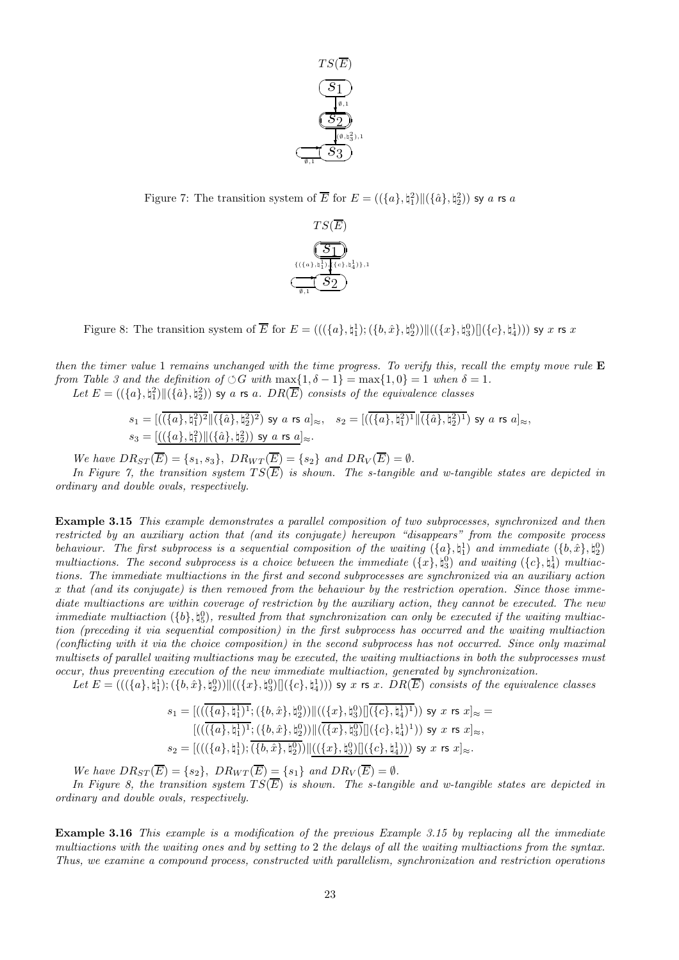

Figure 7: The transition system of  $\overline{E}$  for  $E = ((\{a\}, \natural_1^2) \| (\{\hat{a}\}, \natural_2^2))$  sy  $a$  rs  $a$ 



Figure 8: The transition system of  $\overline{E}$  for  $E = (((\{a\}, \natural_1^1); (\{b, \hat{x}\}, \natural_2^0)) \| ((\{x\}, \natural_3^0) \| (\{c\}, \natural_4^1)))$  sy x rs x

then the timer value 1 remains unchanged with the time progress. To verify this, recall the empty move rule  $E$ from Table 3 and the definition of  $\circ$  G with max $\{1, \delta - 1\} = \max\{1, 0\} = 1$  when  $\delta = 1$ . Let  $E = ((\{a\}, \natural_1^2) \| (\{\hat{a}\}, \natural_2^2))$  sy a rs a.  $DR(\overline{E})$  consists of the equivalence classes

> $s_1=[((\{a\},\natural_1^2)^2\|(\{\hat a\},\natural_2^2)^2)$  sy  $a$  rs  $a]_{\approx},\quad s_2=[((\{a\},\natural_1^2)^1\|(\{\hat a\},\natural_2^2)^1)$  sy  $a$  rs  $a]_{\approx},$  $s_3 = [((\{a\},\natural_1^2) \|(\{\hat{a}\},\natural_2^2))$  sy  $a$  rs  $a]_{\approx}$ .

We have  $DR_{ST}(\overline{E}) = \{s_1, s_3\}, \ D R_{WT}(\overline{E}) = \{s_2\} \ and \ DR_V(\overline{E}) = \emptyset.$ 

In Figure 7, the transition system  $TS(\overline{E})$  is shown. The s-tangible and w-tangible states are depicted in ordinary and double ovals, respectively.

Example 3.15 This example demonstrates a parallel composition of two subprocesses, synchronized and then restricted by an auxiliary action that (and its conjugate) hereupon "disappears" from the composite process behaviour. The first subprocess is a sequential composition of the waiting  $(\{a\},\natural_1^1)$  and immediate  $(\{b,\hat{x}\},\natural_2^0)$ multiactions. The second subprocess is a choice between the immediate  $({x}, \xi)$  and waiting  $({c}, \xi)$ <sup>1</sup>) multiactions. The immediate multiactions in the first and second subprocesses are synchronized via an auxiliary action x that (and its conjugate) is then removed from the behaviour by the restriction operation. Since those immediate multiactions are within coverage of restriction by the auxiliary action, they cannot be executed. The new immediate multiaction  $({b}, {\dagger}_{5}^{0})$ , resulted from that synchronization can only be executed if the waiting multiaction (preceding it via sequential composition) in the first subprocess has occurred and the waiting multiaction (conflicting with it via the choice composition) in the second subprocess has not occurred. Since only maximal multisets of parallel waiting multiactions may be executed, the waiting multiactions in both the subprocesses must occur, thus preventing execution of the new immediate multiaction, generated by synchronization.

Let  $E = (((\{a\}, \natural_1^1); (\{b, \hat{x}\}, \natural_2^0)) \| ((\{x\}, \natural_3^0) \| (\{c\}, \natural_4^1)))$  sy x rs x.  $DR(\overline{E})$  consists of the equivalence classes

$$
s_1 = [((\overline{(\{a\},\natural_1^1)^1};(\{b,\hat{x}\},\natural_2^0)) \| ((\{x\},\natural_3^0) [\overline{(\{c\},\natural_4^1)^1})) \text{ sy } x \text{ rs } x]_{\approx} = \\ [((\overline{(\{a\},\natural_1^1)^1};(\{b,\hat{x}\},\natural_2^0)) \| (\overline{(\{x\},\natural_3^0)} [[\{c\},\natural_4^1)^1)) \text{ sy } x \text{ rs } x]_{\approx}, \\ s_2 = [(((\{a\},\natural_1^1); \overline{(\{b,\hat{x}\},\natural_2^0)}) \| ((\{x\},\natural_3^0) [[\{c\},\natural_4^1))) \text{ sy } x \text{ rs } x]_{\approx}. \qquad (4)
$$

We have  $DR_{ST}(\overline{E}) = \{s_2\}, \ D R_{WT}(\overline{E}) = \{s_1\} \text{ and } DR_V(\overline{E}) = \emptyset.$ 

In Figure 8, the transition system  $TS(\overline{E})$  is shown. The s-tangible and w-tangible states are depicted in ordinary and double ovals, respectively.

Example 3.16 This example is a modification of the previous Example 3.15 by replacing all the immediate multiactions with the waiting ones and by setting to 2 the delays of all the waiting multiactions from the syntax. Thus, we examine a compound process, constructed with parallelism, synchronization and restriction operations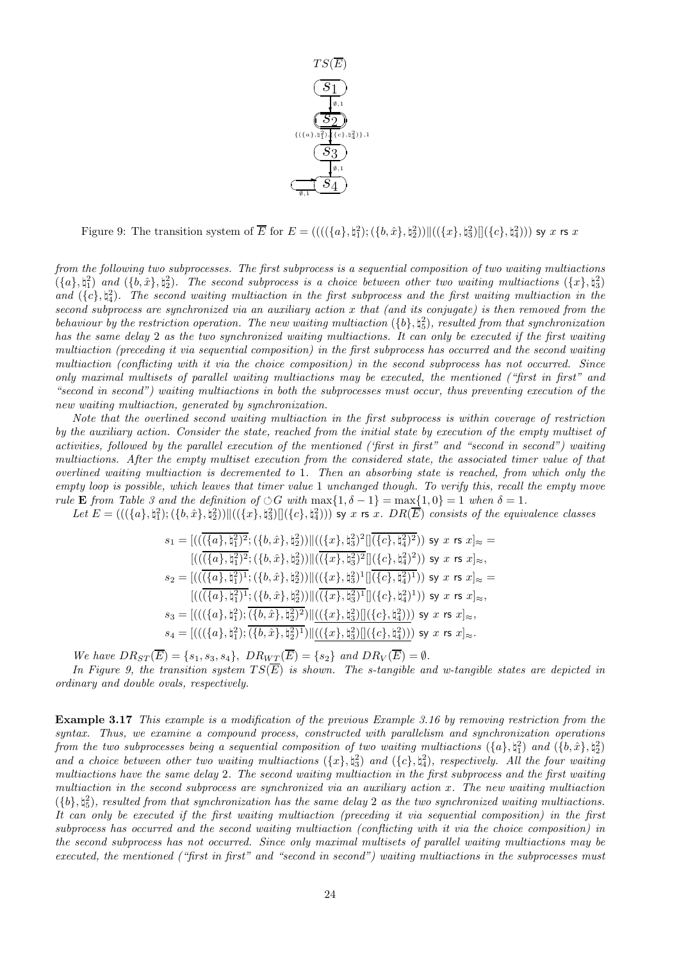

Figure 9: The transition system of  $\overline{E}$  for  $E = (((({a}, {a}_{1}^{2}, {b}_{1}^{2});({b}, {\hat{x}}), {b}_{2}^{2}))||((\{x\}, {b}_{3}^{2})||(({c}, {b}_{4}^{2})))$  sy x rs x

from the following two subprocesses. The first subprocess is a sequential composition of two waiting multiactions  $(\{a\},\natural_1^2)$  and  $(\{b,\hat{x}\},\natural_2^2)$ . The second subprocess is a choice between other two waiting multiactions  $(\{x\},\natural_3^2)$ and  $({c}, \nsharp_{4}^{2})$ . The second waiting multiaction in the first subprocess and the first waiting multiaction in the second subprocess are synchronized via an auxiliary action x that (and its conjugate) is then removed from the behaviour by the restriction operation. The new waiting multiaction  $({b}, \xi)$ , resulted from that synchronization has the same delay 2 as the two synchronized waiting multiactions. It can only be executed if the first waiting multiaction (preceding it via sequential composition) in the first subprocess has occurred and the second waiting multiaction (conflicting with it via the choice composition) in the second subprocess has not occurred. Since only maximal multisets of parallel waiting multiactions may be executed, the mentioned ("first in first" and "second in second") waiting multiactions in both the subprocesses must occur, thus preventing execution of the new waiting multiaction, generated by synchronization.

Note that the overlined second waiting multiaction in the first subprocess is within coverage of restriction by the auxiliary action. Consider the state, reached from the initial state by execution of the empty multiset of activities, followed by the parallel execution of the mentioned ('first in first" and "second in second") waiting multiactions. After the empty multiset execution from the considered state, the associated timer value of that overlined waiting multiaction is decremented to 1. Then an absorbing state is reached, from which only the empty loop is possible, which leaves that timer value 1 unchanged though. To verify this, recall the empty move rule **E** from Table 3 and the definition of  $\circ$  G with max $\{1, \delta - 1\} = \max\{1, 0\} = 1$  when  $\delta = 1$ .

Let  $E = (((\{a\}, \natural_1^2); (\{b, \hat{x}\}, \natural_2^2)) \| ((\{x\}, \natural_3^2) \| (\{c\}, \natural_4^2)))$  sy x rs x.  $DR(\overline{E})$  consists of the equivalence classes

$$
s_1 = [((\overline{(\{a\}, \{a\}^2)^2}; (\{b, \hat{x}\}, \{a\}^2)) \| ((\overline{\{x\}, \{a\}^2)^2} \overline{(\{c\}, \{a\}^2)^2})) \text{ sy } x \text{ rs } x]_{\approx} =
$$
  
\n
$$
[(\overline{(\{a\}, \{a\}^2)^2}; (\{b, \hat{x}\}, \{a\}^2)) \| ((\overline{\{x\}, \{a\}^2)^2} \overline{(\{c\}, \{a\}^2)^2})) \text{ sy } x \text{ rs } x]_{\approx},
$$
  
\n
$$
s_2 = [((\overline{(\{a\}, \{a\}^2)^1}; (\{b, \hat{x}\}, \{a\}^2)) \| ((\overline{\{x\}, \{a\}^2)^1} \overline{(\{c\}, \{a\}^2)^1})) \text{ sy } x \text{ rs } x]_{\approx} =
$$
  
\n
$$
[(\overline{(\{a\}, \{a\}^2)^1}; (\{b, \hat{x}\}, \{a\}^2)) \| ((\overline{\{x\}, \{a\}^2)^1} \overline{(\{c\}, \{a\}^2)^1})) \text{ sy } x \text{ rs } x]_{\approx},
$$
  
\n
$$
s_3 = [(((\{a\}, \{a\}^2); \overline{(\{b, \hat{x}\}, \{a\}^2)^2}) \| ((\overline{\{x\}, \{a\}^2}) \overline{(\{c\}, \{a\}^2)})) \text{ sy } x \text{ rs } x]_{\approx},
$$
  
\n
$$
s_4 = [(((\{a\}, \{a\}^2); \overline{(\{b, \hat{x}\}, \{a\}^2)^1}) \| ((\overline{\{x\}, \{a\}^2}) \overline{(\{c\}, \{a\}^2)})) \text{ sy } x \text{ rs } x]_{\approx}.
$$

We have  $DR_{ST}(\overline{E}) = \{s_1, s_3, s_4\}, \, DR_{WT}(\overline{E}) = \{s_2\} \, \text{and} \, DR_V(\overline{E}) = \emptyset.$ 

In Figure 9, the transition system  $TS(\overline{E})$  is shown. The s-tangible and w-tangible states are depicted in ordinary and double ovals, respectively.

Example 3.17 This example is a modification of the previous Example 3.16 by removing restriction from the syntax. Thus, we examine a compound process, constructed with parallelism and synchronization operations from the two subprocesses being a sequential composition of two waiting multiactions  $(\{a\},\natural_1^2)$  and  $(\{b,\hat{x}\},\natural_2^2)$ and a choice between other two waiting multiactions  $({x}, \xi)$  and  $({c}, \xi)$ , respectively. All the four waiting multiactions have the same delay 2. The second waiting multiaction in the first subprocess and the first waiting multiaction in the second subprocess are synchronized via an auxiliary action x. The new waiting multiaction  $({b}, \xi)$ , resulted from that synchronization has the same delay 2 as the two synchronized waiting multiactions. It can only be executed if the first waiting multiaction (preceding it via sequential composition) in the first subprocess has occurred and the second waiting multiaction (conflicting with it via the choice composition) in the second subprocess has not occurred. Since only maximal multisets of parallel waiting multiactions may be executed, the mentioned ("first in first" and "second in second") waiting multiactions in the subprocesses must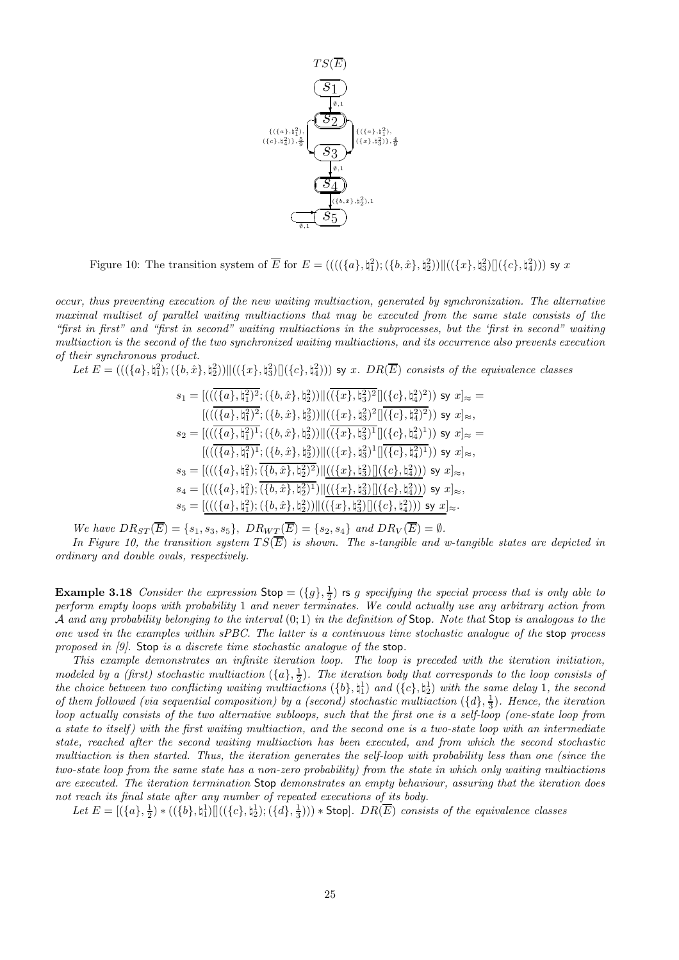

Figure 10: The transition system of  $\overline{E}$  for  $E = (((({a}, {h<sub>1</sub><sup>2</sup>}, {t<sub>1</sub><sup>2</sup>}), ({a}, {t<sub>2</sub><sup>2</sup>})||(({x}, {t<sub>3</sub><sup>2</sup>})||(({c}, {t<sub>4</sub><sup>2</sup>}))$  sy x

occur, thus preventing execution of the new waiting multiaction, generated by synchronization. The alternative maximal multiset of parallel waiting multiactions that may be executed from the same state consists of the "first in first" and "first in second" waiting multiactions in the subprocesses, but the 'first in second" waiting multiaction is the second of the two synchronized waiting multiactions, and its occurrence also prevents execution of their synchronous product.

Let  $E = (((\{a\}, \natural_1^2); (\{b, \hat{x}\}, \natural_2^2)) \| ((\{x\}, \natural_3^2) \| (\{c\}, \natural_4^2)))$  sy x.  $DR(\overline{E})$  consists of the equivalence classes

$$
s_1 = [((\overline{(\{a\}, \natural_1^2)^2}; (\{b, \hat{x}\}, \natural_2^2)) \|(\overline{(\{x\}, \natural_3^2)^2}[[\{c\}, \natural_4^2)^2)) \text{ sy } x]_{\approx} =
$$
  
\n
$$
[(\overline{(\{a\}, \natural_1^2)^2}; (\{b, \hat{x}\}, \natural_2^2)) \|((\{x\}, \natural_3^2)^2 [[\{c\}, \natural_4^2)^2)) \text{ sy } x]_{\approx},
$$
  
\n
$$
s_2 = [((\overline{(\{a\}, \natural_1^2)^1}; (\{b, \hat{x}\}, \natural_2^2)) ||(\overline{(\{x\}, \natural_3^2)^1}[[\{c\}, \natural_4^2)^1)) \text{ sy } x]_{\approx} =
$$
  
\n
$$
[(((\overline{\{a\}, \natural_1^2\}}; (\{b, \hat{x}\}, \natural_2^2)) || ((\{x\}, \natural_3^2)^1 [[\{c\}, \natural_4^2)^1)) \text{ sy } x]_{\approx},
$$
  
\n
$$
s_3 = [(((\{a\}, \natural_1^2); \overline{(\{b, \hat{x}\}, \natural_2^2)^2}) || ((\{x\}, \natural_3^2) || (\{c\}, \natural_4^2))) \text{ sy } x]_{\approx},
$$
  
\n
$$
s_4 = [(((\{a\}, \natural_1^2); \overline{(\{b, \hat{x}\}, \natural_2^2)^1}) || ((\{x\}, \natural_3^2) || (\{c\}, \natural_4^2))) \text{ sy } x]_{\approx},
$$
  
\n
$$
s_5 = [(((\{a\}, \natural_1^2); (\{b, \hat{x}\}, \natural_2^2)) || ((\{x\}, \natural_3^2) || (\{c\}, \natural_4^2))) \text{ sy } x]_{\approx}.
$$

We have  $DR_{ST}(\overline{E}) = \{s_1, s_3, s_5\}, \, DR_{WT}(\overline{E}) = \{s_2, s_4\} \, \, and \, DR_V(\overline{E}) = \emptyset.$ 

In Figure 10, the transition system  $TS(\overline{E})$  is shown. The s-tangible and w-tangible states are depicted in ordinary and double ovals, respectively.

**Example 3.18** Consider the expression  $\text{Stop} = (\{g\}, \frac{1}{2})$  is g specifying the special process that is only able to perform empty loops with probability 1 and never terminates. We could actually use any arbitrary action from A and any probability belonging to the interval  $(0,1)$  in the definition of Stop. Note that Stop is analogous to the one used in the examples within sPBC. The latter is a continuous time stochastic analogue of the stop process proposed in [9]. Stop is a discrete time stochastic analogue of the stop.

This example demonstrates an infinite iteration loop. The loop is preceded with the iteration initiation, modeled by a (first) stochastic multiaction  $(\{a\},\frac{1}{2})$ . The iteration body that corresponds to the loop consists of the choice between two conflicting waiting multiactions  $(\{b\}, \natural_1^1)$  and  $(\{c\}, \natural_2^1)$  with the same delay 1, the second of them followed (via sequential composition) by a (second) stochastic multiaction  $(\{d\}, \frac{1}{3})$ . Hence, the iteration loop actually consists of the two alternative subloops, such that the first one is a self-loop (one-state loop from a state to itself) with the first waiting multiaction, and the second one is a two-state loop with an intermediate state, reached after the second waiting multiaction has been executed, and from which the second stochastic multiaction is then started. Thus, the iteration generates the self-loop with probability less than one (since the two-state loop from the same state has a non-zero probability) from the state in which only waiting multiactions are executed. The iteration termination Stop demonstrates an empty behaviour, assuring that the iteration does not reach its final state after any number of repeated executions of its body.

Let  $E = [(\{a\}, \frac{1}{2}) * ((\{b\}, \natural_1^1)]]((\{c\}, \natural_2^1); (\{d\}, \frac{1}{3}))) * \text{Stop}]. \; DR(\overline{E}) \; consists \; of \; the \; equivalence \; classes$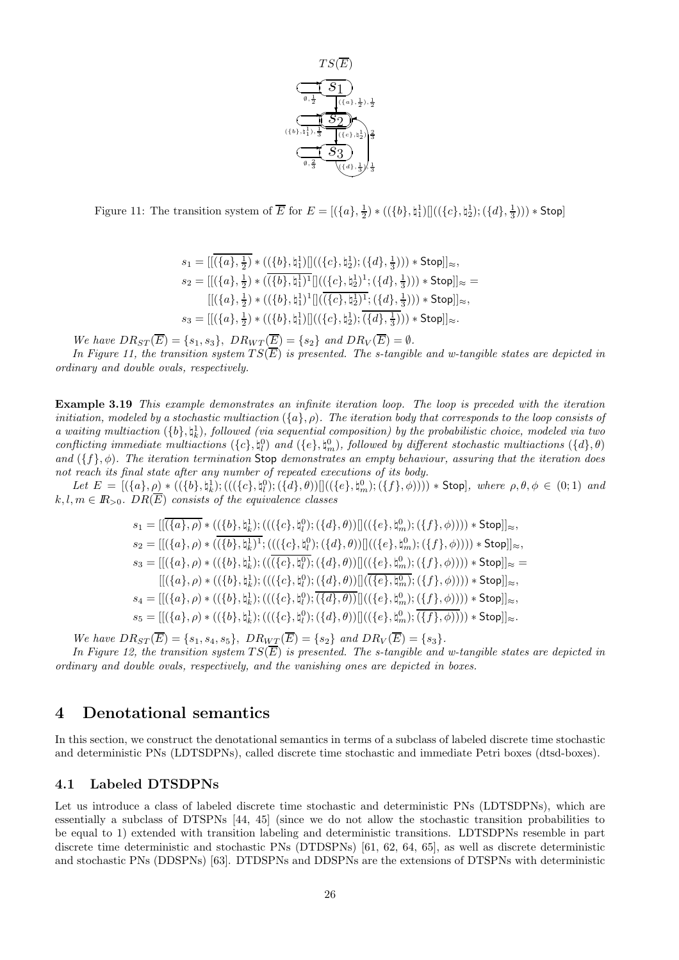

Figure 11: The transition system of  $\overline{E}$  for  $E = [(\lbrace a \rbrace, \frac{1}{2}) * ((\lbrace b \rbrace, \natural_1^1)]]((\lbrace c \rbrace, \natural_2^1); (\lbrace d \rbrace, \frac{1}{3}))) * Stop]$ 

 $s_1 = [[(\{a\},\frac{1}{2}) * ((\{b\},\natural_1^1)][((\{c\},\natural_2^1);(\{d\},\frac{1}{3}))) * \textsf{Stop}]]_{\approx},$  $s_2 = [[(\{a\}, \frac{1}{2}) * (\overline{(\{b\},\natural_1^1)^1} []((\{c\},\natural_2^1)^1;(\{d\},\frac{1}{3}))) * \mathsf{Stop}]]_{\approx} =$  $[ [(\{a\}, \frac{1}{2}) * ((\{b\}, \natural_1^1)^1] \overline{((\{c\}, \natural_2^1)^1}; (\{d\}, \frac{1}{3}))) * Stop] \approx,$  $s_3 = [[(\{a\}, \frac{1}{2}) * ((\{b\}, \natural_1^1)][((\{c\}, \natural_2^1); (\{d\}, \frac{1}{3}))) * \text{Stop}]]_{\approx}.$ 

We have  $DR_{ST}(\overline{E}) = \{s_1, s_3\}, \, DR_{WT}(\overline{E}) = \{s_2\} \,$  and  $DR_V(\overline{E}) = \emptyset$ .

In Figure 11, the transition system  $TS(\overline{E})$  is presented. The s-tangible and w-tangible states are depicted in ordinary and double ovals, respectively.

Example 3.19 This example demonstrates an infinite iteration loop. The loop is preceded with the iteration initiation, modeled by a stochastic multiaction  $({a}, o)$ . The iteration body that corresponds to the loop consists of a waiting multiaction  $(\{b\}, \phi_k^1)$ , followed (via sequential composition) by the probabilistic choice, modeled via two conflicting immediate multiactions  $(\{c\}, \natural_l^0)$  and  $(\{e\}, \natural_m^0)$ , followed by different stochastic multiactions  $(\{d\}, \theta)$ and  $({f}, \phi)$ . The iteration termination Stop demonstrates an empty behaviour, assuring that the iteration does not reach its final state after any number of repeated executions of its body.

Let  $E = [(\{a\}, \rho) * ((\{b\}, \natural_k^1); (((\{c\}, \natural_l^0); (\{d\}, \theta))]((\{e\}, \natural_m^0); (\{f\}, \phi)))) * Stop],$  where  $\rho, \theta, \phi \in (0, 1)$  and  $k, l, m \in \mathbb{R}_{>0}$ .  $DR(\overline{E})$  consists of the equivalence classes

$$
s_1 = [[(\{a\}, \rho) * ((\{b\}, \mathbf{t}_k^1); ((((\{c\}, \mathbf{t}_l^0); (\{d\}, \theta))]]((\{e\}, \mathbf{t}_m^0); (\{f\}, \phi)))) * Stop]]_{\approx},
$$
  
\n
$$
s_2 = [[(\{a\}, \rho) * ((\{b\}, \mathbf{t}_k^1)^1; (((\{c\}, \mathbf{t}_l^0); (\{d\}, \theta))]]((\{e\}, \mathbf{t}_m^0); (\{f\}, \phi)))) * Stop]]_{\approx},
$$
  
\n
$$
s_3 = [[(\{a\}, \rho) * ((\{b\}, \mathbf{t}_k^1); (((\{c\}, \mathbf{t}_l^0); (\{d\}, \theta))]]((\{e\}, \mathbf{t}_m^0); (\{f\}, \phi)))) * Stop]]_{\approx} =
$$
  
\n
$$
[[(\{a\}, \rho) * ((\{b\}, \mathbf{t}_k^1); (((\{c\}, \mathbf{t}_l^0); (\{d\}, \theta))]]((\{e\}, \mathbf{t}_m^0); (\{f\}, \phi)))) * Stop]]_{\approx},
$$
  
\n
$$
s_4 = [[(\{a\}, \rho) * ((\{b\}, \mathbf{t}_k^1); (((\{c\}, \mathbf{t}_l^0); (\{d\}, \theta))]]((\{e\}, \mathbf{t}_m^0); (\{f\}, \phi)))) * Stop]]_{\approx},
$$
  
\n
$$
s_5 = [[(\{a\}, \rho) * ((\{b\}, \mathbf{t}_k^1); (((\{c\}, \mathbf{t}_l^0); (\{d\}, \theta))]]((\{e\}, \mathbf{t}_m^0); (\{f\}, \phi)))) * Stop]]_{\approx}.
$$

We have  $DR_{ST}(\overline{E}) = \{s_1, s_4, s_5\}, \ D R_{WT}(\overline{E}) = \{s_2\} \ and \ DR_V(\overline{E}) = \{s_3\}.$ 

In Figure 12, the transition system  $TS(\overline{E})$  is presented. The s-tangible and w-tangible states are depicted in ordinary and double ovals, respectively, and the vanishing ones are depicted in boxes.

## 4 Denotational semantics

In this section, we construct the denotational semantics in terms of a subclass of labeled discrete time stochastic and deterministic PNs (LDTSDPNs), called discrete time stochastic and immediate Petri boxes (dtsd-boxes).

## 4.1 Labeled DTSDPNs

Let us introduce a class of labeled discrete time stochastic and deterministic PNs (LDTSDPNs), which are essentially a subclass of DTSPNs [44, 45] (since we do not allow the stochastic transition probabilities to be equal to 1) extended with transition labeling and deterministic transitions. LDTSDPNs resemble in part discrete time deterministic and stochastic PNs (DTDSPNs) [61, 62, 64, 65], as well as discrete deterministic and stochastic PNs (DDSPNs) [63]. DTDSPNs and DDSPNs are the extensions of DTSPNs with deterministic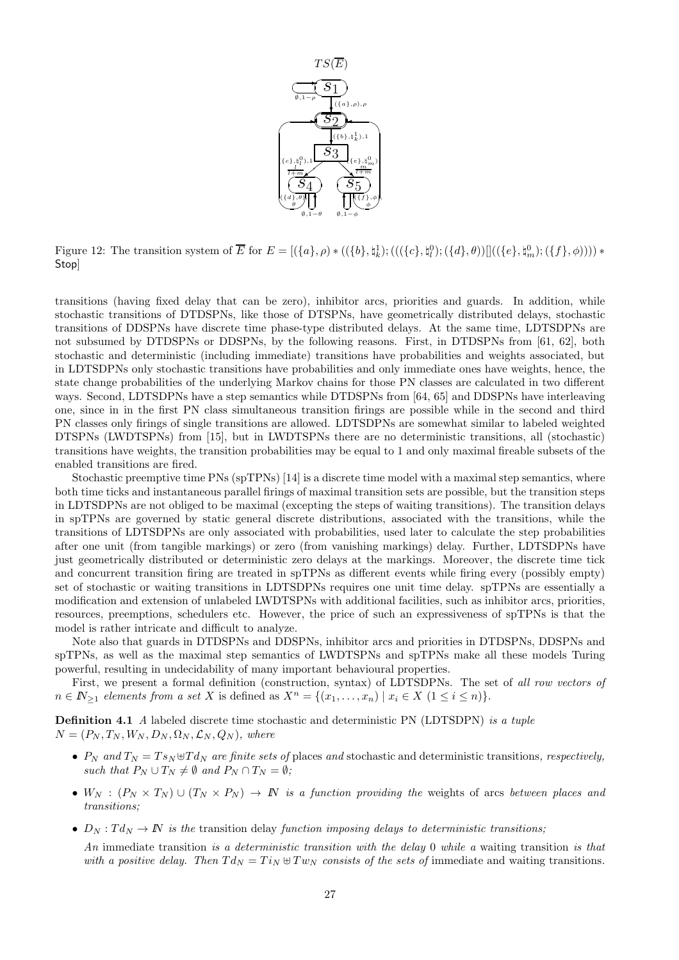

Figure 12: The transition system of  $\overline{E}$  for  $E = [(\{a\}, \rho) * ((\{b\}, \natural_k^1); (((\{c\}, \natural_l^0); (\{d\}, \theta))]((\{e\}, \natural_m^0); (\{f\}, \phi)))) *$ Stop]

transitions (having fixed delay that can be zero), inhibitor arcs, priorities and guards. In addition, while stochastic transitions of DTDSPNs, like those of DTSPNs, have geometrically distributed delays, stochastic transitions of DDSPNs have discrete time phase-type distributed delays. At the same time, LDTSDPNs are not subsumed by DTDSPNs or DDSPNs, by the following reasons. First, in DTDSPNs from [61, 62], both stochastic and deterministic (including immediate) transitions have probabilities and weights associated, but in LDTSDPNs only stochastic transitions have probabilities and only immediate ones have weights, hence, the state change probabilities of the underlying Markov chains for those PN classes are calculated in two different ways. Second, LDTSDPNs have a step semantics while DTDSPNs from [64, 65] and DDSPNs have interleaving one, since in in the first PN class simultaneous transition firings are possible while in the second and third PN classes only firings of single transitions are allowed. LDTSDPNs are somewhat similar to labeled weighted DTSPNs (LWDTSPNs) from [15], but in LWDTSPNs there are no deterministic transitions, all (stochastic) transitions have weights, the transition probabilities may be equal to 1 and only maximal fireable subsets of the enabled transitions are fired.

Stochastic preemptive time PNs (spTPNs) [14] is a discrete time model with a maximal step semantics, where both time ticks and instantaneous parallel firings of maximal transition sets are possible, but the transition steps in LDTSDPNs are not obliged to be maximal (excepting the steps of waiting transitions). The transition delays in spTPNs are governed by static general discrete distributions, associated with the transitions, while the transitions of LDTSDPNs are only associated with probabilities, used later to calculate the step probabilities after one unit (from tangible markings) or zero (from vanishing markings) delay. Further, LDTSDPNs have just geometrically distributed or deterministic zero delays at the markings. Moreover, the discrete time tick and concurrent transition firing are treated in spTPNs as different events while firing every (possibly empty) set of stochastic or waiting transitions in LDTSDPNs requires one unit time delay. spTPNs are essentially a modification and extension of unlabeled LWDTSPNs with additional facilities, such as inhibitor arcs, priorities, resources, preemptions, schedulers etc. However, the price of such an expressiveness of spTPNs is that the model is rather intricate and difficult to analyze.

Note also that guards in DTDSPNs and DDSPNs, inhibitor arcs and priorities in DTDSPNs, DDSPNs and spTPNs, as well as the maximal step semantics of LWDTSPNs and spTPNs make all these models Turing powerful, resulting in undecidability of many important behavioural properties.

First, we present a formal definition (construction, syntax) of LDTSDPNs. The set of all row vectors of  $n \in \mathbb{N}_{\geq 1}$  elements from a set X is defined as  $X^n = \{(x_1, \ldots, x_n) \mid x_i \in X \ (1 \leq i \leq n)\}.$ 

Definition 4.1 A labeled discrete time stochastic and deterministic PN (LDTSDPN) is a tuple  $N = (P_N, T_N, W_N, D_N, \Omega_N, \mathcal{L}_N, Q_N)$ , where

- $P_N$  and  $T_N = Ts_N \oplus Td_N$  are finite sets of places and stochastic and deterministic transitions, respectively, such that  $P_N \cup T_N \neq \emptyset$  and  $P_N \cap T_N = \emptyset$ ;
- $W_N$  :  $(P_N \times T_N) \cup (T_N \times P_N) \to N$  is a function providing the weights of arcs between places and transitions;
- $D_N: T d_N \to N$  is the transition delay function imposing delays to deterministic transitions;

An immediate transition is a deterministic transition with the delay 0 while a waiting transition is that with a positive delay. Then  $Td_N = Ti_N \oplus Tw_N$  consists of the sets of immediate and waiting transitions.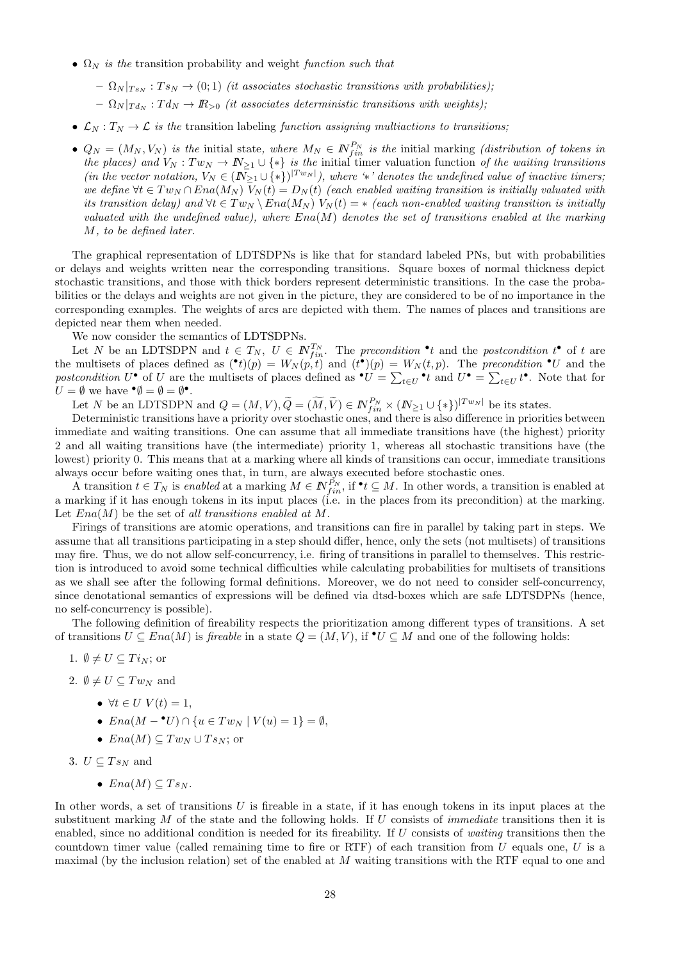- $\Omega_N$  is the transition probability and weight function such that
	- $-\Omega_N |_{T_{SN}} : T_{SN} \to (0, 1)$  (it associates stochastic transitions with probabilities);
	- $\Omega_N |_{T d_N} : T d_N \to \mathbb{R}_{>0}$  (it associates deterministic transitions with weights);
- $\mathcal{L}_N: T_N \to \mathcal{L}$  is the transition labeling function assigning multiactions to transitions;
- $Q_N = (M_N, V_N)$  is the initial state, where  $M_N \in \mathbb{N}_{fin}^{P_N}$  is the initial marking (distribution of tokens in the places) and  $V_N: Tw_N \to \mathbb{N}_{\geq 1} \cup \{*\}$  is the initial timer valuation function of the waiting transitions (in the vector notation,  $V_N \in (\bar{N}_{\geq 1} \cup \{*\})^{|Tw_N|}$ ), where '\*' denotes the undefined value of inactive timers; we define  $\forall t \in Tw_N \cap Ena(M_N)$   $V_N(t) = D_N(t)$  (each enabled waiting transition is initially valuated with its transition delay) and  $\forall t \in Tw_N \setminus Ena(M_N) V_N(t) = *$  (each non-enabled waiting transition is initially valuated with the undefined value), where  $Ena(M)$  denotes the set of transitions enabled at the marking M, to be defined later.

The graphical representation of LDTSDPNs is like that for standard labeled PNs, but with probabilities or delays and weights written near the corresponding transitions. Square boxes of normal thickness depict stochastic transitions, and those with thick borders represent deterministic transitions. In the case the probabilities or the delays and weights are not given in the picture, they are considered to be of no importance in the corresponding examples. The weights of arcs are depicted with them. The names of places and transitions are depicted near them when needed.

We now consider the semantics of LDTSDPNs.

Let N be an LDTSDPN and  $t \in T_N$ ,  $U \in \mathbb{N}_{fin}^{T_N}$ . The precondition  $\cdot^*$  and the postcondition  $t^{\bullet}$  of t are the multisets of places defined as  $(\bullet t)(p) = W_N(p, t)$  and  $(t^{\bullet})(p) = W_N(t, p)$ . The precondition  $\bullet U$  and the postcondition  $U^{\bullet}$  of U are the multisets of places defined as  $^{\bullet}U = \sum_{t \in U} {}^{\bullet}t$  and  $U^{\bullet} = \sum_{t \in U} t^{\bullet}$ . Note that for  $U = \emptyset$  we have  $\bullet \emptyset = \emptyset = \emptyset \bullet$ .

Let N be an LDTSDPN and  $Q = (M, V), \widetilde{Q} = (\widetilde{M}, \widetilde{V}) \in \mathbb{N}_{fin}^{P_N} \times (\mathbb{N}_{\geq 1} \cup \{*\})^{|Tw_N|}$  be its states.

Deterministic transitions have a priority over stochastic ones, and there is also difference in priorities between immediate and waiting transitions. One can assume that all immediate transitions have (the highest) priority 2 and all waiting transitions have (the intermediate) priority 1, whereas all stochastic transitions have (the lowest) priority 0. This means that at a marking where all kinds of transitions can occur, immediate transitions always occur before waiting ones that, in turn, are always executed before stochastic ones.

A transition  $t \in T_N$  is enabled at a marking  $M \in \mathbb{N}_{fin}^{P_N}$ , if  $\text{*} t \subseteq M$ . In other words, a transition is enabled at a marking if it has enough tokens in its input places (i.e. in the places from its precondition) at the marking. Let  $Ena(M)$  be the set of all transitions enabled at M.

Firings of transitions are atomic operations, and transitions can fire in parallel by taking part in steps. We assume that all transitions participating in a step should differ, hence, only the sets (not multisets) of transitions may fire. Thus, we do not allow self-concurrency, i.e. firing of transitions in parallel to themselves. This restriction is introduced to avoid some technical difficulties while calculating probabilities for multisets of transitions as we shall see after the following formal definitions. Moreover, we do not need to consider self-concurrency, since denotational semantics of expressions will be defined via dtsd-boxes which are safe LDTSDPNs (hence, no self-concurrency is possible).

The following definition of fireability respects the prioritization among different types of transitions. A set of transitions  $U \subseteq Ena(M)$  is fireable in a state  $Q = (M, V)$ , if  $\bullet U \subseteq M$  and one of the following holds:

- 1.  $\emptyset \neq U \subseteq Ti_N$ ; or
- 2.  $\emptyset \neq U \subseteq Tw_N$  and
	- $\forall t \in U \ V(t) = 1,$
	- $Ena(M {}^{\bullet}U) \cap {u \in Tw_N \mid V(u) = 1} = \emptyset,$
	- $Ena(M) \subseteq Tw_N \cup Ts_N$ ; or
- 3.  $U \subseteq Ts_N$  and
	- $Ena(M) \subset Ts_N$ .

In other words, a set of transitions  $U$  is fireable in a state, if it has enough tokens in its input places at the substituent marking M of the state and the following holds. If U consists of *immediate* transitions then it is enabled, since no additional condition is needed for its fireability. If U consists of waiting transitions then the countdown timer value (called remaining time to fire or RTF) of each transition from  $U$  equals one,  $U$  is a maximal (by the inclusion relation) set of the enabled at M waiting transitions with the RTF equal to one and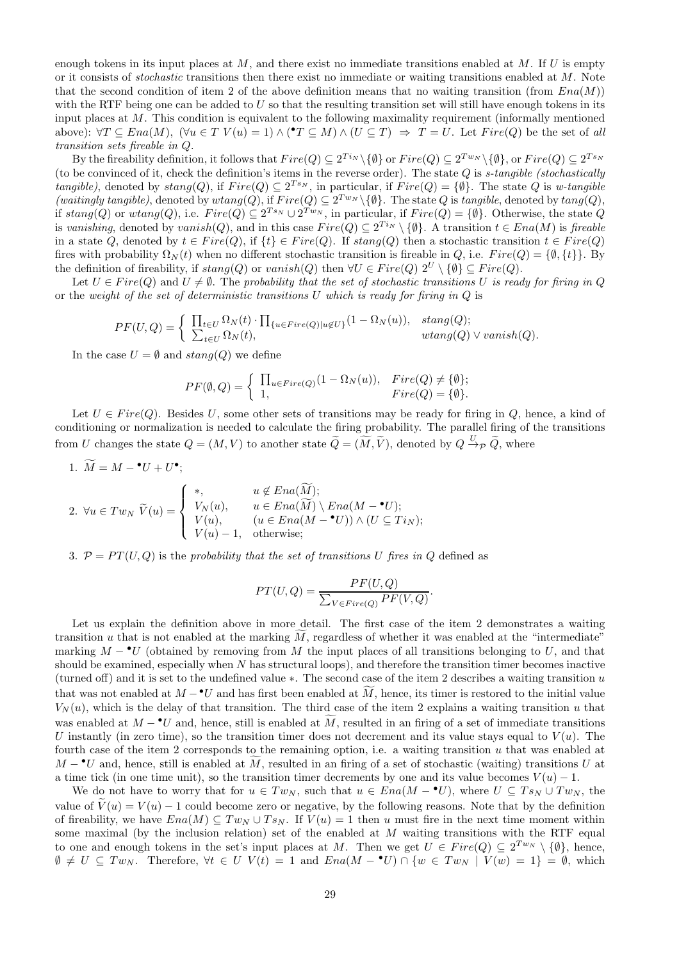enough tokens in its input places at M, and there exist no immediate transitions enabled at M. If U is empty or it consists of stochastic transitions then there exist no immediate or waiting transitions enabled at M. Note that the second condition of item 2 of the above definition means that no waiting transition (from  $Ena(M)$ ) with the RTF being one can be added to  $U$  so that the resulting transition set will still have enough tokens in its input places at M. This condition is equivalent to the following maximality requirement (informally mentioned above):  $\forall T \subseteq Ena(M)$ ,  $(\forall u \in T \ V(u) = 1) \land (\mathbf{Y} \subseteq M) \land (U \subseteq T) \Rightarrow T = U$ . Let  $Fire(Q)$  be the set of all transition sets fireable in Q.

By the fireability definition, it follows that  $Fire(Q) \subseteq 2^{Ti_N} \setminus \{\emptyset\}$  or  $Fire(Q) \subseteq 2^{Tw_N} \setminus \{\emptyset\}$ , or  $Fire(Q) \subseteq 2^{Ts_N}$ (to be convinced of it, check the definition's items in the reverse order). The state  $Q$  is s-tangible (stochastically tangible), denoted by  $stang(Q)$ , if  $Fire(Q) \subseteq 2^{Ts_N}$ , in particular, if  $Fire(Q) = \{\emptyset\}$ . The state Q is w-tangible (waitingly tangible), denoted by  $wtan(g)$ , if  $Fire(Q) \subseteq 2^{Tw_{N}} \setminus \{\emptyset\}$ . The state Q is tangible, denoted by  $tan(g)$ , if  $stang(Q)$  or  $wtang(Q)$ , i.e.  $Fire(Q) \subseteq 2^{Ts_N} \cup 2^{Tw_N}$ , in particular, if  $Fire(Q) = \{\emptyset\}$ . Otherwise, the state Q is vanishing, denoted by vanish(Q), and in this case  $Fire(Q) \subseteq 2^{T_{i_N}} \setminus \{\emptyset\}$ . A transition  $t \in Era(M)$  is fireable in a state Q, denoted by  $t \in Fire(Q)$ , if  $\{t\} \in Fire(Q)$ . If  $stang(Q)$  then a stochastic transition  $t \in Fire(Q)$ fires with probability  $\Omega_N(t)$  when no different stochastic transition is fireable in Q, i.e.  $Fire(Q) = \{\emptyset, \{t\}\}\.$  By the definition of fireability, if  $stand(Q)$  or  $vanish(Q)$  then  $\forall U \in Fire(Q)$   $2^U \setminus \{\emptyset\} \subseteq Fire(Q)$ .

Let  $U \in Fire(Q)$  and  $U \neq \emptyset$ . The probability that the set of stochastic transitions U is ready for firing in Q or the weight of the set of deterministic transitions  $U$  which is ready for firing in  $Q$  is

$$
PF(U,Q) = \begin{cases} \prod_{t \in U} \Omega_N(t) \cdot \prod_{\{u \in Fire(Q) | u \notin U\}} (1 - \Omega_N(u)), & stang(Q); \\ \sum_{t \in U} \Omega_N(t), & wlang(Q) \vee vanish(Q). \end{cases}
$$

In the case  $U = \emptyset$  and  $stand(Q)$  we define

$$
PF(\emptyset, Q) = \begin{cases} \prod_{u \in Fire(Q)} (1 - \Omega_N(u)), & Fire(Q) \neq \{\emptyset\}; \\ 1, & Fire(Q) = \{\emptyset\}. \end{cases}
$$

Let  $U \in Fire(Q)$ . Besides U, some other sets of transitions may be ready for firing in Q, hence, a kind of conditioning or normalization is needed to calculate the firing probability. The parallel firing of the transitions from U changes the state  $Q = (M, V)$  to another state  $\widetilde{Q} = (\widetilde{M}, \widetilde{V})$ , denoted by  $Q \xrightarrow{U} \widetilde{Q}$ , where

1.  $\widetilde{M} = M - {}^{\bullet}U + U^{\bullet};$ 

2. 
$$
\forall u \in Tw_N \ \widetilde{V}(u) = \begin{cases} *, & u \notin Ena(\widetilde{M}); \\ V_N(u), & u \in Ena(\widetilde{M}) \setminus Ena(M - \bullet U); \\ V(u), & (u \in Ena(M - \bullet U)) \wedge (U \subseteq Ti_N); \\ V(u) - 1, & \text{otherwise}; \end{cases}
$$

3.  $P = PT(U, Q)$  is the probability that the set of transitions U fires in Q defined as

$$
PT(U,Q) = \frac{PF(U,Q)}{\sum_{V \in Fire(Q)} PF(V,Q)}.
$$

Let us explain the definition above in more detail. The first case of the item 2 demonstrates a waiting transition u that is not enabled at the marking  $\tilde{M}$ , regardless of whether it was enabled at the "intermediate" marking  $M - \cdot U$  (obtained by removing from M the input places of all transitions belonging to U, and that should be examined, especially when N has structural loops), and therefore the transition timer becomes inactive (turned off) and it is set to the undefined value ∗. The second case of the item 2 describes a waiting transition u that was not enabled at  $M - \bullet U$  and has first been enabled at M, hence, its timer is restored to the initial value  $V_N(u)$ , which is the delay of that transition. The third case of the item 2 explains a waiting transition u that was enabled at  $M - U$  and, hence, still is enabled at  $\widetilde{M}$ , resulted in an firing of a set of immediate transitions U instantly (in zero time), so the transition timer does not decrement and its value stays equal to  $V(u)$ . The fourth case of the item 2 corresponds to the remaining option, i.e. a waiting transition u that was enabled at  $M - U$  and, hence, still is enabled at M, resulted in an firing of a set of stochastic (waiting) transitions U at a time tick (in one time unit), so the transition timer decrements by one and its value becomes  $V(u) - 1$ .

We do not have to worry that for  $u \in Tw_N$ , such that  $u \in Ena(M - \bullet U)$ , where  $U \subseteq Ts_N \cup Tw_N$ , the value of  $V(u) = V(u) - 1$  could become zero or negative, by the following reasons. Note that by the definition of fireability, we have  $Ena(M) \subseteq Tw_N \cup Ts_N$ . If  $V(u) = 1$  then u must fire in the next time moment within some maximal (by the inclusion relation) set of the enabled at  $M$  waiting transitions with the RTF equal to one and enough tokens in the set's input places at M. Then we get  $U \in Fire(Q) \subseteq 2^{Tw_{N}} \setminus \{\emptyset\}$ , hence,  $\emptyset \neq U \subseteq Tw_N$ . Therefore,  $\forall t \in U$   $V(t) = 1$  and  $Ena(M - \bullet U) \cap \{w \in Tw_N \mid V(w) = 1\} = \emptyset$ , which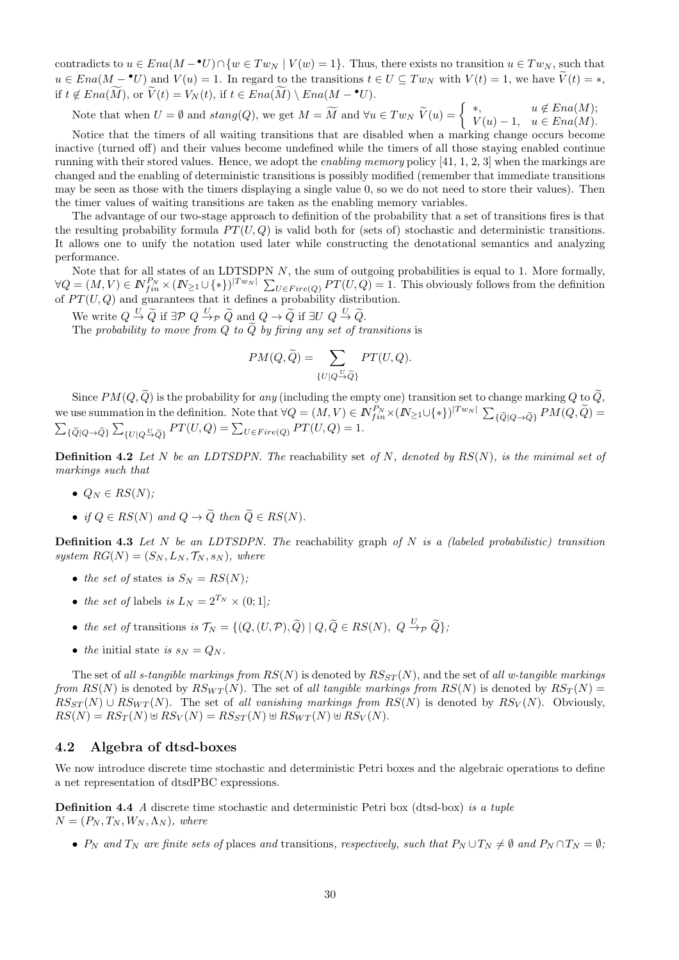contradicts to  $u \in Ena(M - {}^{\bullet}U) \cap \{w \in Tw_N \mid V(w) = 1\}$ . Thus, there exists no transition  $u \in Tw_N$ , such that  $u \in Ena(M - \bullet U)$  and  $V(u) = 1$ . In regard to the transitions  $t \in U \subseteq Tw_N$  with  $V(t) = 1$ , we have  $\widetilde{V}(t) = *,$ if  $t \notin Ena(\widetilde{M})$ , or  $\widetilde{V}(t) = V_N(t)$ , if  $t \in Ena(\widetilde{M}) \setminus Ena(M - \bullet U)$ .

Note that when  $U = \emptyset$  and  $stang(Q)$ , we get  $M = \widetilde{M}$  and  $\forall u \in Tw_N$   $\widetilde{V}(u) = \begin{cases} * & u \notin Ena(M); \\ V(u) = 1 & u \in Ena(M). \end{cases}$  $V(u) - 1, \quad u \in Ena(M).$ 

Notice that the timers of all waiting transitions that are disabled when a marking change occurs become inactive (turned off) and their values become undefined while the timers of all those staying enabled continue running with their stored values. Hence, we adopt the enabling memory policy [41, 1, 2, 3] when the markings are changed and the enabling of deterministic transitions is possibly modified (remember that immediate transitions may be seen as those with the timers displaying a single value 0, so we do not need to store their values). Then the timer values of waiting transitions are taken as the enabling memory variables.

The advantage of our two-stage approach to definition of the probability that a set of transitions fires is that the resulting probability formula  $PT(U, Q)$  is valid both for (sets of) stochastic and deterministic transitions. It allows one to unify the notation used later while constructing the denotational semantics and analyzing performance.

Note that for all states of an LDTSDPN N, the sum of outgoing probabilities is equal to 1. More formally,  $\forall Q = (M, V) \in \mathbb{N}_{fin}^{P_N} \times (\mathbb{N}_{\geq 1} \cup \{*\})^{|Tw_N|} \sum_{U \in \text{Fire}(Q)} PT(U, Q) = 1$ . This obviously follows from the definition of  $PT(U, Q)$  and guarantees that it defines a probability distribution.

We write  $Q \stackrel{U}{\rightarrow} \widetilde{Q}$  if  $\exists \mathcal{P} \ Q \stackrel{U}{\rightarrow} \rho \ \widetilde{Q}$  and  $Q \rightarrow \widetilde{Q}$  if  $\exists U \ Q \stackrel{U}{\rightarrow} \widetilde{Q}$ . The probability to move from Q to  $\tilde{Q}$  by firing any set of transitions is

$$
PM(Q, \widetilde{Q}) = \sum_{\{U|Q \stackrel{U}{\to} \widetilde{Q}\}} PT(U, Q).
$$

Since  $PM(Q, \tilde{Q})$  is the probability for any (including the empty one) transition set to change marking Q to  $\tilde{Q}$ , we use summation in the definition. Note that  $\forall Q = (M, V) \in \mathbb{N}_{fin}^{P_N} \times (\mathbb{N}_{\geq 1} \cup \{*\})^{|Tw_N|} \sum_{\{\tilde{Q} | Q \to \tilde{Q}\}} PM(Q, \tilde{Q}) =$  $\sum_{\{\tilde{Q}|Q\to\tilde{Q}\}}\sum_{\{U|Q\stackrel{U}{\to}\tilde{Q}\}}PT(U,Q)=\sum_{U\in Fire(Q)}PT(U,Q)=1.$ 

**Definition 4.2** Let N be an LDTSDPN. The reachability set of N, denoted by  $RS(N)$ , is the minimal set of markings such that

- $Q_N \in RS(N);$
- if  $Q \in RS(N)$  and  $Q \to \widetilde{Q}$  then  $\widetilde{Q} \in RS(N)$ .

**Definition 4.3** Let N be an LDTSDPN. The reachability graph of N is a (labeled probabilistic) transition system  $RG(N) = (S_N, L_N, \mathcal{T}_N, s_N)$ , where

- the set of states is  $S_N = RS(N);$
- the set of labels is  $L_N = 2^{T_N} \times (0; 1]$ ;
- the set of transitions is  $\mathcal{T}_N = \{ (Q, (U, \mathcal{P}), \widetilde{Q}) \mid Q, \widetilde{Q} \in RS(N), Q \xrightarrow{U} \widetilde{Q} \};$
- the initial state is  $s_N = Q_N$ .

The set of all s-tangible markings from  $RS(N)$  is denoted by  $RSS_{ST}(N)$ , and the set of all w-tangible markings from RS(N) is denoted by  $RS_{WT}(N)$ . The set of all tangible markings from RS(N) is denoted by  $RS_T(N)$  $RSS_T(N) \cup RS_{WT}(N)$ . The set of all vanishing markings from  $RS(N)$  is denoted by  $RS_V(N)$ . Obviously,  $RS(N) = RS_T(N) \oplus RS_V(N) = RS_{ST}(N) \oplus RS_{WT}(N) \oplus RS_V(N).$ 

#### 4.2 Algebra of dtsd-boxes

We now introduce discrete time stochastic and deterministic Petri boxes and the algebraic operations to define a net representation of dtsdPBC expressions.

Definition 4.4 A discrete time stochastic and deterministic Petri box (dtsd-box) is a tuple  $N = (P_N, T_N, W_N, \Lambda_N)$ , where

• P<sub>N</sub> and  $T_N$  are finite sets of places and transitions, respectively, such that  $P_N \cup T_N \neq \emptyset$  and  $P_N \cap T_N = \emptyset$ ;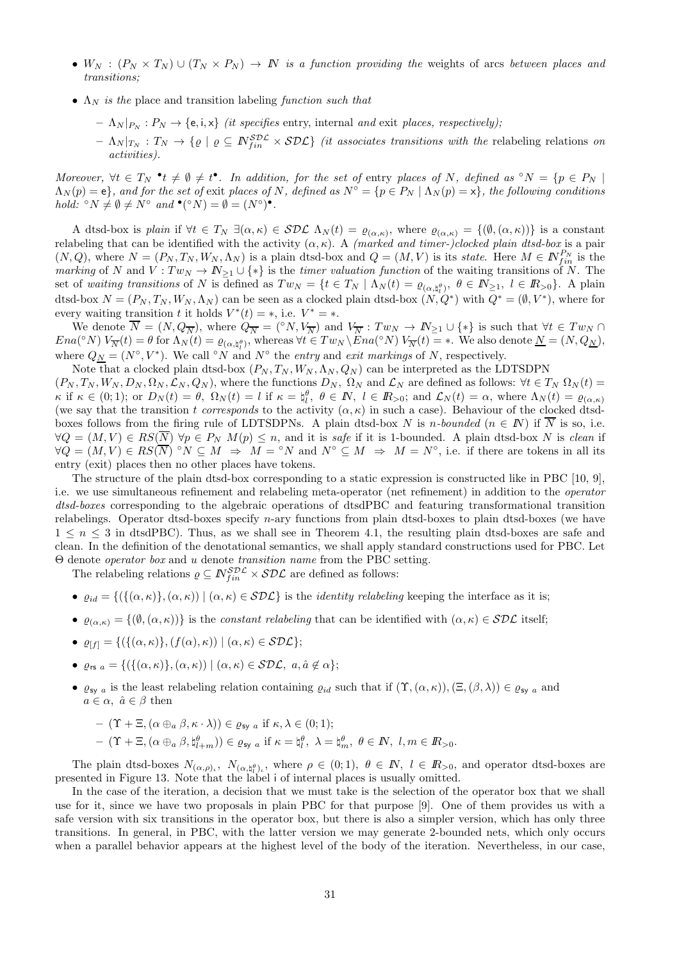- $W_N$  :  $(P_N \times T_N) \cup (T_N \times P_N) \rightarrow \mathbb{N}$  is a function providing the weights of arcs between places and transitions;
- $\Lambda_N$  is the place and transition labeling function such that
	- $-\Lambda_N|_{P_N}: P_N \to \{e, i, x\}$  *(it specifies entry, internal and exit places, respectively);*
	- $\Lambda_N |_{T_N} : T_N \to \{ \varrho \mid \varrho \subseteq \mathbb{N}_{fin}^{\mathcal{SDL}} \times \mathcal{S} \mathcal{DL} \}$  (it associates transitions with the relabeling relations on activities).

Moreover,  $\forall t \in T_N \cdot t \neq \emptyset \neq t^{\bullet}$ . In addition, for the set of entry places of N, defined as  $\circ N = \{p \in P_N \mid$  $\Lambda_N(p) = e$ , and for the set of exit places of N, defined as  $N^\circ = \{p \in P_N \mid \Lambda_N(p) = x\}$ , the following conditions hold:  $\mathcal{O}_N \neq \emptyset \neq N^{\circ}$  and  $\mathcal{O}(\mathcal{O}_N) = \emptyset = (N^{\circ})^{\bullet}$ .

A dtsd-box is plain if  $\forall t \in T_N \exists (\alpha, \kappa) \in SDL$   $\Lambda_N(t) = \varrho_{(\alpha, \kappa)}$ , where  $\varrho_{(\alpha, \kappa)} = \{(\emptyset, (\alpha, \kappa))\}$  is a constant relabeling that can be identified with the activity  $(\alpha, \kappa)$ . A *(marked and timer-)clocked plain dtsd-box* is a pair  $(N, Q)$ , where  $N = (P_N, T_N, W_N, \Lambda_N)$  is a plain dtsd-box and  $Q = (M, V)$  is its state. Here  $M \in \mathbb{N}_{fin}^{P_N}$  is the marking of N and  $V: Tw_N \to \mathbb{N}_{\geq 1} \cup \{*\}$  is the timer valuation function of the waiting transitions of N. The set of waiting transitions of N is defined as  $Tw_N = \{t \in T_N \mid \Lambda_N(t) = \varrho_{(\alpha, \natural_l^{\theta})}, \ \theta \in \mathbb{N}_{\geq 1}, \ l \in \mathbb{R}_{>0}\}.$  A plain dtsd-box  $N = (P_N, T_N, W_N, \Lambda_N)$  can be seen as a clocked plain dtsd-box  $(N, Q^*)$  with  $Q^* = (\emptyset, V^*)$ , where for every waiting transition t it holds  $V^*(t) = *,$  i.e.  $V^* = *$ .

We denote  $\overline{N} = (N, Q_{\overline{N}})$ , where  $Q_{\overline{N}} = (°N, V_{\overline{N}})$  and  $V_{\overline{N}} : Tw_N \to \mathbb{N}_{\geq 1} \cup \{*\}$  is such that  $\forall t \in Tw_N \cap \mathbb{N}$  $Ena({}^\circ N) V_{\overline{N}}(t) = \theta$  for  $\Lambda_N(t) = \varrho_{(\alpha, \natural_t^{\theta})}$ , whereas  $\forall t \in Tw_N \backslash Ena({}^\circ N) V_{\overline{N}}(t) = *$ . We also denote  $\underline{N} = (N, Q_{\underline{N}})$ , where  $Q_N = (N^{\circ}, V^*)$ . We call <sup>o</sup>N and  $N^{\circ}$  the *entry* and *exit markings* of N, respectively.

Note that a clocked plain dtsd-box  $(P_N, T_N, W_N, \Lambda_N, Q_N)$  can be interpreted as the LDTSDPN  $(P_N, T_N, W_N, D_N, \Omega_N, \mathcal{L}_N, Q_N)$ , where the functions  $D_N$ ,  $\Omega_N$  and  $\mathcal{L}_N$  are defined as follows:  $\forall t \in T_N$   $\Omega_N(t)$  =  $\kappa$  if  $\kappa \in (0,1)$ ; or  $D_N(t) = \theta$ ,  $\Omega_N(t) = l$  if  $\kappa = \mathfrak{h}_l^{\theta}$ ,  $\theta \in \mathbb{N}$ ,  $l \in \mathbb{R}_{>0}$ ; and  $\mathcal{L}_N(t) = \alpha$ , where  $\Lambda_N(t) = \varrho_{(\alpha,\kappa)}$ (we say that the transition t corresponds to the activity  $(\alpha, \kappa)$  in such a case). Behaviour of the clocked dtsd-

boxes follows from the firing rule of LDTSDPNs. A plain dtsd-box N is n-bounded ( $n \in \mathbb{N}$ ) if  $\overline{N}$  is so, i.e.  $\forall Q = (M, V) \in RS(\overline{N}) \ \forall p \in P_N \ M(p) \leq n$ , and it is safe if it is 1-bounded. A plain dtsd-box N is clean if  $\forall Q = (M, V) \in RS(\overline{N}) \circ N \subseteq M \Rightarrow M = \circ N$  and  $N^{\circ} \subseteq M \Rightarrow M = N^{\circ}$ , i.e. if there are tokens in all its entry (exit) places then no other places have tokens.

The structure of the plain dtsd-box corresponding to a static expression is constructed like in PBC [10, 9], i.e. we use simultaneous refinement and relabeling meta-operator (net refinement) in addition to the operator dtsd-boxes corresponding to the algebraic operations of dtsdPBC and featuring transformational transition relabelings. Operator dtsd-boxes specify n-ary functions from plain dtsd-boxes to plain dtsd-boxes (we have  $1 \leq n \leq 3$  in dtsdPBC). Thus, as we shall see in Theorem 4.1, the resulting plain dtsd-boxes are safe and clean. In the definition of the denotational semantics, we shall apply standard constructions used for PBC. Let Θ denote operator box and u denote transition name from the PBC setting.

The relabeling relations  $\rho \subseteq N_{fin}^{SDL} \times SDL$  are defined as follows:

- $\varrho_{id} = \{(\{(\alpha, \kappa)\}, (\alpha, \kappa)) \mid (\alpha, \kappa) \in SDE\}$  is the *identity relabeling* keeping the interface as it is;
- $\varrho_{(\alpha,\kappa)} = \{(\emptyset,(\alpha,\kappa))\}$  is the constant relabeling that can be identified with  $(\alpha,\kappa) \in \mathcal{SDL}$  itself;
- $\varrho_{[f]} = \{ (\{(\alpha,\kappa)\},(f(\alpha),\kappa)) \mid (\alpha,\kappa) \in \mathcal{SDL} \};$
- $\varrho_{rs a} = \{ (\{ (\alpha, \kappa) \}, (\alpha, \kappa)) \mid (\alpha, \kappa) \in \mathcal{SDL}, a, \hat{a} \notin \alpha \};$
- $\varrho_{\mathsf{sv}}$  a is the least relabeling relation containing  $\varrho_{id}$  such that if  $(\Upsilon,(\alpha,\kappa)),(\Xi,(\beta,\lambda))\in\varrho_{\mathsf{sv}}$  a and  $a \in \alpha$ ,  $\hat{a} \in \beta$  then

$$
- (\Upsilon + \Xi, (\alpha \oplus_a \beta, \kappa \cdot \lambda)) \in \varrho_{\text{sy } a} \text{ if } \kappa, \lambda \in (0, 1);
$$
  
- (\Upsilon + \Xi, (\alpha \oplus\_a \beta, \natural\_{l+m}^{\theta})) \in \varrho\_{\text{sy } a} \text{ if } \kappa = \natural\_{l}^{\theta}, \lambda = \natural\_{m}^{\theta}, \theta \in \mathbb{N}, l, m \in \mathbb{R}\_{>0}.

The plain dtsd-boxes  $N_{(\alpha,\rho)}$ ,  $N_{(\alpha,\xi^{\theta}_{l})}$ , where  $\rho \in (0,1)$ ,  $\theta \in \mathbb{N}$ ,  $l \in \mathbb{R}_{>0}$ , and operator dtsd-boxes are presented in Figure 13. Note that the label i of internal places is usually omitted.

In the case of the iteration, a decision that we must take is the selection of the operator box that we shall use for it, since we have two proposals in plain PBC for that purpose [9]. One of them provides us with a safe version with six transitions in the operator box, but there is also a simpler version, which has only three transitions. In general, in PBC, with the latter version we may generate 2-bounded nets, which only occurs when a parallel behavior appears at the highest level of the body of the iteration. Nevertheless, in our case,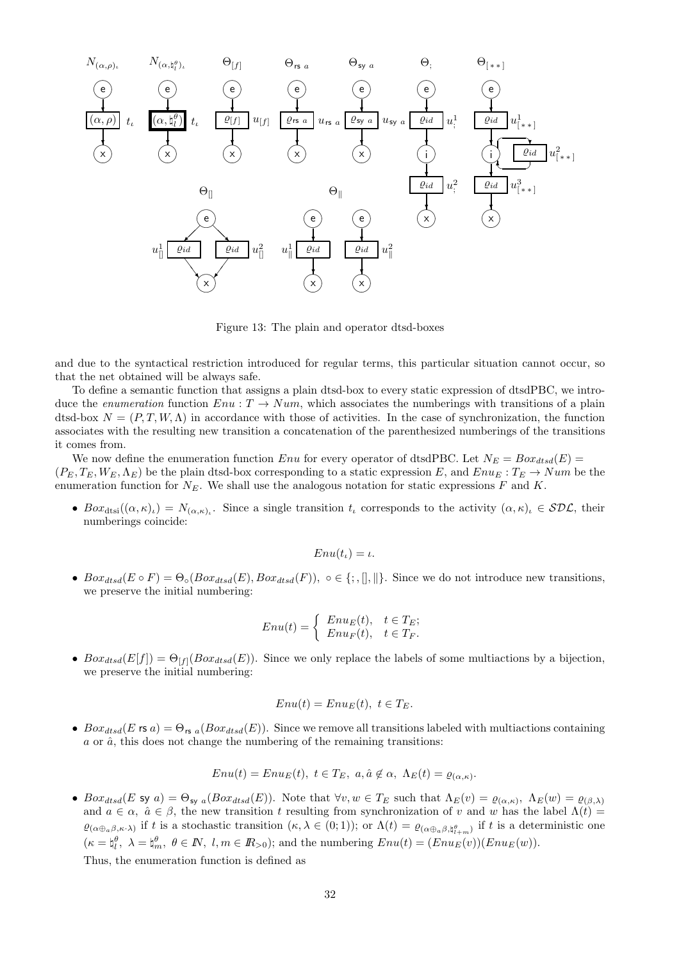

Figure 13: The plain and operator dtsd-boxes

and due to the syntactical restriction introduced for regular terms, this particular situation cannot occur, so that the net obtained will be always safe.

To define a semantic function that assigns a plain dtsd-box to every static expression of dtsdPBC, we introduce the *enumeration* function  $Env : T \rightarrow Num$ , which associates the numberings with transitions of a plain dtsd-box  $N = (P, T, W, \Lambda)$  in accordance with those of activities. In the case of synchronization, the function associates with the resulting new transition a concatenation of the parenthesized numberings of the transitions it comes from.

We now define the enumeration function Enu for every operator of dtsdPBC. Let  $N_E = Box_{dtsd}(E)$  $(P_E, T_E, W_E, \Lambda_E)$  be the plain dtsd-box corresponding to a static expression E, and  $Enu_E: T_E \to Num$  be the enumeration function for  $N_E$ . We shall use the analogous notation for static expressions F and K.

•  $Box_{\text{dsts}}((\alpha,\kappa)_t) = N_{(\alpha,\kappa)_t}$ . Since a single transition  $t_t$  corresponds to the activity  $(\alpha,\kappa)_t \in \mathcal{SDL}$ , their numberings coincide:

 $Enu(t<sub>i</sub>) = i.$ 

•  $Box_{dtsd}(E \circ F) = \Theta_{\circ}(Box_{dtsd}(E),Box_{dtsd}(F)), \circ \in \{\, ,\, \|,\| \}$ . Since we do not introduce new transitions, we preserve the initial numbering:

$$
Enu(t) = \begin{cases} EnuE(t), & t \in TE;EnuF(t), & t \in TF. \end{cases}
$$

•  $Box_{dtsd}(E[f]) = \Theta_{[f]}(Box_{dtsd}(E)).$  Since we only replace the labels of some multiactions by a bijection, we preserve the initial numbering:

$$
Enu(t) = EnuE(t), t \in TE.
$$

•  $Box_{dtsd}(E \r{rs} a) = \Theta_{rs a}(Box_{dtsd}(E)).$  Since we remove all transitions labeled with multiactions containing  $a$  or  $\hat{a}$ , this does not change the numbering of the remaining transitions:

$$
Enu(t) = EnuE(t), t \in TE, a, \hat{a} \notin \alpha, \LambdaE(t) = \varrho_{(\alpha, \kappa)}.
$$

•  $Box_{dtsd}(E \text{ sy } a) = \Theta_{\text{sy } a}(Box_{dtsd}(E)).$  Note that  $\forall v, w \in T_E$  such that  $\Lambda_E(v) = \varrho_{(\alpha,\kappa)}, \Lambda_E(w) = \varrho_{(\beta,\lambda)}$ and  $a \in \alpha$ ,  $\hat{a} \in \beta$ , the new transition t resulting from synchronization of v and w has the label  $\Lambda(t)$  $\varrho_{(\alpha \oplus_{\alpha} \beta,\kappa \cdot \lambda)}$  if t is a stochastic transition  $(\kappa, \lambda \in (0,1))$ ; or  $\Lambda(t) = \varrho_{(\alpha \oplus_{\alpha} \beta,\sharp_{t+m}^\theta)}$  if t is a deterministic one  $(\kappa = \natural_l^{\theta}, \ \lambda = \natural_m^{\theta}, \ \theta \in \mathbb{N}, \ l, m \in \mathbb{R}_{>0})$ ; and the numbering  $Env(t) = (Env_E(v))(Env_E(w))$ .

Thus, the enumeration function is defined as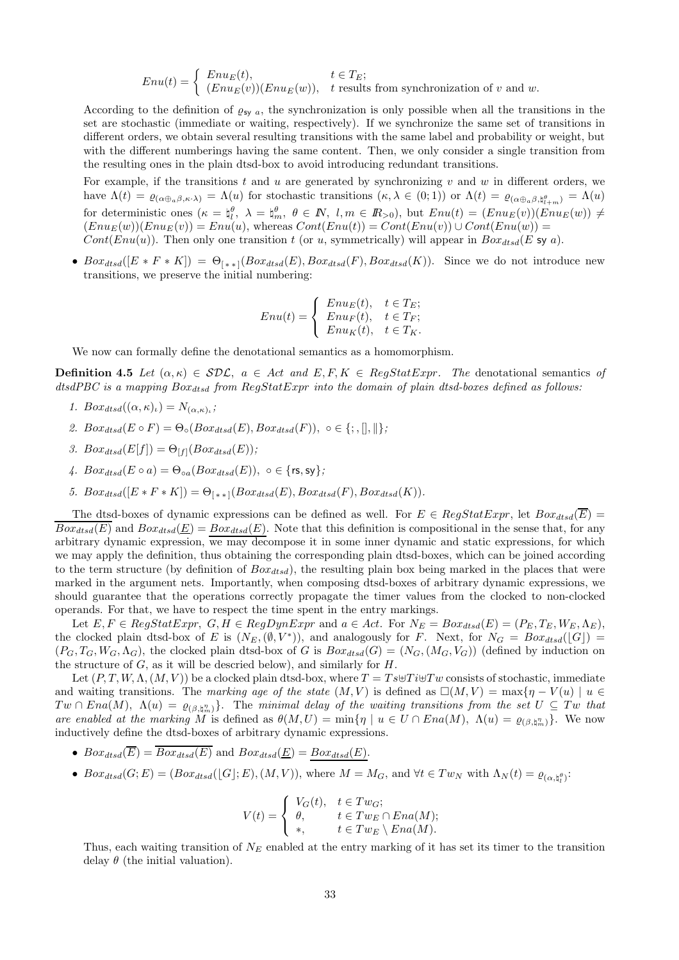$$
Enu(t) = \begin{cases} Enu_E(t), & t \in T_E; \\ (Enu_E(v))(Enu_E(w)), & t \text{ results from synchronization of } v \text{ and } w. \end{cases}
$$

According to the definition of  $\varrho_{sy}$  a, the synchronization is only possible when all the transitions in the set are stochastic (immediate or waiting, respectively). If we synchronize the same set of transitions in different orders, we obtain several resulting transitions with the same label and probability or weight, but with the different numberings having the same content. Then, we only consider a single transition from the resulting ones in the plain dtsd-box to avoid introducing redundant transitions.

For example, if the transitions  $t$  and  $u$  are generated by synchronizing  $v$  and  $w$  in different orders, we have  $\Lambda(t) = \varrho_{(\alpha \oplus_{a} \beta, \kappa \cdot \lambda)} = \Lambda(u)$  for stochastic transitions  $(\kappa, \lambda \in (0, 1))$  or  $\Lambda(t) = \varrho_{(\alpha \oplus_{a} \beta, \mathfrak{h}_{t+m}^{\theta})} = \Lambda(u)$ for deterministic ones  $(\kappa = \xi_l^{\theta}, \lambda = \xi_m^{\theta}, \theta \in \mathbb{N}, \ l, m \in \mathbb{R}_{>0})$ , but  $Env(t) = (Env_E(v))(Env_E(w)) \neq$  $(Env<sub>E</sub>(w))(Env<sub>E</sub>(v)) = Env(u)$ , whereas  $Cont(Env(t)) = Cont(Env(v)) \cup Cont(Env(w))$ Cont(Enu(u)). Then only one transition t (or u, symmetrically) will appear in  $Box_{dtsd}(E \text{ sy } a)$ .

•  $Box_{dtsd}([E * F * K]) = \Theta_{[**]}(Box_{dtsd}(E), Box_{dtsd}(F), Box_{dtsd}(K)).$  Since we do not introduce new transitions, we preserve the initial numbering:

$$
Enu(t) = \begin{cases} Enu_E(t), & t \in T_E; \\ Enu_F(t), & t \in T_F; \\ Enu_K(t), & t \in T_K. \end{cases}
$$

We now can formally define the denotational semantics as a homomorphism.

**Definition 4.5** Let  $(\alpha, \kappa) \in SD\mathcal{L}$ ,  $a \in Act$  and  $E, F, K \in RegStatExpr$ . The denotational semantics of  $dstaHBC$  is a mapping  $Box_{dtsd}$  from  $RegStatExpr$  into the domain of plain dtsd-boxes defined as follows:

- 1.  $Box_{dtsd}((\alpha,\kappa)_{\iota})=N_{(\alpha,\kappa)_{\iota}};$
- 2.  $Box_{dtsd}(E \circ F) = \Theta_{\circ}(Box_{dtsd}(E),Box_{dtsd}(F)), \circ \in \{; , \|, \| \};$
- 3.  $Box_{dtsd}(E[f]) = \Theta_{[f]}(Box_{dtsd}(E));$
- 4.  $Box_{dtsd}(E \circ a) = \Theta_{oa}(Box_{dtsd}(E)), o \in \{\text{rs}, \text{sy}\};$
- 5.  $Box_{dtsd}([E * F * K]) = \Theta_{[**]}(Box_{dtsd}(E), Box_{dtsd}(F), Box_{dtsd}(K)).$

The dtsd-boxes of dynamic expressions can be defined as well. For  $E \in RegStatExpr$ , let  $Box_{dtsd}(E)$  =  $\overline{Box_{dtsd}(E)}$  and  $Box_{dtsd}(E) = Box_{dtsd}(E)$ . Note that this definition is compositional in the sense that, for any arbitrary dynamic expression, we may decompose it in some inner dynamic and static expressions, for which we may apply the definition, thus obtaining the corresponding plain dtsd-boxes, which can be joined according to the term structure (by definition of  $Box_{dtsd}$ ), the resulting plain box being marked in the places that were marked in the argument nets. Importantly, when composing dtsd-boxes of arbitrary dynamic expressions, we should guarantee that the operations correctly propagate the timer values from the clocked to non-clocked operands. For that, we have to respect the time spent in the entry markings.

Let  $E, F \in RegStatexpr$ ,  $G, H \in RegDynExpr$  and  $a \in Act$ . For  $N_E = Box_{dtsd}(E) = (P_E, T_E, W_E, \Lambda_E)$ , the clocked plain dtsd-box of E is  $(N_E, (\emptyset, V^*))$ , and analogously for F. Next, for  $N_G = Box_{dtsd}([G])$  $(P_G, T_G, W_G, \Lambda_G)$ , the clocked plain dtsd-box of G is  $Box_{dtsd}(G) = (N_G, (M_G, V_G))$  (defined by induction on the structure of  $G$ , as it will be descried below), and similarly for  $H$ .

Let  $(P, T, W, \Lambda, (M, V))$  be a clocked plain dtsd-box, where  $T = Ts \oplus Ti \oplus Tw$  consists of stochastic, immediate and waiting transitions. The marking age of the state  $(M, V)$  is defined as  $\Box(M, V) = \max\{\eta - V(u) \mid u \in$  $Tw \cap Ena(M), \Lambda(u) = \varrho_{(B,h^n)}$ . The minimal delay of the waiting transitions from the set  $U \subseteq Tw$  that are enabled at the marking M is defined as  $\theta(M, U) = \min\{\eta \mid u \in U \cap Ena(M), \Lambda(u) = \varrho_{(\beta, \natural_n^m)}\}.$  We now inductively define the dtsd-boxes of arbitrary dynamic expressions.

- $Box_{dtsd}(\overline{E}) = \overline{Box_{dtsd}(E)}$  and  $Box_{dtsd}(\underline{E}) = Box_{dtsd}(E)$ .
- $Box_{dtsd}(G; E) = (Box_{dtsd}([G]; E), (M, V)),$  where  $M = M_G$ , and  $\forall t \in Tw_N$  with  $\Lambda_N(t) = \varrho_{(\alpha, \natural_t^{\theta})}$ :

$$
V(t) = \begin{cases} V_G(t), & t \in Tw_G; \\ \theta, & t \in Tw_E \cap Ena(M); \\ *, & t \in Tw_E \setminus Ena(M). \end{cases}
$$

Thus, each waiting transition of  $N_E$  enabled at the entry marking of it has set its timer to the transition delay  $\theta$  (the initial valuation).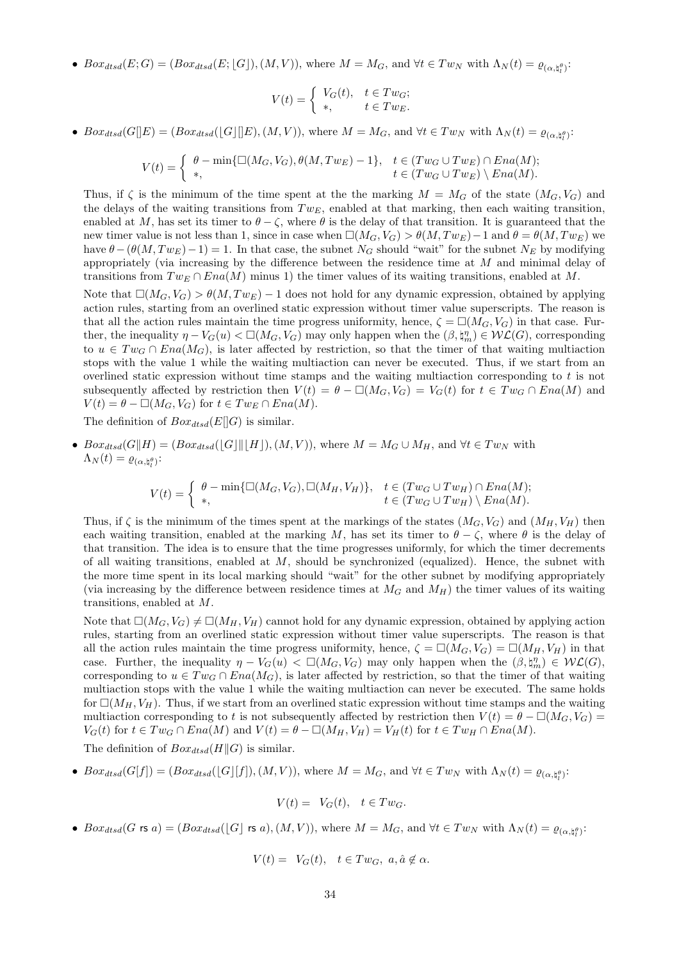•  $Box_{dtsd}(E; G) = (Box_{dtsd}(E; [G]), (M, V)),$  where  $M = M_G$ , and  $\forall t \in Tw_N$  with  $\Lambda_N(t) = \varrho_{(\alpha, \natural_l^{\theta})}$ :

$$
V(t) = \begin{cases} V_G(t), & t \in Tw_G; \\ *, & t \in Tw_E. \end{cases}
$$

•  $Box_{dtsd}(G[[E] = (Box_{dtsd}([G][E), (M, V)),$  where  $M = M_G$ , and  $\forall t \in Tw_N$  with  $\Lambda_N(t) = \varrho_{(\alpha, \natural_t^{\theta})}$ :

$$
V(t) = \begin{cases} \theta - \min\{\Box(M_G, V_G), \theta(M, Tw_E) - 1\}, & t \in (Tw_G \cup Tw_E) \cap Ena(M); \\ *, & t \in (Tw_G \cup Tw_E) \setminus Ena(M). \end{cases}
$$

Thus, if  $\zeta$  is the minimum of the time spent at the the marking  $M = M_G$  of the state  $(M_G, V_G)$  and the delays of the waiting transitions from  $Tw_E$ , enabled at that marking, then each waiting transition, enabled at M, has set its timer to  $\theta - \zeta$ , where  $\theta$  is the delay of that transition. It is guaranteed that the new timer value is not less than 1, since in case when  $\Box(M_G, V_G) > \theta(M, Tw_E)-1$  and  $\theta = \theta(M, Tw_E)$  we have  $\theta - (\theta(M, Tw_E)-1) = 1$ . In that case, the subnet N<sub>G</sub> should "wait" for the subnet N<sub>E</sub> by modifying appropriately (via increasing by the difference between the residence time at  $M$  and minimal delay of transitions from  $Tw_E \cap Ena(M)$  minus 1) the timer values of its waiting transitions, enabled at M.

Note that  $\square(M_G, V_G) > \theta(M, Tw_E) - 1$  does not hold for any dynamic expression, obtained by applying action rules, starting from an overlined static expression without timer value superscripts. The reason is that all the action rules maintain the time progress uniformity, hence,  $\zeta = \Box(M_G, V_G)$  in that case. Further, the inequality  $\eta - V_G(u) < \Box(M_G, V_G)$  may only happen when the  $(\beta, \natural_m^{\eta}) \in \mathcal{WL}(G)$ , corresponding to  $u \in Tw_G \cap Ena(M_G)$ , is later affected by restriction, so that the timer of that waiting multiaction stops with the value 1 while the waiting multiaction can never be executed. Thus, if we start from an overlined static expression without time stamps and the waiting multiaction corresponding to t is not subsequently affected by restriction then  $V(t) = \theta - \Box(M_G, V_G) = V_G(t)$  for  $t \in Tw_G \cap End(M)$  and  $V(t) = \theta - \Box(M_G, V_G)$  for  $t \in Tw_E \cap Ena(M)$ .

The definition of  $Box_{dtsd}(E||G)$  is similar.

•  $Box_{dtsd}(G||H) = (Box_{dtsd}(|G|||H|), (M, V)),$  where  $M = M_G \cup M_H$ , and  $\forall t \in Tw_N$  with  $\Lambda_N(t)=\varrho_{(\alpha, \natural_l^\theta)}$ :

$$
V(t) = \begin{cases} \theta - \min\{\Box(M_G, V_G), \Box(M_H, V_H)\}, & t \in (Tw_G \cup Tw_H) \cap Ena(M); \\ *, & t \in (Tw_G \cup Tw_H) \setminus Ena(M). \end{cases}
$$

Thus, if  $\zeta$  is the minimum of the times spent at the markings of the states  $(M_G, V_G)$  and  $(M_H, V_H)$  then each waiting transition, enabled at the marking M, has set its timer to  $\theta - \zeta$ , where  $\theta$  is the delay of that transition. The idea is to ensure that the time progresses uniformly, for which the timer decrements of all waiting transitions, enabled at  $M$ , should be synchronized (equalized). Hence, the subnet with the more time spent in its local marking should "wait" for the other subnet by modifying appropriately (via increasing by the difference between residence times at  $M_G$  and  $M_H$ ) the timer values of its waiting transitions, enabled at M.

Note that  $\Box(M_G, V_G) \neq \Box(M_H, V_H)$  cannot hold for any dynamic expression, obtained by applying action rules, starting from an overlined static expression without timer value superscripts. The reason is that all the action rules maintain the time progress uniformity, hence,  $\zeta = \Box(M_G, V_G) = \Box(M_H, V_H)$  in that case. Further, the inequality  $\eta - V_G(u) < \Box(M_G, V_G)$  may only happen when the  $(\beta, \natural_m^{\eta}) \in \mathcal{WL}(G)$ , corresponding to  $u \in Tw_G \cap Ena(M_G)$ , is later affected by restriction, so that the timer of that waiting multiaction stops with the value 1 while the waiting multiaction can never be executed. The same holds for  $\square(M_H, V_H)$ . Thus, if we start from an overlined static expression without time stamps and the waiting multiaction corresponding to t is not subsequently affected by restriction then  $V(t) = \theta - \Box(M_G, V_G)$  $V_G(t)$  for  $t \in Tw_G \cap Ena(M)$  and  $V(t) = \theta - \Box(M_H, V_H) = V_H(t)$  for  $t \in Tw_H \cap Ena(M)$ .

The definition of  $Box_{dtsd}(H||G)$  is similar.

•  $Box_{dtsd}(G[f]) = (Box_{dtsd}([G][f]), (M, V)),$  where  $M = M_G$ , and  $\forall t \in Tw_N$  with  $\Lambda_N(t) = \varrho_{(\alpha, \natural_l^{\theta})}$ :

$$
V(t) = V_G(t), \quad t \in Tw_G.
$$

•  $Box_{dtsd}(G \text{ rs } a) = (Box_{dtsd}(\lfloor G \rfloor \text{ rs } a), (M, V)),$  where  $M = M_G$ , and  $\forall t \in Tw_N$  with  $\Lambda_N(t) = \varrho_{(\alpha, \natural_t^{\theta})}$ :

$$
V(t) = V_G(t), \quad t \in Tw_G, \ a, \hat{a} \notin \alpha.
$$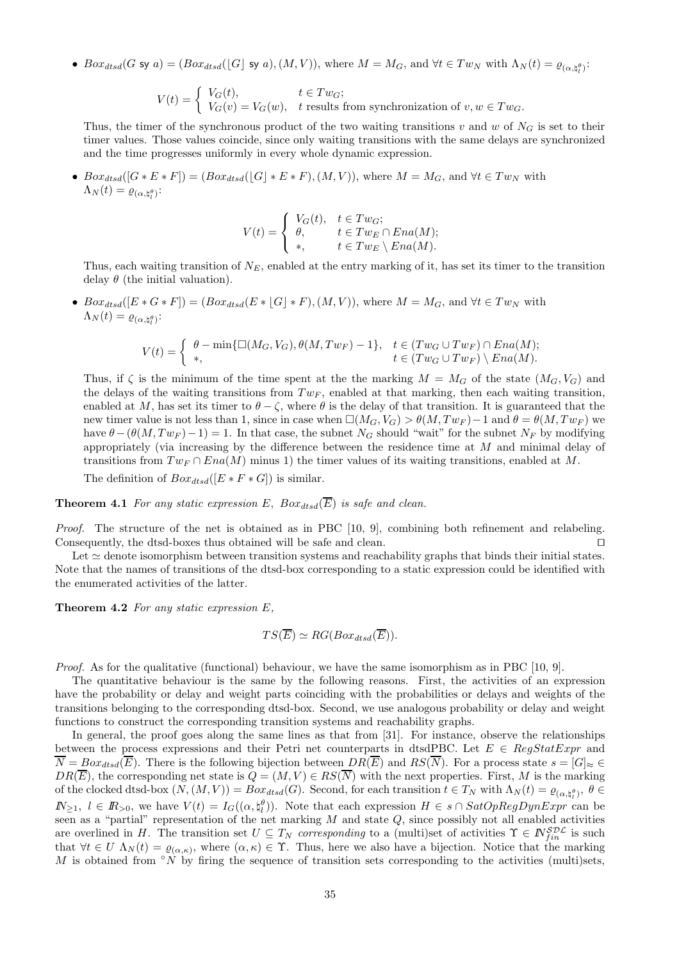•  $Box_{dtsd}(G \text{ sy } a) = (Box_{dtsd}([G] \text{ sy } a), (M, V)), \text{ where } M = M_G, \text{ and } \forall t \in Tw_N \text{ with } \Lambda_N(t) = \varrho_{(\alpha, \natural_l^{\theta})}.$ 

$$
V(t) = \begin{cases} V_G(t), & t \in Tw_G; \\ V_G(v) = V_G(w), & t \text{ results from synchronization of } v, w \in Tw_G. \end{cases}
$$

Thus, the timer of the synchronous product of the two waiting transitions v and w of  $N_G$  is set to their timer values. Those values coincide, since only waiting transitions with the same delays are synchronized and the time progresses uniformly in every whole dynamic expression.

•  $Box_{dtsd}([G * E * F]) = (Box_{dtsd}([G] * E * F), (M, V)),$  where  $M = M_G$ , and  $\forall t \in Tw_N$  with  $\Lambda_N(t) = \varrho_{(\alpha, \natural_l^{\theta})}$ :

$$
V(t) = \begin{cases} V_G(t), & t \in Tw_G; \\ \theta, & t \in Tw_E \cap Ena(M); \\ *, & t \in Tw_E \setminus Ena(M). \end{cases}
$$

Thus, each waiting transition of  $N_E$ , enabled at the entry marking of it, has set its timer to the transition delay  $\theta$  (the initial valuation).

•  $Box_{dtsd}([E * G * F]) = (Box_{dtsd}(E * [G] * F), (M, V)),$  where  $M = M_G$ , and  $\forall t \in Tw_N$  with  $\Lambda_N(t) = \varrho_{(\alpha, \natural_l^{\theta})}$ :

$$
V(t) = \begin{cases} \theta - \min\{\Box(M_G, V_G), \theta(M, Tw_F) - 1\}, & t \in (Tw_G \cup Tw_F) \cap Ena(M); \\ *, & t \in (Tw_G \cup Tw_F) \setminus Ena(M). \end{cases}
$$

Thus, if  $\zeta$  is the minimum of the time spent at the the marking  $M = M_G$  of the state  $(M_G, V_G)$  and the delays of the waiting transitions from  $Tw_F$ , enabled at that marking, then each waiting transition, enabled at M, has set its timer to  $\theta - \zeta$ , where  $\theta$  is the delay of that transition. It is guaranteed that the new timer value is not less than 1, since in case when  $\Box(M_G, V_G) > \theta(M, Tw_F) - 1$  and  $\theta = \theta(M, Tw_F)$  we have  $\theta - (\theta(M, Tw_F) - 1) = 1$ . In that case, the subnet N<sub>G</sub> should "wait" for the subnet N<sub>F</sub> by modifying appropriately (via increasing by the difference between the residence time at  $M$  and minimal delay of transitions from  $Tw_F \cap Ena(M)$  minus 1) the timer values of its waiting transitions, enabled at M.

The definition of  $Box_{dtsd}([E * F * G])$  is similar.

**Theorem 4.1** For any static expression E,  $Box_{dtsd}(\overline{E})$  is safe and clean.

Proof. The structure of the net is obtained as in PBC [10, 9], combining both refinement and relabeling. Consequently, the dtsd-boxes thus obtained will be safe and clean. ⊓⊔

Let  $\simeq$  denote isomorphism between transition systems and reachability graphs that binds their initial states. Note that the names of transitions of the dtsd-box corresponding to a static expression could be identified with the enumerated activities of the latter.

Theorem 4.2 For any static expression E,

$$
TS(\overline{E}) \simeq RG(Box_{dtsd}(\overline{E})).
$$

Proof. As for the qualitative (functional) behaviour, we have the same isomorphism as in PBC [10, 9].

The quantitative behaviour is the same by the following reasons. First, the activities of an expression have the probability or delay and weight parts coinciding with the probabilities or delays and weights of the transitions belonging to the corresponding dtsd-box. Second, we use analogous probability or delay and weight functions to construct the corresponding transition systems and reachability graphs.

In general, the proof goes along the same lines as that from [31]. For instance, observe the relationships between the process expressions and their Petri net counterparts in dtsdPBC. Let  $E \in RegStatExpr$  and  $\overline{N} = Box_{dtsd}(\overline{E})$ . There is the following bijection between  $DR(\overline{E})$  and  $RS(\overline{N})$ . For a process state  $s = [G]_{\approx} \in$  $DR(\overline{E})$ , the corresponding net state is  $Q = (M, V) \in RS(\overline{N})$  with the next properties. First, M is the marking of the clocked dtsd-box  $(N, (M, V)) = Box_{dtsd}(G)$ . Second, for each transition  $t \in T_N$  with  $\Lambda_N(t) = \varrho_{(\alpha, \xi_1^{\theta})}$ ,  $\theta \in$  $N_{\geq 1}$ ,  $l \in \mathbb{R}_{>0}$ , we have  $V(t) = I_G((\alpha, \xi_l^{\theta}))$ . Note that each expression  $H \in s \cap SatOpRegDynExpr$  can be seen as a "partial" representation of the net marking  $M$  and state  $Q$ , since possibly not all enabled activities are overlined in H. The transition set  $U \subseteq T_N$  corresponding to a (multi)set of activities  $\Upsilon \in N_{fin}^{SDL}$  is such that  $\forall t \in U \Lambda_N(t) = \varrho_{(\alpha,\kappa)}$ , where  $(\alpha,\kappa) \in \Upsilon$ . Thus, here we also have a bijection. Notice that the marking M is obtained from  $\degree N$  by firing the sequence of transition sets corresponding to the activities (multi)sets,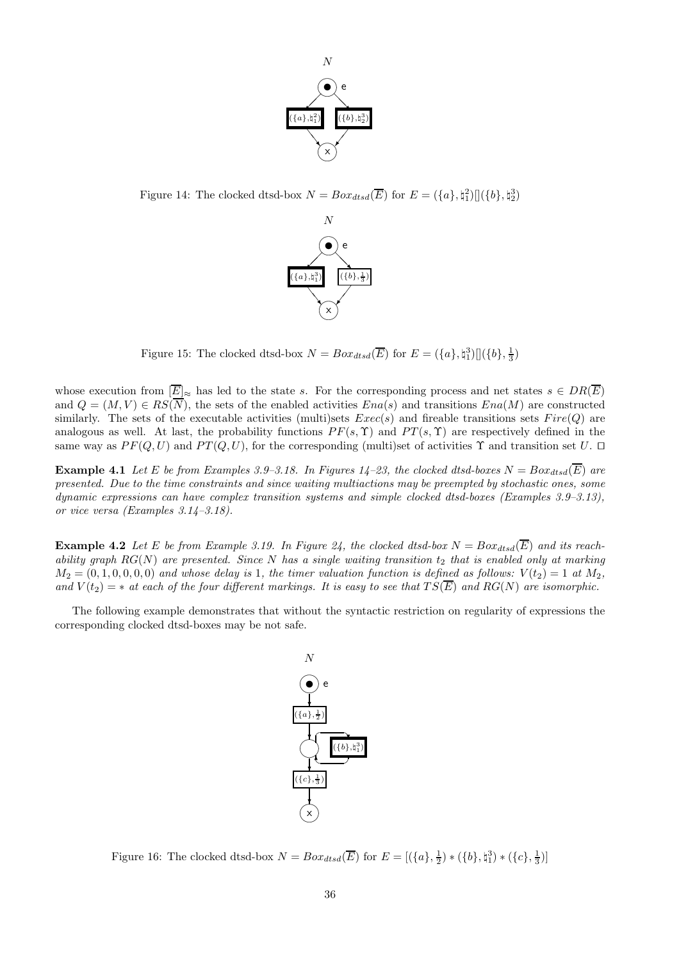

Figure 14: The clocked dtsd-box  $N = Box_{dtsd}(\overline{E})$  for  $E = (\{a\}, \natural_1^2) [](\{b\}, \natural_2^3)$ 



Figure 15: The clocked dtsd-box  $N = Box_{dtsd}(\overline{E})$  for  $E = (\{a\}, \{a\})[](\{b\}, \frac{1}{3})$ 

whose execution from  $[\overline{E}]_{\approx}$  has led to the state s. For the corresponding process and net states  $s \in DR(\overline{E})$ and  $Q = (M, V) \in RS(\overline{N})$ , the sets of the enabled activities  $Ena(s)$  and transitions  $Ena(M)$  are constructed similarly. The sets of the executable activities (multi)sets  $Exec(s)$  and fireable transitions sets  $Fire(Q)$  are analogous as well. At last, the probability functions  $PF(s, \Upsilon)$  and  $PT(s, \Upsilon)$  are respectively defined in the same way as  $PF(Q, U)$  and  $PT(Q, U)$ , for the corresponding (multi)set of activities  $\Upsilon$  and transition set U. □

**Example 4.1** Let E be from Examples 3.9–3.18. In Figures 14–23, the clocked dtsd-boxes  $N = Box_{dtsd}(\overline{E})$  are presented. Due to the time constraints and since waiting multiactions may be preempted by stochastic ones, some dynamic expressions can have complex transition systems and simple clocked dtsd-boxes (Examples 3.9–3.13), or vice versa (Examples 3.14–3.18).

**Example 4.2** Let E be from Example 3.19. In Figure 24, the clocked dtsd-box  $N = Box_{dtsd}(\overline{E})$  and its reachability graph  $RG(N)$  are presented. Since N has a single waiting transition  $t_2$  that is enabled only at marking  $M_2 = (0, 1, 0, 0, 0, 0)$  and whose delay is 1, the timer valuation function is defined as follows:  $V(t_2) = 1$  at  $M_2$ , and  $V(t_2) = *$  at each of the four different markings. It is easy to see that  $TS(\overline{E})$  and  $RG(N)$  are isomorphic.

The following example demonstrates that without the syntactic restriction on regularity of expressions the corresponding clocked dtsd-boxes may be not safe.



Figure 16: The clocked dtsd-box  $N = Box_{dtsd}(\overline{E})$  for  $E = [(\lbrace a \rbrace, \frac{1}{2}) * (\lbrace b \rbrace, \natural_1^3) * (\lbrace c \rbrace, \frac{1}{3})]$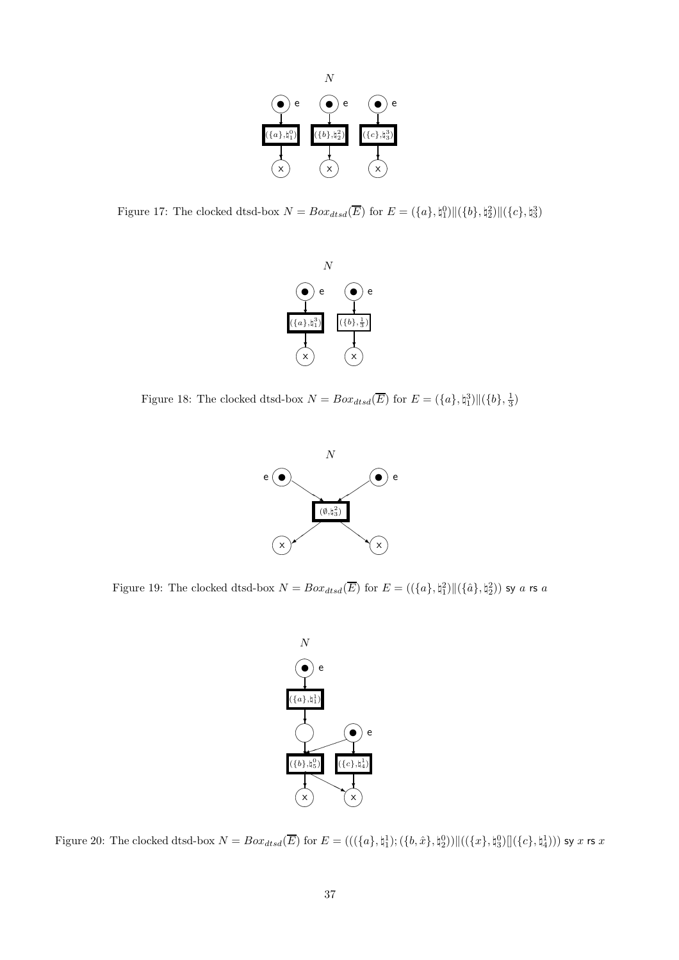

Figure 17: The clocked dtsd-box  $N = Box_{dtsd}(\overline{E})$  for  $E = (\{a\}, \phi_1^0) || (\{b\}, \phi_2^2) || (\{c\}, \phi_3^3)$ 



Figure 18: The clocked dtsd-box  $N = Box_{dtsd}(\overline{E})$  for  $E = (\{a\}, \{a_1\}) || (\{b\}, \frac{1}{3})$ 



Figure 19: The clocked dtsd-box  $N = Box_{dtsd}(\overline{E})$  for  $E = ((\{a\}, \natural_1^2) \| (\{\hat{a}\}, \natural_2^2))$  sy  $a$  rs  $a$ 



Figure 20: The clocked dtsd-box  $N = Box_{dtsd}(\overline{E})$  for  $E = (((\{a\}, \natural_1^1); (\{b, \hat{x}\}, \natural_2^0)) \| ((\{x\}, \natural_3^0) \| (\{c\}, \natural_4^1)))$  sy  $x$  rs  $x$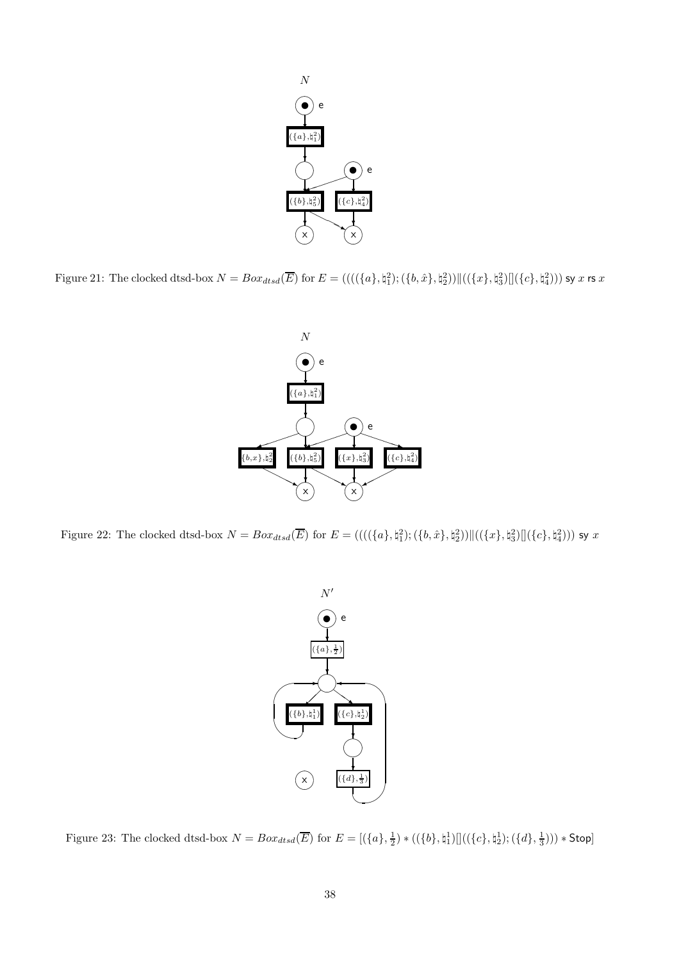

Figure 21: The clocked dtsd-box  $N = Box_{dtsd}(\overline{E})$  for  $E = (((\{(a\}, \natural_1^2); (\{b, \hat{x}\}, \natural_2^2)) \| ((\{x\}, \natural_3^2) \| (\{c\}, \natural_4^2)))$  sy  $x$  rs  $x$ 



Figure 22: The clocked dtsd-box  $N = Box_{dtsd}(\overline{E})$  for  $E = (((({a}, {a}^2, {a}^2_1); ({b}, {\hat{x}}^2, {a}^2_2))||((\lbrace x \rbrace, {a}^2_3)(](\lbrace c \rbrace, {a}^2_4)))$  sy  $x$ 



Figure 23: The clocked dtsd-box  $N = Box_{dtsd}(\overline{E})$  for  $E = [(\lbrace a \rbrace, \frac{1}{2}) * ((\lbrace b \rbrace, \natural_1^1)]]((\lbrace c \rbrace, \natural_2^1); (\lbrace d \rbrace, \frac{1}{3}))) * Stop]$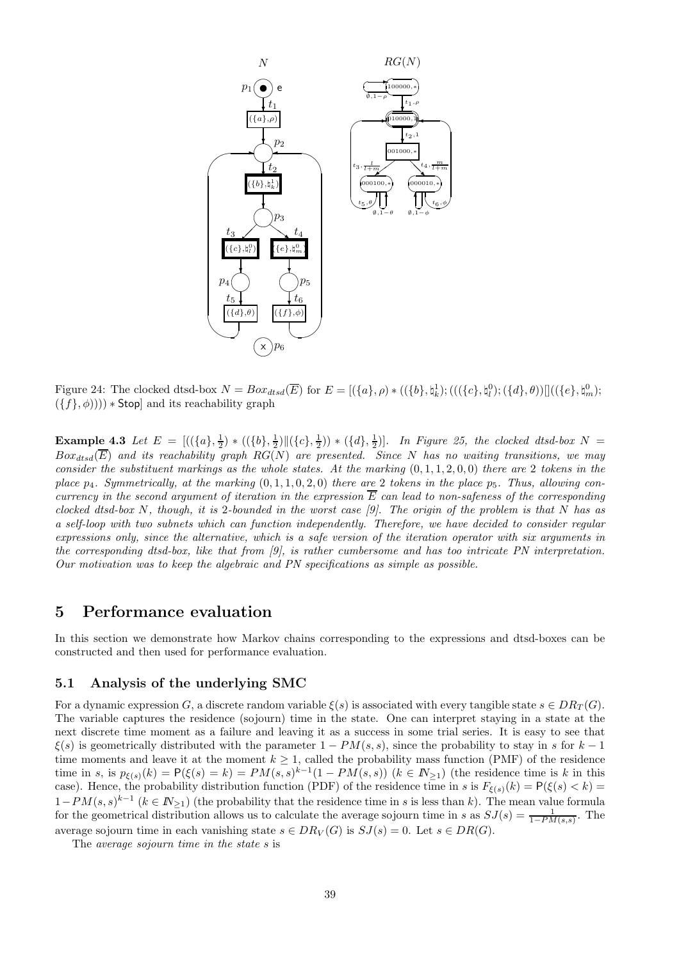

Figure 24: The clocked dtsd-box  $N = Box_{dtsd}(\overline{E})$  for  $E = [(\lbrace a \rbrace, \rho) * ((\lbrace b \rbrace, \natural_k^1); (((\lbrace c \rbrace, \natural_l^0); (\lbrace d \rbrace, \theta))]((\lbrace e \rbrace, \natural_m^0);$  $(\{f\}, \phi)))$  \* Stop] and its reachability graph

**Example 4.3** Let  $E = [((\{a\}, \frac{1}{2}) * ((\{b\}, \frac{1}{2}) || (\{c\}, \frac{1}{2})) * (\{d\}, \frac{1}{2})].$  In Figure 25, the clocked dtsd-box  $N =$  $Box_{dtsd}(\overline{E})$  and its reachability graph  $RG(N)$  are presented. Since N has no waiting transitions, we may consider the substituent markings as the whole states. At the marking  $(0, 1, 1, 2, 0, 0)$  there are 2 tokens in the place  $p_4$ . Symmetrically, at the marking  $(0, 1, 1, 0, 2, 0)$  there are 2 tokens in the place  $p_5$ . Thus, allowing concurrency in the second argument of iteration in the expression  $\overline{E}$  can lead to non-safeness of the corresponding clocked dtsd-box N, though, it is 2-bounded in the worst case [9]. The origin of the problem is that N has as a self-loop with two subnets which can function independently. Therefore, we have decided to consider regular expressions only, since the alternative, which is a safe version of the iteration operator with six arguments in the corresponding dtsd-box, like that from [9], is rather cumbersome and has too intricate PN interpretation. Our motivation was to keep the algebraic and PN specifications as simple as possible.

## 5 Performance evaluation

In this section we demonstrate how Markov chains corresponding to the expressions and dtsd-boxes can be constructed and then used for performance evaluation.

## 5.1 Analysis of the underlying SMC

For a dynamic expression G, a discrete random variable  $\xi(s)$  is associated with every tangible state  $s \in DR_T(G)$ . The variable captures the residence (sojourn) time in the state. One can interpret staying in a state at the next discrete time moment as a failure and leaving it as a success in some trial series. It is easy to see that  $\xi(s)$  is geometrically distributed with the parameter  $1 - PM(s, s)$ , since the probability to stay in s for  $k - 1$ time moments and leave it at the moment  $k \geq 1$ , called the probability mass function (PMF) of the residence time in s, is  $p_{\xi(s)}(k) = P(\xi(s) = k) = PM(s, s)^{k-1}(1 - PM(s, s))$   $(k \in \mathbb{N}_{\geq 1})$  (the residence time is k in this case). Hence, the probability distribution function (PDF) of the residence time in s is  $F_{\xi(s)}(k) = P(\xi(s) < k)$  $1-PM(s,s)^{k-1}$   $(k \in \mathbb{N}_{\geq 1})$  (the probability that the residence time in s is less than k). The mean value formula for the geometrical distribution allows us to calculate the average sojourn time in s as  $SJ(s) = \frac{1}{1 - PM(s,s)}$ . The average sojourn time in each vanishing state  $s \in DR_V(G)$  is  $SJ(s) = 0$ . Let  $s \in DR(G)$ .

The average sojourn time in the state s is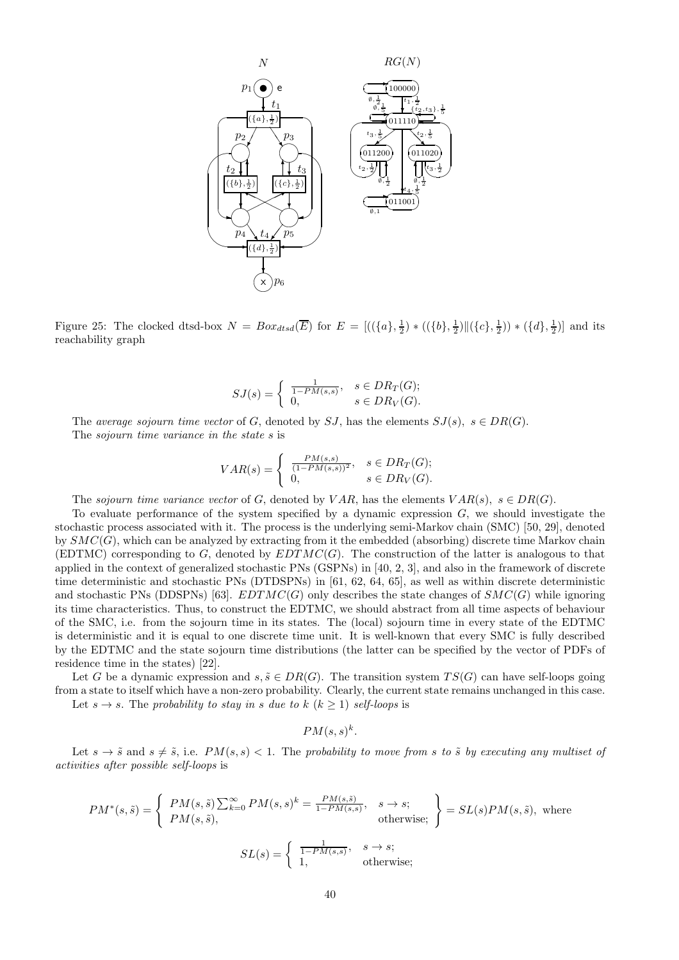

Figure 25: The clocked dtsd-box  $N = Box_{dtsd}(\overline{E})$  for  $E = [((\{a\}, \frac{1}{2}) * ((\{b\}, \frac{1}{2}) || (\{c\}, \frac{1}{2})) * (\{d\}, \frac{1}{2})]$  and its reachability graph

$$
SJ(s) = \begin{cases} \frac{1}{1 - PM(s, s)}, & s \in DR_T(G); \\ 0, & s \in DR_V(G). \end{cases}
$$

The average sojourn time vector of G, denoted by SJ, has the elements  $SJ(s), s \in DR(G)$ . The sojourn time variance in the state s is

$$
VAR(s) = \begin{cases} \frac{PM(s,s)}{(1 - PM(s,s))^2}, & s \in DR_T(G); \\ 0, & s \in DR_V(G). \end{cases}
$$

The sojourn time variance vector of G, denoted by VAR, has the elements  $VAR(s), s \in DR(G)$ .

To evaluate performance of the system specified by a dynamic expression  $G$ , we should investigate the stochastic process associated with it. The process is the underlying semi-Markov chain (SMC) [50, 29], denoted by  $SMC(G)$ , which can be analyzed by extracting from it the embedded (absorbing) discrete time Markov chain (EDTMC) corresponding to  $G$ , denoted by  $EDTMC(G)$ . The construction of the latter is analogous to that applied in the context of generalized stochastic PNs (GSPNs) in [40, 2, 3], and also in the framework of discrete time deterministic and stochastic PNs (DTDSPNs) in [61, 62, 64, 65], as well as within discrete deterministic and stochastic PNs (DDSPNs) [63].  $EDTMC(G)$  only describes the state changes of  $SMC(G)$  while ignoring its time characteristics. Thus, to construct the EDTMC, we should abstract from all time aspects of behaviour of the SMC, i.e. from the sojourn time in its states. The (local) sojourn time in every state of the EDTMC is deterministic and it is equal to one discrete time unit. It is well-known that every SMC is fully described by the EDTMC and the state sojourn time distributions (the latter can be specified by the vector of PDFs of residence time in the states) [22].

Let G be a dynamic expression and  $s, \tilde{s} \in DR(G)$ . The transition system  $TS(G)$  can have self-loops going from a state to itself which have a non-zero probability. Clearly, the current state remains unchanged in this case. Let  $s \to s$ . The probability to stay in s due to k  $(k \ge 1)$  self-loops is

$$
PM(s,s)^k
$$
.

Let  $s \to \tilde{s}$  and  $s \neq \tilde{s}$ , i.e.  $PM(s, s) < 1$ . The probability to move from s to  $\tilde{s}$  by executing any multiset of activities after possible self-loops is

$$
PM^*(s, \tilde{s}) = \begin{cases} PM(s, \tilde{s}) \sum_{k=0}^{\infty} PM(s, s)^k = \frac{PM(s, \tilde{s})}{1 - PM(s, s)}, & s \to s; \\ PM(s, \tilde{s}), & \text{otherwise}; \end{cases} = SL(s)PM(s, \tilde{s}), \text{ where}
$$

$$
SL(s) = \begin{cases} \frac{1}{1 - PM(s, s)}, & s \to s; \\ 1, & \text{otherwise}; \end{cases}
$$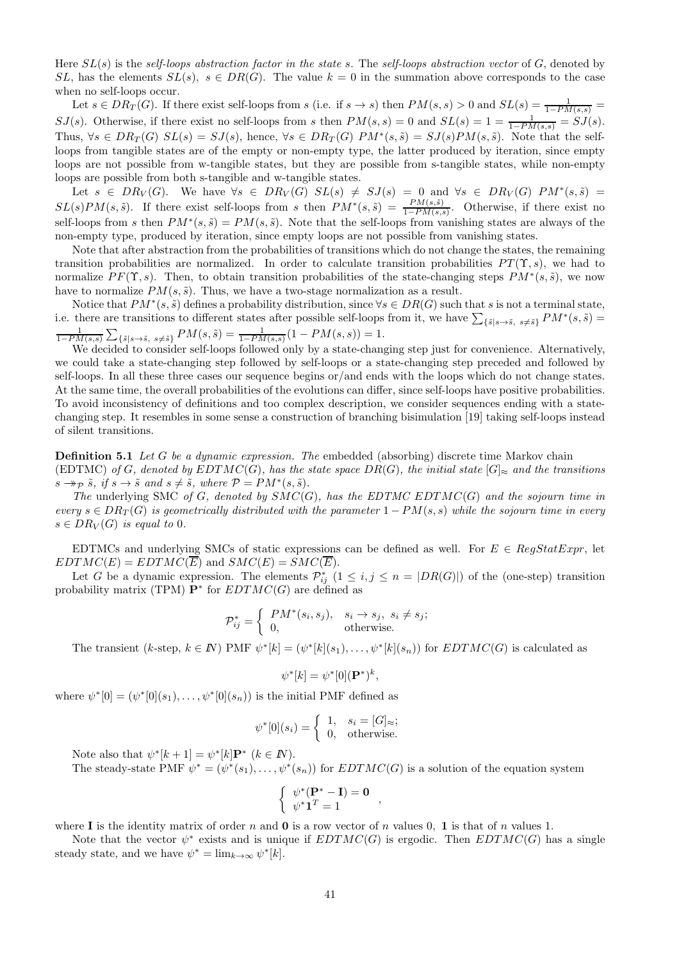Here  $SL(s)$  is the self-loops abstraction factor in the state s. The self-loops abstraction vector of G, denoted by SL, has the elements  $SL(s)$ ,  $s \in DR(G)$ . The value  $k=0$  in the summation above corresponds to the case when no self-loops occur.

Let  $s \in DR_T(G)$ . If there exist self-loops from s (i.e. if  $s \to s$ ) then  $PM(s, s) > 0$  and  $SL(s) = \frac{1}{1 - PM(s, s)}$ SJ(s). Otherwise, if there exist no self-loops from s then  $PM(s, s) = 0$  and  $SL(s) = 1 = \frac{1}{1 - PM(s, s)} = SJ(s)$ . Thus,  $\forall s \in DR_T(G) \ SL(s) = \mathcal{S}J(s)$ , hence,  $\forall s \in DR_T(G) \ PM^*(s, \tilde{s}) = \mathcal{S}J(s) \ PM(s, \tilde{s})$ . Note that the selfloops from tangible states are of the empty or non-empty type, the latter produced by iteration, since empty loops are not possible from w-tangible states, but they are possible from s-tangible states, while non-empty loops are possible from both s-tangible and w-tangible states.

Let  $s \in DR_V(G)$ . We have  $\forall s \in DR_V(G)$   $SL(s) \neq SU(s) = 0$  and  $\forall s \in DR_V(G)$   $PM^*(s, \tilde{s}) =$  $SL(s)PM(s, \tilde{s})$ . If there exist self-loops from s then  $PM^*(s, \tilde{s}) = \frac{PM(s, \tilde{s})}{1-PM(s, s)}$ . Otherwise, if there exist no self-loops from s then  $PM^*(s, \tilde{s}) = PM(s, \tilde{s})$ . Note that the self-loops from vanishing states are always of the non-empty type, produced by iteration, since empty loops are not possible from vanishing states.

Note that after abstraction from the probabilities of transitions which do not change the states, the remaining transition probabilities are normalized. In order to calculate transition probabilities  $PT(\Upsilon, s)$ , we had to normalize  $PF(\Upsilon, s)$ . Then, to obtain transition probabilities of the state-changing steps  $PM^*(s, \tilde{s})$ , we now have to normalize  $PM(s, \tilde{s})$ . Thus, we have a two-stage normalization as a result.

Notice that  $PM^*(s, \tilde{s})$  defines a probability distribution, since  $\forall s \in DR(G)$  such that s is not a terminal state, i.e. there are transitions to different states after possible self-loops from it, we have  $\sum_{\{\tilde{s}|s\to\tilde{s}, s\neq\tilde{s}\}}PM^*(s, \tilde{s}) =$  $\frac{1}{1-PM(s,s)}\sum_{\{\tilde{s}\mid s\to \tilde{s}, \ s\neq \tilde{s}\}}PM(s,\tilde{s}) = \frac{1}{1-PM(s,s)}(1-PM(s,s)) = 1.$ 

We decided to consider self-loops followed only by a state-changing step just for convenience. Alternatively, we could take a state-changing step followed by self-loops or a state-changing step preceded and followed by self-loops. In all these three cases our sequence begins or/and ends with the loops which do not change states. At the same time, the overall probabilities of the evolutions can differ, since self-loops have positive probabilities. To avoid inconsistency of definitions and too complex description, we consider sequences ending with a statechanging step. It resembles in some sense a construction of branching bisimulation [19] taking self-loops instead of silent transitions.

**Definition 5.1** Let G be a dynamic expression. The embedded (absorbing) discrete time Markov chain (EDTMC) of G, denoted by  $EDTMC(G)$ , has the state space  $DR(G)$ , the initial state  $|G|_{\approx}$  and the transitions  $s \rightarrow p \tilde{s}$ , if  $s \rightarrow \tilde{s}$  and  $s \neq \tilde{s}$ , where  $P = PM^*(s, \tilde{s})$ .

The underlying SMC of G, denoted by  $SMC(G)$ , has the EDTMC EDTMC(G) and the sojourn time in every  $s \in DR_T(G)$  is geometrically distributed with the parameter  $1 - PM(s, s)$  while the sojourn time in every  $s \in DR_V(G)$  is equal to 0.

EDTMCs and underlying SMCs of static expressions can be defined as well. For  $E \in \text{RegStatexpr}$ , let  $EDTMC(E) = EDTMC(\overline{E})$  and  $SMC(E) = SMC(\overline{E}).$ 

Let G be a dynamic expression. The elements  $\mathcal{P}_{ij}^*$   $(1 \le i, j \le n = |DR(G)|)$  of the (one-step) transition probability matrix (TPM)  $\mathbf{P}^*$  for  $EDTMC(G)$  are defined as

$$
\mathcal{P}_{ij}^* = \begin{cases} PM^*(s_i, s_j), & s_i \to s_j, \ s_i \neq s_j; \\ 0, & \text{otherwise.} \end{cases}
$$

The transient  $(k$ -step,  $k \in \mathbb{N}$ ) PMF  $\psi^*[k] = (\psi^*[k](s_1), \dots, \psi^*[k](s_n))$  for  $EDTMC(G)$  is calculated as

$$
\psi^*[k] = \psi^*[0]({\mathbf P}^*)^k,
$$

where  $\psi^*[0] = (\psi^*[0](s_1), \ldots, \psi^*[0](s_n))$  is the initial PMF defined as

$$
\psi^*[0](s_i) = \begin{cases} 1, & s_i = [G]_{\approx}; \\ 0, & \text{otherwise.} \end{cases}
$$

Note also that  $\psi^*[k+1] = \psi^*[k] \mathbf{P}^*$   $(k \in \mathbb{N})$ .

The steady-state PMF  $\psi^* = (\psi^*(s_1), \dots, \psi^*(s_n))$  for  $EDTMC(G)$  is a solution of the equation system

$$
\left\{ \begin{array}{ll} \psi^*(\mathbf{P}^*-\mathbf{I})=\mathbf{0}\\ \psi^*\mathbf{1}^T=1 \end{array} \right.,
$$

where **I** is the identity matrix of order n and **0** is a row vector of n values 0, **1** is that of n values 1.

Note that the vector  $\psi^*$  exists and is unique if  $EDTMC(G)$  is ergodic. Then  $EDTMC(G)$  has a single steady state, and we have  $\psi^* = \lim_{k \to \infty} \psi^*[k]$ .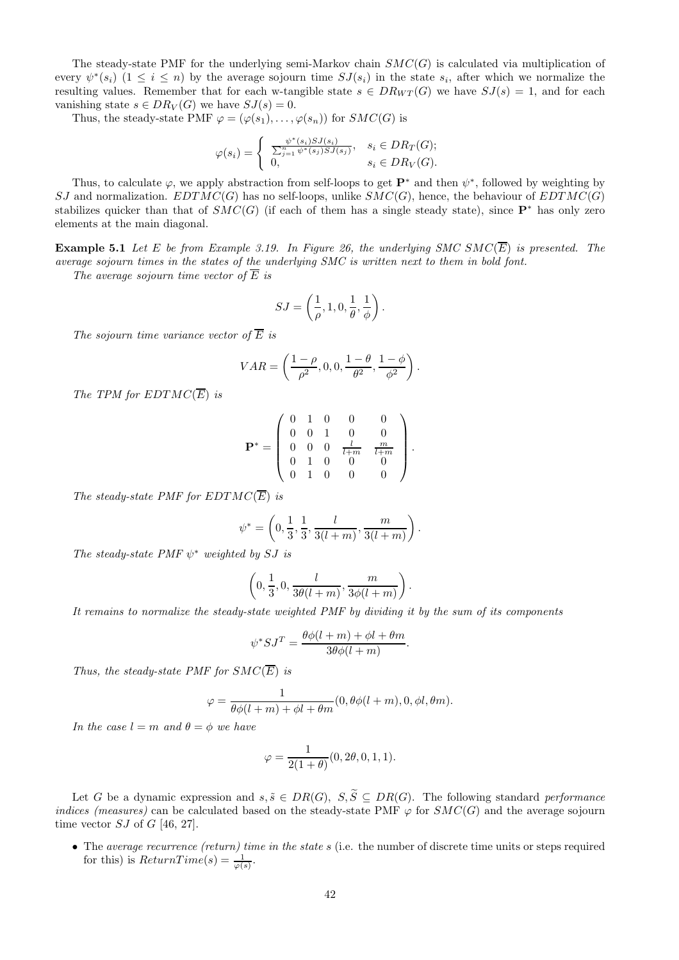The steady-state PMF for the underlying semi-Markov chain  $SMC(G)$  is calculated via multiplication of every  $\psi^*(s_i)$   $(1 \leq i \leq n)$  by the average sojourn time  $SJ(s_i)$  in the state  $s_i$ , after which we normalize the resulting values. Remember that for each w-tangible state  $s \in DR_{WT}(G)$  we have  $SJ(s) = 1$ , and for each vanishing state  $s \in DR_V(G)$  we have  $SJ(s) = 0$ .

Thus, the steady-state PMF  $\varphi = (\varphi(s_1), \ldots, \varphi(s_n))$  for  $SMC(G)$  is

$$
\varphi(s_i) = \begin{cases} \frac{\psi^*(s_i)SJ(s_i)}{\sum_{j=1}^n \psi^*(s_j)SJ(s_j)}, & s_i \in DR_T(G); \\ 0, & s_i \in DR_V(G). \end{cases}
$$

Thus, to calculate  $\varphi$ , we apply abstraction from self-loops to get  $\mathbf{P}^*$  and then  $\psi^*$ , followed by weighting by SJ and normalization.  $EDTMC(G)$  has no self-loops, unlike  $SMC(G)$ , hence, the behaviour of  $EDTMC(G)$ stabilizes quicker than that of  $SMC(G)$  (if each of them has a single steady state), since P<sup>∗</sup> has only zero elements at the main diagonal.

**Example 5.1** Let E be from Example 3.19. In Figure 26, the underlying SMC SMC( $\overline{E}$ ) is presented. The average sojourn times in the states of the underlying SMC is written next to them in bold font.

The average sojourn time vector of  $\overline{E}$  is

$$
SJ = \left(\frac{1}{\rho}, 1, 0, \frac{1}{\theta}, \frac{1}{\phi}\right).
$$

The sojourn time variance vector of  $\overline{E}$  is

$$
VAR = \left(\frac{1-\rho}{\rho^2}, 0, 0, \frac{1-\theta}{\theta^2}, \frac{1-\phi}{\phi^2}\right).
$$

The TPM for  $EDTMC(\overline{E})$  is

$$
\mathbf{P}^* = \left( \begin{array}{cccc} 0 & 1 & 0 & 0 & 0 \\ 0 & 0 & 1 & 0 & 0 \\ 0 & 0 & 0 & \frac{l}{l+m} & \frac{m}{l+m} \\ 0 & 1 & 0 & 0 & 0 \\ 0 & 1 & 0 & 0 & 0 \end{array} \right).
$$

The steady-state PMF for  $EDTMC(\overline{E})$  is

$$
\psi^* = \left(0, \frac{1}{3}, \frac{1}{3}, \frac{l}{3(l+m)}, \frac{m}{3(l+m)}\right).
$$

The steady-state PMF  $\psi^*$  weighted by SJ is

$$
\left(0, \frac{1}{3}, 0, \frac{l}{3\theta(l+m)}, \frac{m}{3\phi(l+m)}\right).
$$

It remains to normalize the steady-state weighted PMF by dividing it by the sum of its components

$$
\psi^* SJ^T = \frac{\theta \phi (l+m) + \phi l + \theta m}{3\theta \phi (l+m)}
$$

.

Thus, the steady-state PMF for  $SMC(\overline{E})$  is

$$
\varphi = \frac{1}{\theta \phi(l+m) + \phi l + \theta m}(0, \theta \phi(l+m), 0, \phi l, \theta m).
$$

In the case  $l = m$  and  $\theta = \phi$  we have

$$
\varphi = \frac{1}{2(1+\theta)}(0, 2\theta, 0, 1, 1).
$$

Let G be a dynamic expression and  $s, \tilde{s} \in DR(G), S, \tilde{S} \subseteq DR(G)$ . The following standard performance indices (measures) can be calculated based on the steady-state PMF  $\varphi$  for  $SMC(G)$  and the average sojourn time vector  $SJ$  of  $G$  [46, 27].

• The *average recurrence (return) time in the state s* (i.e. the number of discrete time units or steps required for this) is  $ReturnTime(s) = \frac{1}{\varphi(s)}$ .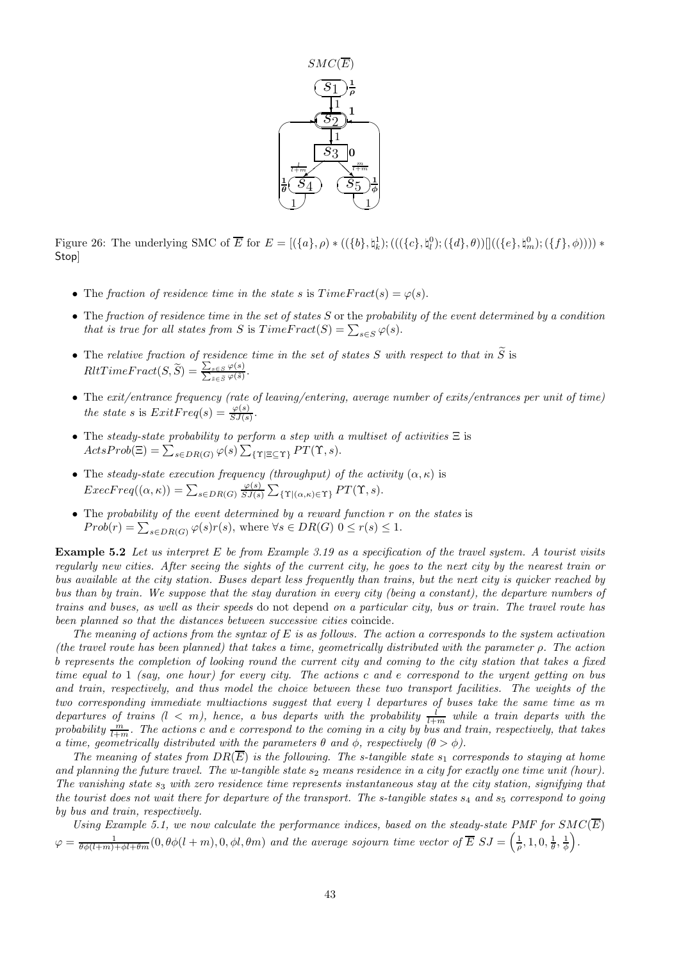

Figure 26: The underlying SMC of  $\overline{E}$  for  $E = [(\lbrace a \rbrace, \rho) * ((\lbrace b \rbrace, \natural_k^1); (((\lbrace c \rbrace, \natural_l^0); (\lbrace d \rbrace, \theta))]((\lbrace e \rbrace, \natural_m^0); (\lbrace f \rbrace, \phi)))) *$ Stop]

- The fraction of residence time in the state s is  $Time Fract(s) = \varphi(s)$ .
- The fraction of residence time in the set of states S or the probability of the event determined by a condition that is true for all states from S is  $Time Fract(S) = \sum_{s \in S} \varphi(s)$ .
- The relative fraction of residence time in the set of states S with respect to that in  $\widetilde{S}$  is  $RltTime Fract(S, \widetilde{S}) = \frac{\sum_{s \in S} \varphi(s)}{\sum_{\tilde{s} \in \tilde{S}} \varphi(\tilde{s})}.$
- The exit/entrance frequency (rate of leaving/entering, average number of exits/entrances per unit of time) the state s is  $ExitFreq(s) = \frac{\varphi(s)}{SJ(s)}$ .
- The steady-state probability to perform a step with a multiset of activities  $\Xi$  is  $\text{ActsProb}(\Xi) = \sum_{s \in DR(G)} \varphi(s) \sum_{\{\Upsilon \mid \Xi \subseteq \Upsilon\}} PT(\Upsilon, s).$
- The steady-state execution frequency (throughput) of the activity  $(\alpha, \kappa)$  is  $ExecFreq((\alpha,\kappa)) = \sum_{s \in DR(G)} \frac{\varphi(s)}{SJ(s)}$  $\frac{\varphi(s)}{SJ(s)}\sum_{\{\Upsilon|(\alpha,\kappa)\in\Upsilon\}}PT(\Upsilon,s).$
- The probability of the event determined by a reward function r on the states is  $Prob(r) = \sum_{s \in DR(G)} \varphi(s)r(s)$ , where  $\forall s \in DR(G)$   $0 \leq r(s) \leq 1$ .

Example 5.2 Let us interpret E be from Example 3.19 as a specification of the travel system. A tourist visits regularly new cities. After seeing the sights of the current city, he goes to the next city by the nearest train or bus available at the city station. Buses depart less frequently than trains, but the next city is quicker reached by bus than by train. We suppose that the stay duration in every city (being a constant), the departure numbers of trains and buses, as well as their speeds do not depend on a particular city, bus or train. The travel route has been planned so that the distances between successive cities coincide.

The meaning of actions from the syntax of E is as follows. The action a corresponds to the system activation (the travel route has been planned) that takes a time, geometrically distributed with the parameter  $\rho$ . The action b represents the completion of looking round the current city and coming to the city station that takes a fixed time equal to 1 (say, one hour) for every city. The actions c and e correspond to the urgent getting on bus and train, respectively, and thus model the choice between these two transport facilities. The weights of the two corresponding immediate multiactions suggest that every l departures of buses take the same time as m departures of trains  $(l < m)$ , hence, a bus departs with the probability  $\frac{l}{l+m}$  while a train departs with the probability  $\frac{m}{l+m}$ . The actions c and e correspond to the coming in a city by bus and train, respectively, that takes a time, geometrically distributed with the parameters  $\theta$  and  $\phi$ , respectively  $(\theta > \phi)$ .

The meaning of states from  $DR(\overline{E})$  is the following. The s-tangible state  $s_1$  corresponds to staying at home and planning the future travel. The w-tangible state  $s_2$  means residence in a city for exactly one time unit (hour). The vanishing state  $s_3$  with zero residence time represents instantaneous stay at the city station, signifying that the tourist does not wait there for departure of the transport. The s-tangible states  $s_4$  and  $s_5$  correspond to going by bus and train, respectively.

Using Example 5.1, we now calculate the performance indices, based on the steady-state PMF for  $SMC(\overline{E})$  $\varphi = \frac{1}{\theta \phi(l+m)+\phi l+\theta m}(0,\theta \phi(l+m),0,\phi l,\theta m)$  and the average sojourn time vector of  $\overline{E}$  SJ =  $\left(\frac{1}{\rho},1,0,\frac{1}{\theta},\frac{1}{\phi}\right)$ .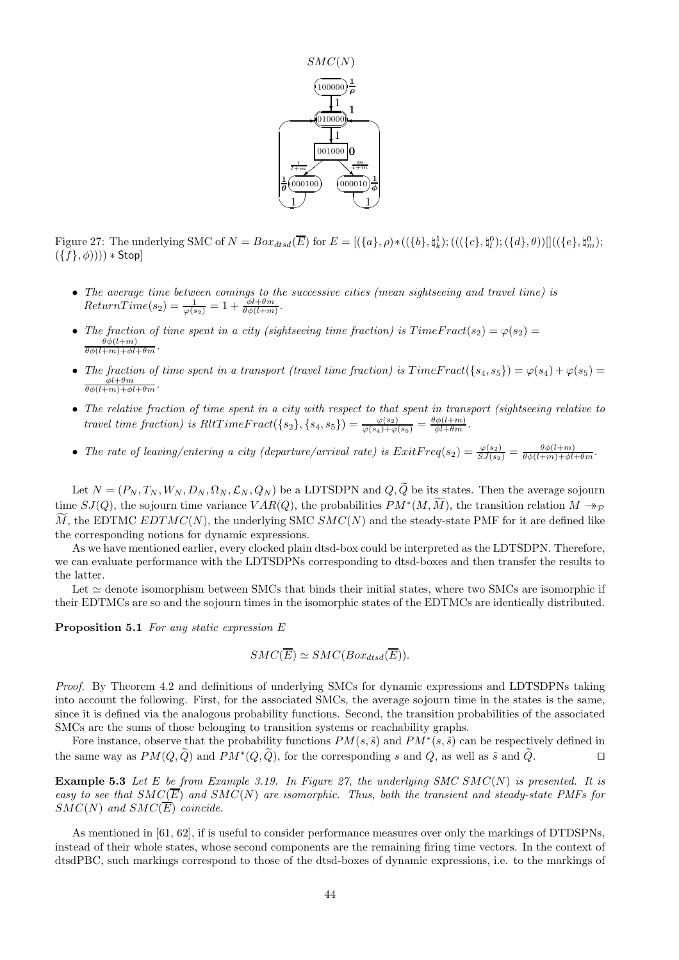

Figure 27: The underlying SMC of  $N = Box_{dtsd}(\overline{E})$  for  $E = [(\lbrace a \rbrace, \rho) * ((\lbrace b \rbrace, \natural_k^1); (((\lbrace c \rbrace, \natural_l^0); (\lbrace d \rbrace, \theta))]((\lbrace e \rbrace, \natural_m^0);$  $({f}, \phi)))$  \* Stop]

- The average time between comings to the successive cities (mean sightseeing and travel time) is  $ReturnTime(s_2) = \frac{1}{\varphi(s_2)} = 1 + \frac{\phi l + \theta m}{\theta \phi(l+m)}$ .
- The fraction of time spent in a city (sightseeing time fraction) is  $Time Fract(s_2) = \varphi(s_2)$  $\ddot{\theta\phi}(l+m)$  $\theta\phi(l+m)+\phi l+\theta m$
- The fraction of time spent in a transport (travel time fraction) is  $Time Fract({s_4, s_5}) = \varphi(s_4) + \varphi(s_5) =$  $\frac{\phi l+\theta m}{\theta\phi(l+m)+\phi l+\theta m}.$
- The relative fraction of time spent in a city with respect to that spent in transport (sightseeing relative to travel time fraction) is  $RltTime Fract({s_2}, {s_4, s_5}) = \frac{\varphi(s_2)}{\varphi(s_4) + \varphi(s_5)} = \frac{\theta \phi(l+m)}{\phi l+m}.$
- The rate of leaving/entering a city (departure/arrival rate) is  $ExitFreq(s_2) = \frac{\varphi(s_2)}{SJ(s_2)} = \frac{\theta\phi(l+m)}{\theta\phi(l+m)+\phi l+\theta m}$ .

Let  $N = (P_N, T_N, W_N, D_N, \Omega_N, \mathcal{L}_N, Q_N)$  be a LDTSDPN and  $Q, \widetilde{Q}$  be its states. Then the average sojourn time  $SJ(Q)$ , the sojourn time variance  $VAR(Q)$ , the probabilities  $PM^*(M, M)$ , the transition relation  $M \rightarrow \mathcal{P}$ M, the EDTMC  $EDTMC(N)$ , the underlying SMC  $SMC(N)$  and the steady-state PMF for it are defined like the corresponding notions for dynamic expressions.

As we have mentioned earlier, every clocked plain dtsd-box could be interpreted as the LDTSDPN. Therefore, we can evaluate performance with the LDTSDPNs corresponding to dtsd-boxes and then transfer the results to the latter.

Let  $\simeq$  denote isomorphism between SMCs that binds their initial states, where two SMCs are isomorphic if their EDTMCs are so and the sojourn times in the isomorphic states of the EDTMCs are identically distributed.

Proposition 5.1 For any static expression E

$$
SMC(\overline{E}) \simeq SMC(Box_{dtsd}(\overline{E})).
$$

Proof. By Theorem 4.2 and definitions of underlying SMCs for dynamic expressions and LDTSDPNs taking into account the following. First, for the associated SMCs, the average sojourn time in the states is the same, since it is defined via the analogous probability functions. Second, the transition probabilities of the associated SMCs are the sums of those belonging to transition systems or reachability graphs.

Fore instance, observe that the probability functions  $PM(s, \tilde{s})$  and  $PM^*(s, \tilde{s})$  can be respectively defined in the same way as  $PM(Q, \tilde{Q})$  and  $PM^*(Q, \tilde{Q})$ , for the corresponding s and  $Q$ , as well as  $\tilde{s}$  and  $\tilde{Q}$ . □

**Example 5.3** Let E be from Example 3.19. In Figure 27, the underlying SMC SMC(N) is presented. It is easy to see that  $SMC(\overline{E})$  and  $SMC(N)$  are isomorphic. Thus, both the transient and steady-state PMFs for  $SMC(N)$  and  $SMC(\overline{E})$  coincide.

As mentioned in [61, 62], if is useful to consider performance measures over only the markings of DTDSPNs, instead of their whole states, whose second components are the remaining firing time vectors. In the context of dtsdPBC, such markings correspond to those of the dtsd-boxes of dynamic expressions, i.e. to the markings of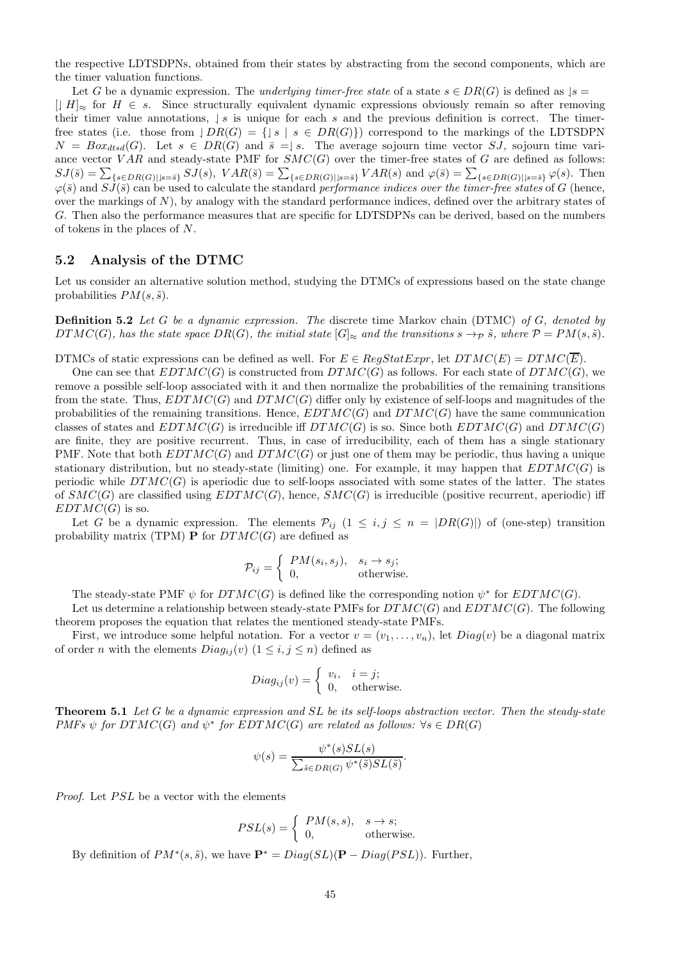the respective LDTSDPNs, obtained from their states by abstracting from the second components, which are the timer valuation functions.

Let G be a dynamic expression. The *underlying timer-free state* of a state  $s \in DR(G)$  is defined as  $|s|$  $|H|_{\infty}$  for  $H \in s$ . Since structurally equivalent dynamic expressions obviously remain so after removing their timer value annotations,  $\vert s \rangle$  is unique for each s and the previous definition is correct. The timerfree states (i.e. those from  $\lfloor DR(G) \rfloor = \{\lfloor s \rfloor \mid s \in DR(G)\}\)$  correspond to the markings of the LDTSDPN  $N = Box_{dtsd}(G)$ . Let  $s \in DR(G)$  and  $\overline{s} = |s|$ . The average sojourn time vector SJ, sojourn time variance vector  $VAR$  and steady-state PMF for  $SMC(G)$  over the timer-free states of G are defined as follows:  $SJ(\bar{s}) = \sum_{\{s \in DR(G)| | s=\bar{s}\}} SJ(s)$ ,  $VAR(\bar{s}) = \sum_{\{s \in DR(G)| | s=\bar{s}\}} VAR(s)$  and  $\varphi(\bar{s}) = \sum_{\{s \in DR(G)| | s=\bar{s}\}} \varphi(s)$ . Then  $\varphi(\bar{s})$  and  $SJ(\bar{s})$  can be used to calculate the standard *performance indices over the timer-free states* of G (hence, over the markings of  $N$ ), by analogy with the standard performance indices, defined over the arbitrary states of G. Then also the performance measures that are specific for LDTSDPNs can be derived, based on the numbers of tokens in the places of N.

#### 5.2 Analysis of the DTMC

Let us consider an alternative solution method, studying the DTMCs of expressions based on the state change probabilities  $PM(s, \tilde{s})$ .

**Definition 5.2** Let G be a dynamic expression. The discrete time Markov chain (DTMC) of G, denoted by  $DTMC(G)$ , has the state space  $DR(G)$ , the initial state  $|G|_{\approx}$  and the transitions  $s \rightarrow_{\mathcal{P}} \tilde{s}$ , where  $\mathcal{P} = PM(s, \tilde{s})$ .

DTMCs of static expressions can be defined as well. For  $E \in \text{Reaf}x \to \text{Tr}MC(E) = \text{Tr}MC(\overline{E}).$ 

One can see that  $EDTMC(G)$  is constructed from  $DTMC(G)$  as follows. For each state of  $DTMC(G)$ , we remove a possible self-loop associated with it and then normalize the probabilities of the remaining transitions from the state. Thus,  $EDTMC(G)$  and  $DTMC(G)$  differ only by existence of self-loops and magnitudes of the probabilities of the remaining transitions. Hence,  $EDTMC(G)$  and  $DTMC(G)$  have the same communication classes of states and  $EDTMC(G)$  is irreducible iff  $DTMC(G)$  is so. Since both  $EDTMC(G)$  and  $DTMC(G)$ are finite, they are positive recurrent. Thus, in case of irreducibility, each of them has a single stationary PMF. Note that both  $EDTMC(G)$  and  $DTMC(G)$  or just one of them may be periodic, thus having a unique stationary distribution, but no steady-state (limiting) one. For example, it may happen that  $EDTMC(G)$  is periodic while  $DTMC(G)$  is aperiodic due to self-loops associated with some states of the latter. The states of  $SMC(G)$  are classified using  $EDTMC(G)$ , hence,  $SMC(G)$  is irreducible (positive recurrent, aperiodic) iff  $EDTMC(G)$  is so.

Let G be a dynamic expression. The elements  $\mathcal{P}_{ij}$   $(1 \leq i, j \leq n = |DR(G)|)$  of (one-step) transition probability matrix (TPM) **P** for  $DTMC(G)$  are defined as

$$
\mathcal{P}_{ij} = \begin{cases} PM(s_i, s_j), & s_i \to s_j; \\ 0, & \text{otherwise.} \end{cases}
$$

The steady-state PMF  $\psi$  for  $DTMC(G)$  is defined like the corresponding notion  $\psi^*$  for  $EDTMC(G)$ .

Let us determine a relationship between steady-state PMFs for  $DTMC(G)$  and  $EDTMC(G)$ . The following theorem proposes the equation that relates the mentioned steady-state PMFs.

First, we introduce some helpful notation. For a vector  $v = (v_1, \ldots, v_n)$ , let  $Diag(v)$  be a diagonal matrix of order *n* with the elements  $Diag_{ij}(v)$   $(1 \leq i, j \leq n)$  defined as

$$
Diag_{ij}(v) = \begin{cases} v_i, & i = j; \\ 0, & \text{otherwise.} \end{cases}
$$

**Theorem 5.1** Let G be a dynamic expression and SL be its self-loops abstraction vector. Then the steady-state PMFs  $\psi$  for DTMC(G) and  $\psi^*$  for EDTMC(G) are related as follows:  $\forall s \in DR(G)$ 

$$
\psi(s) = \frac{\psi^*(s)SL(s)}{\sum_{\tilde{s} \in DR(G)} \psi^*(\tilde{s})SL(\tilde{s})}
$$

.

*Proof.* Let  $PSL$  be a vector with the elements

$$
PSL(s) = \begin{cases} PM(s, s), & s \to s; \\ 0, & \text{otherwise.} \end{cases}
$$

By definition of  $PM^*(s, \tilde{s})$ , we have  $\mathbf{P}^* = Diag(SL)(\mathbf{P} - Diag(PSL))$ . Further,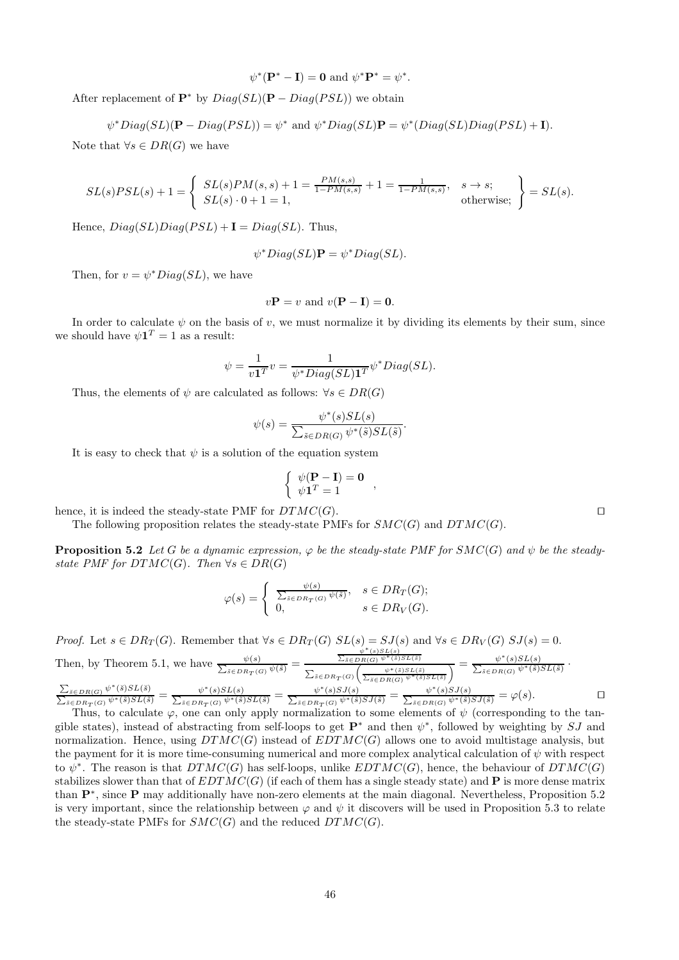$$
\psi^*(\mathbf{P}^* - \mathbf{I}) = \mathbf{0} \text{ and } \psi^* \mathbf{P}^* = \psi^*
$$

.

After replacement of  $\mathbf{P}^*$  by  $Diag(SL)(\mathbf{P} - Diag(PSL))$  we obtain

$$
\psi^*Diag(SL)(\mathbf{P}-Diag(PSL))=\psi^*\text{ and }\psi^*Diag(SL)\mathbf{P}=\psi^*(Diag(SL)Diag(PSL)+\mathbf{I}).
$$

Note that  $\forall s \in DR(G)$  we have

$$
SL(s)PSL(s) + 1 = \begin{cases} SL(s)PM(s,s) + 1 = \frac{PM(s,s)}{1 - PM(s,s)} + 1 = \frac{1}{1 - PM(s,s)}, & s \to s; \\ SL(s) \cdot 0 + 1 = 1, & \text{otherwise;} \end{cases} = SL(s).
$$

Hence,  $Diag(SL)Diag(PSL) + I = Diag(SL)$ . Thus,

$$
\psi^*Diag(SL)\mathbf{P}=\psi^*Diag(SL).
$$

Then, for  $v = \psi^* Diag(SL)$ , we have

$$
v\mathbf{P} = v
$$
 and  $v(\mathbf{P} - \mathbf{I}) = \mathbf{0}$ .

In order to calculate  $\psi$  on the basis of v, we must normalize it by dividing its elements by their sum, since we should have  $\psi \mathbf{1}^T = 1$  as a result:

$$
\psi = \frac{1}{v\mathbf{1}^T} v = \frac{1}{\psi^* Diag(SL)\mathbf{1}^T} \psi^* Diag(SL).
$$

Thus, the elements of  $\psi$  are calculated as follows:  $\forall s \in DR(G)$ 

$$
\psi(s) = \frac{\psi^*(s)SL(s)}{\sum_{\tilde{s} \in DR(G)} \psi^*(\tilde{s})SL(\tilde{s})}.
$$

It is easy to check that  $\psi$  is a solution of the equation system

$$
\left\{ \begin{array}{c} \psi(\mathbf{P} - \mathbf{I}) = \mathbf{0} \\ \psi \mathbf{1}^T = 1 \end{array} \right.,
$$

hence, it is indeed the steady-state PMF for  $DTMC(G)$ . □

The following proposition relates the steady-state PMFs for  $SMC(G)$  and  $DTMC(G)$ .

**Proposition 5.2** Let G be a dynamic expression,  $\varphi$  be the steady-state PMF for SMC(G) and  $\psi$  be the steadystate PMF for  $DTMC(G)$ . Then  $\forall s \in DR(G)$ 

$$
\varphi(s) = \begin{cases} \frac{\psi(s)}{\sum_{\tilde{s} \in DR_T(G)} \psi(\tilde{s})}, & s \in DR_T(G); \\ 0, & s \in DR_V(G). \end{cases}
$$

*Proof.* Let  $s \in DR_T(G)$ . Remember that  $\forall s \in DR_T(G)$   $SL(s) = SJ(s)$  and  $\forall s \in DR_V(G)$   $SJ(s) = 0$ . Then, by Theorem 5.1, we have  $\frac{\psi(s)}{\sum_{\tilde{s} \in DR_T(G)} \psi(\tilde{s})}$  =  $\frac{\psi^*(s)SL(s)}{\sum_{\tilde{s}\in DR(G)}\psi^*(\tilde{s})SL(\tilde{s})}$  $\sum_{\tilde{s} \in DR_T(G)}$  $\left(\frac{\psi^*(\tilde{s})SL(\tilde{s})}{\sum_{\tilde{s}\in DR(G)}\psi^*(\tilde{s})SL(\tilde{s})}\right)$  $\frac{\psi^*}{\sum_{z \in \text{DR}}$  $\frac{\psi^*(s)SL(s)}{\sum_{\tilde{s}\in DR(G)}\psi^*(\tilde{s})SL(\tilde{s})}$ .  $\sum_{\breve{s} \in DR(G)} \psi^*(\breve{s}) SL(\breve{s})$ ∗  $\frac{\sum_{\widetilde{s} \in DR(G)} \psi^*(\widetilde{s})SL(\widetilde{s})}{\sum_{\widetilde{s} \in DR_T(G)} \psi^*(\widetilde{s})SL(\widetilde{s})} = \frac{\psi^*}{\sum_{\widetilde{s} \in DR_T} \psi^*(\widetilde{s})SL(\widetilde{s})}$  $\frac{\psi^*(s)SL(s)}{\sum_{\tilde{s}\in DR_T(G)}\psi^*(\tilde{s})SL(\tilde{s})}=\frac{\psi^*}{\sum_{\tilde{s}\in DR_T}}$  $\frac{\psi^*(s)SJ(s)}{\sum_{\tilde{s}\in DR_T(G)}\psi^*(\tilde{s})SJ(\tilde{s})}=\frac{\psi^*}{\sum_{\tilde{s}\in DR_S}$  $\frac{\psi^*(s)SJ(s)}{\sum_{\tilde{s}\in DR(G)}\psi^*(\tilde{s})SJ(\tilde{s})}=\varphi(s).$ 

Thus, to calculate  $\varphi$ , one can only apply normalization to some elements of  $\psi$  (corresponding to the tangible states), instead of abstracting from self-loops to get  $\mathbf{P}^*$  and then  $\psi^*$ , followed by weighting by  $SJ$  and normalization. Hence, using  $DTMC(G)$  instead of  $EDTMC(G)$  allows one to avoid multistage analysis, but the payment for it is more time-consuming numerical and more complex analytical calculation of  $\psi$  with respect to  $\psi^*$ . The reason is that  $DTMC(G)$  has self-loops, unlike  $EDTMC(G)$ , hence, the behaviour of  $DTMC(G)$ stabilizes slower than that of  $EDTMC(G)$  (if each of them has a single steady state) and **P** is more dense matrix than P<sup>∗</sup> , since P may additionally have non-zero elements at the main diagonal. Nevertheless, Proposition 5.2 is very important, since the relationship between  $\varphi$  and  $\psi$  it discovers will be used in Proposition 5.3 to relate the steady-state PMFs for  $SMC(G)$  and the reduced  $DTMC(G)$ .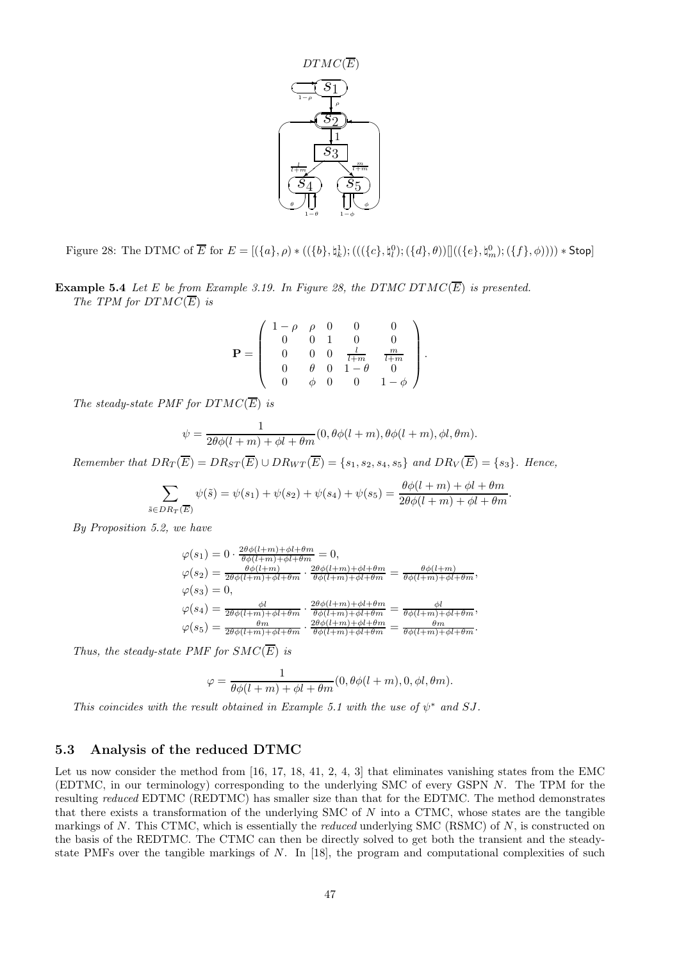



Figure 28: The DTMC of  $\overline{E}$  for  $E = [(\{a\}, \rho) * ((\{b\}, \natural_k^1); (((\{c\}, \natural_l^0); (\{d\}, \theta))]((\{e\}, \natural_m^0); (\{f\}, \phi)))) * Stop]$ 

**Example 5.4** Let E be from Example 3.19. In Figure 28, the DTMC DTMC( $\overline{E}$ ) is presented. The TPM for  $DTMC(\overline{E})$  is

$$
\mathbf{P} = \left( \begin{array}{cccccc} 1-\rho & \rho & 0 & 0 & 0 \\ 0 & 0 & 1 & 0 & 0 \\ 0 & 0 & 0 & \frac{l}{l+m} & \frac{m}{l+m} \\ 0 & \theta & 0 & 1-\theta & 0 \\ 0 & \phi & 0 & 0 & 1-\phi \end{array} \right).
$$

The steady-state PMF for  $DTMC(\overline{E})$  is

$$
\psi = \frac{1}{2\theta\phi(l+m) + \phi l + \theta m}(0, \theta\phi(l+m), \theta\phi(l+m), \phi l, \theta m).
$$

Remember that  $DR_T(\overline{E}) = DR_{ST}(\overline{E}) \cup DR_{WT}(\overline{E}) = \{s_1, s_2, s_4, s_5\}$  and  $DR_V(\overline{E}) = \{s_3\}$ . Hence,

$$
\sum_{\tilde{s}\in DR_T(\overline{E})}\psi(\tilde{s}) = \psi(s_1) + \psi(s_2) + \psi(s_4) + \psi(s_5) = \frac{\theta\phi(l+m) + \phi l + \theta m}{2\theta\phi(l+m) + \phi l + \theta m}.
$$

By Proposition 5.2, we have

$$
\varphi(s_1) = 0 \cdot \frac{2\theta\phi(l+m) + \phi l + \theta m}{\theta\phi(l+m) + \phi l + \theta m} = 0,
$$
  
\n
$$
\varphi(s_2) = \frac{\theta\phi(l+m)}{2\theta\phi(l+m) + \phi l + \theta m} \cdot \frac{2\theta\phi(l+m) + \phi l + \theta m}{\theta\phi(l+m) + \phi l + \theta m} = \frac{\theta\phi(l+m)}{\theta\phi(l+m) + \phi l + \theta m},
$$
  
\n
$$
\varphi(s_3) = 0,
$$
  
\n
$$
\varphi(s_4) = \frac{\phi l}{2\theta\phi(l+m) + \phi l + \theta m} \cdot \frac{2\theta\phi(l+m) + \phi l + \theta m}{\theta\phi(l+m) + \phi l + \theta m} = \frac{\phi l}{\theta\phi(l+m) + \phi l + \theta m},
$$
  
\n
$$
\varphi(s_5) = \frac{\theta m}{2\theta\phi(l+m) + \phi l + \theta m} \cdot \frac{2\theta\phi(l+m) + \phi l + \theta m}{\theta\phi(l+m) + \phi l + \theta m} = \frac{\theta m}{\theta\phi(l+m) + \phi l + \theta m}.
$$

Thus, the steady-state PMF for  $SMC(\overline{E})$  is

$$
\varphi = \frac{1}{\theta \phi(l+m) + \phi l + \theta m}(0, \theta \phi(l+m), 0, \phi l, \theta m).
$$

This coincides with the result obtained in Example 5.1 with the use of  $\psi^*$  and SJ.

### 5.3 Analysis of the reduced DTMC

Let us now consider the method from [16, 17, 18, 41, 2, 4, 3] that eliminates vanishing states from the EMC (EDTMC, in our terminology) corresponding to the underlying SMC of every GSPN N. The TPM for the resulting reduced EDTMC (REDTMC) has smaller size than that for the EDTMC. The method demonstrates that there exists a transformation of the underlying SMC of  $N$  into a CTMC, whose states are the tangible markings of  $N$ . This CTMC, which is essentially the *reduced* underlying SMC (RSMC) of  $N$ , is constructed on the basis of the REDTMC. The CTMC can then be directly solved to get both the transient and the steadystate PMFs over the tangible markings of  $N$ . In [18], the program and computational complexities of such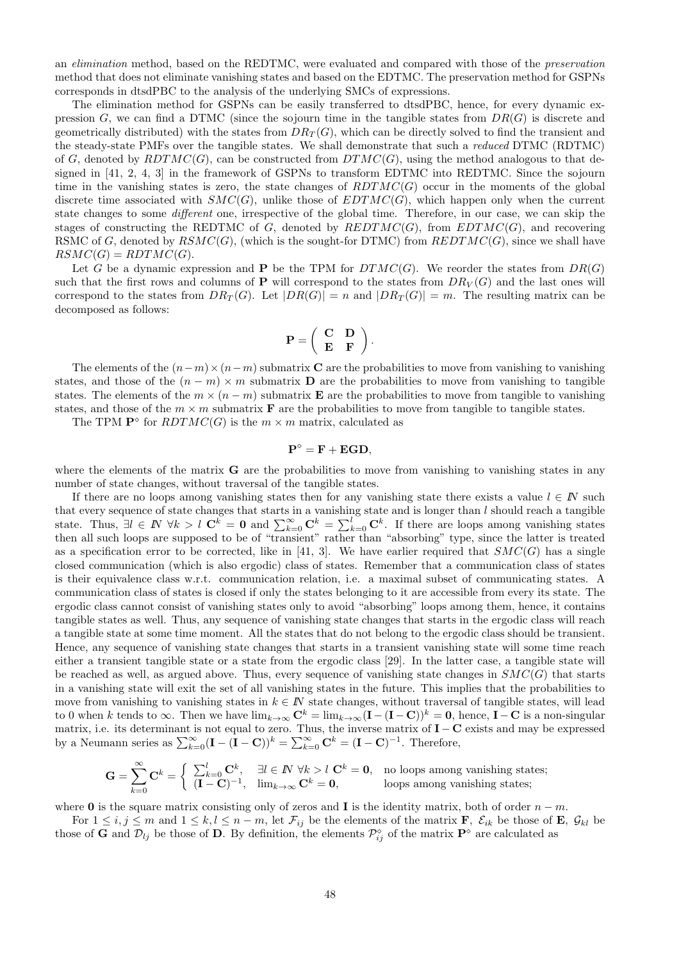an elimination method, based on the REDTMC, were evaluated and compared with those of the preservation method that does not eliminate vanishing states and based on the EDTMC. The preservation method for GSPNs corresponds in dtsdPBC to the analysis of the underlying SMCs of expressions.

The elimination method for GSPNs can be easily transferred to dtsdPBC, hence, for every dynamic expression G, we can find a DTMC (since the sojourn time in the tangible states from  $DR(G)$  is discrete and geometrically distributed) with the states from  $DR_T(G)$ , which can be directly solved to find the transient and the steady-state PMFs over the tangible states. We shall demonstrate that such a reduced DTMC (RDTMC) of G, denoted by  $RDTMC(G)$ , can be constructed from  $DTMC(G)$ , using the method analogous to that designed in [41, 2, 4, 3] in the framework of GSPNs to transform EDTMC into REDTMC. Since the sojourn time in the vanishing states is zero, the state changes of  $RDTMC(G)$  occur in the moments of the global discrete time associated with  $SMC(G)$ , unlike those of  $EDTMC(G)$ , which happen only when the current state changes to some different one, irrespective of the global time. Therefore, in our case, we can skip the stages of constructing the REDTMC of G, denoted by  $REDTMC(G)$ , from  $EDTMC(G)$ , and recovering RSMC of G, denoted by  $\mathit{RSMC}(G)$ , (which is the sought-for DTMC) from  $\mathit{REDTMC}(G)$ , since we shall have  $RSMC(G) = RDTMC(G).$ 

Let G be a dynamic expression and **P** be the TPM for  $DTMC(G)$ . We reorder the states from  $DR(G)$ such that the first rows and columns of **P** will correspond to the states from  $DR_V(G)$  and the last ones will correspond to the states from  $DR_T(G)$ . Let  $|DR(G)| = n$  and  $|DR_T(G)| = m$ . The resulting matrix can be decomposed as follows:

$$
\mathbf{P} = \left( \begin{array}{cc} \mathbf{C} & \mathbf{D} \\ \mathbf{E} & \mathbf{F} \end{array} \right).
$$

The elements of the  $(n-m)\times(n-m)$  submatrix **C** are the probabilities to move from vanishing to vanishing states, and those of the  $(n - m) \times m$  submatrix **D** are the probabilities to move from vanishing to tangible states. The elements of the  $m \times (n - m)$  submatrix **E** are the probabilities to move from tangible to vanishing states, and those of the  $m \times m$  submatrix **F** are the probabilities to move from tangible to tangible states.

The TPM  $\mathbf{P}^{\diamond}$  for  $RDTMC(G)$  is the  $m \times m$  matrix, calculated as

## $\mathbf{P}^{\diamond} = \mathbf{F} + \mathbf{EGD},$

where the elements of the matrix  $\bf{G}$  are the probabilities to move from vanishing to vanishing states in any number of state changes, without traversal of the tangible states.

If there are no loops among vanishing states then for any vanishing state there exists a value  $l \in \mathbb{N}$  such that every sequence of state changes that starts in a vanishing state and is longer than l should reach a tangible state. Thus,  $\exists l \in \mathbb{N} \ \forall k > l \ \mathbf{C}^k = \mathbf{0}$  and  $\sum_{k=0}^{\infty} \mathbf{C}^k = \sum_{k=0}^{l} \mathbf{C}^k$ . If there are loops among vanishing states then all such loops are supposed to be of "transient" rather than "absorbing" type, since the latter is treated as a specification error to be corrected, like in [41, 3]. We have earlier required that  $SMC(G)$  has a single closed communication (which is also ergodic) class of states. Remember that a communication class of states is their equivalence class w.r.t. communication relation, i.e. a maximal subset of communicating states. A communication class of states is closed if only the states belonging to it are accessible from every its state. The ergodic class cannot consist of vanishing states only to avoid "absorbing" loops among them, hence, it contains tangible states as well. Thus, any sequence of vanishing state changes that starts in the ergodic class will reach a tangible state at some time moment. All the states that do not belong to the ergodic class should be transient. Hence, any sequence of vanishing state changes that starts in a transient vanishing state will some time reach either a transient tangible state or a state from the ergodic class [29]. In the latter case, a tangible state will be reached as well, as argued above. Thus, every sequence of vanishing state changes in  $SMC(G)$  that starts in a vanishing state will exit the set of all vanishing states in the future. This implies that the probabilities to move from vanishing to vanishing states in  $k \in \mathbb{N}$  state changes, without traversal of tangible states, will lead to 0 when k tends to  $\infty$ . Then we have  $\lim_{k\to\infty} \mathbf{C}^k = \lim_{k\to\infty} (\mathbf{I} - (\mathbf{I} - \mathbf{C}))^k = 0$ , hence,  $\mathbf{I} - \mathbf{C}$  is a non-singular matrix, i.e. its determinant is not equal to zero. Thus, the inverse matrix of  $\mathbf{I} - \mathbf{C}$  exists and may be expressed by a Neumann series as  $\sum_{k=0}^{\infty} (\mathbf{I} - (\mathbf{I} - \mathbf{C}))^k = \sum_{k=0}^{\infty} \mathbf{C}^k = (\mathbf{I} - \mathbf{C})^{-1}$ . Therefore,

$$
\mathbf{G} = \sum_{k=0}^{\infty} \mathbf{C}^k = \begin{cases} \sum_{k=0}^{l} \mathbf{C}^k, & \exists l \in \mathbb{N} \ \forall k > l \ \mathbf{C}^k = \mathbf{0}, \quad \text{no loops among vanishing states;} \\ (\mathbf{I} - \mathbf{C})^{-1}, & \lim_{k \to \infty} \mathbf{C}^k = \mathbf{0}, \quad \text{loops among vanishing states;} \end{cases}
$$

where 0 is the square matrix consisting only of zeros and I is the identity matrix, both of order  $n - m$ .

For  $1 \le i, j \le m$  and  $1 \le k, l \le n-m$ , let  $\mathcal{F}_{ij}$  be the elements of the matrix **F**,  $\mathcal{E}_{ik}$  be those of **E**,  $\mathcal{G}_{kl}$  be those of **G** and  $\mathcal{D}_{lj}$  be those of **D**. By definition, the elements  $\mathcal{P}_{ij}^{\diamond}$  of the matrix  $\mathbf{P}^{\diamond}$  are calculated as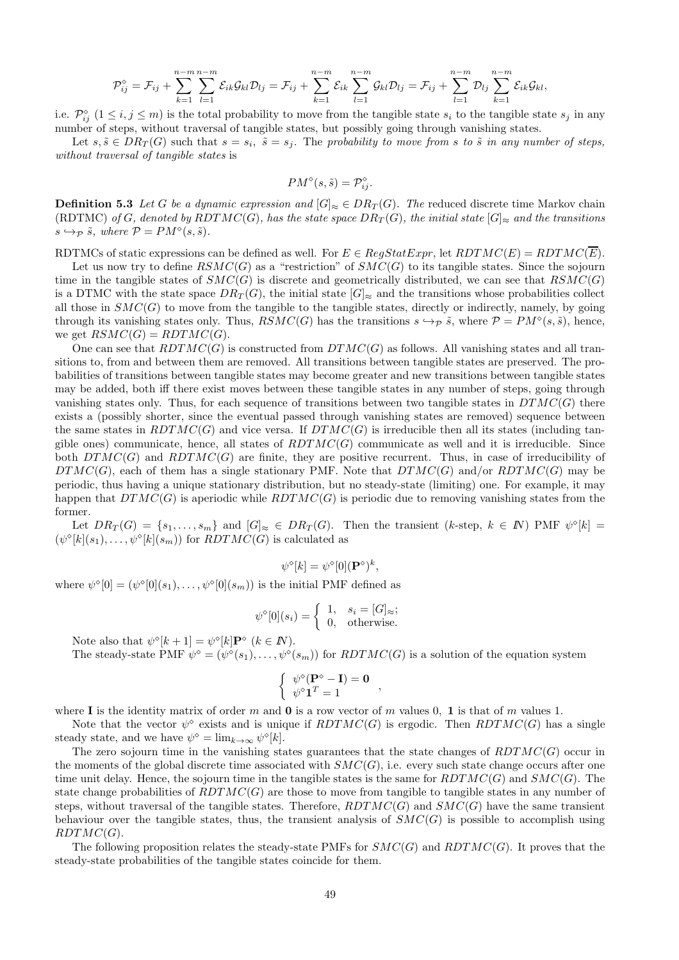$$
\mathcal{P}_{ij}^{\diamond} = \mathcal{F}_{ij} + \sum_{k=1}^{n-m} \sum_{l=1}^{n-m} \mathcal{E}_{ik} \mathcal{G}_{kl} \mathcal{D}_{lj} = \mathcal{F}_{ij} + \sum_{k=1}^{n-m} \mathcal{E}_{ik} \sum_{l=1}^{n-m} \mathcal{G}_{kl} \mathcal{D}_{lj} = \mathcal{F}_{ij} + \sum_{l=1}^{n-m} \mathcal{D}_{lj} \sum_{k=1}^{n-m} \mathcal{E}_{ik} \mathcal{G}_{kl},
$$

i.e.  $\mathcal{P}_{ij}^{\diamond}$   $(1 \leq i, j \leq m)$  is the total probability to move from the tangible state  $s_i$  to the tangible state  $s_j$  in any number of steps, without traversal of tangible states, but possibly going through vanishing states.

Let  $s, \tilde{s} \in DR_T(G)$  such that  $s = s_i$ ,  $\tilde{s} = s_j$ . The probability to move from s to  $\tilde{s}$  in any number of steps, without traversal of tangible states is

$$
PM^{\diamond}(s,\tilde{s}) = \mathcal{P}_{ij}^{\diamond}.
$$

**Definition 5.3** Let G be a dynamic expression and  $[G]_{\approx} \in DR_T(G)$ . The reduced discrete time Markov chain (RDTMC) of G, denoted by RDTMC(G), has the state space  $DR_T(G)$ , the initial state  $[G]_{\approx}$  and the transitions  $s \hookrightarrow_{\mathcal{P}} \tilde{s}$ , where  $\mathcal{P} = PM^{\diamond}(s, \tilde{s})$ .

RDTMCs of static expressions can be defined as well. For  $E \in RegStatexpr$ , let  $RDTMC(E) = RDTMC(E)$ .

Let us now try to define  $\mathit{RSMC}(G)$  as a "restriction" of  $\mathit{SMC}(G)$  to its tangible states. Since the sojourn time in the tangible states of  $SMC(G)$  is discrete and geometrically distributed, we can see that  $RSMC(G)$ is a DTMC with the state space  $DR_T(G)$ , the initial state  $|G|_{\approx}$  and the transitions whose probabilities collect all those in  $SMC(G)$  to move from the tangible to the tangible states, directly or indirectly, namely, by going through its vanishing states only. Thus,  $\text{RSMC}(G)$  has the transitions  $s \hookrightarrow_{\mathcal{P}} \tilde{s}$ , where  $\mathcal{P} = \text{PM}^{\diamond}(s, \tilde{s})$ , hence, we get  $\mathit{RSMC}(G) = \mathit{RDTMC}(G)$ .

One can see that  $RDTMC(G)$  is constructed from  $DTMC(G)$  as follows. All vanishing states and all transitions to, from and between them are removed. All transitions between tangible states are preserved. The probabilities of transitions between tangible states may become greater and new transitions between tangible states may be added, both iff there exist moves between these tangible states in any number of steps, going through vanishing states only. Thus, for each sequence of transitions between two tangible states in  $DTMC(G)$  there exists a (possibly shorter, since the eventual passed through vanishing states are removed) sequence between the same states in  $RDTMC(G)$  and vice versa. If  $DTMC(G)$  is irreducible then all its states (including tangible ones) communicate, hence, all states of  $RDTMC(G)$  communicate as well and it is irreducible. Since both  $DTMC(G)$  and  $RDTMC(G)$  are finite, they are positive recurrent. Thus, in case of irreducibility of  $DTMC(G)$ , each of them has a single stationary PMF. Note that  $DTMC(G)$  and/or  $RDTMC(G)$  may be periodic, thus having a unique stationary distribution, but no steady-state (limiting) one. For example, it may happen that  $DTMC(G)$  is aperiodic while  $RDTMC(G)$  is periodic due to removing vanishing states from the former.

Let  $DR_T(G) = \{s_1, \ldots, s_m\}$  and  $[G]_\approx \in DR_T(G)$ . Then the transient  $(k\text{-step}, k \in \mathbb{N})$  PMF  $\psi^{\diamond}[k] =$  $(\psi^{\diamond}[k](s_1), \ldots, \psi^{\diamond}[k](s_m))$  for  $RDTMC(G)$  is calculated as

$$
\psi^{\diamond}[k] = \psi^{\diamond}[0](\mathbf{P}^{\diamond})^k,
$$

where  $\psi^{\diamond}[0] = (\psi^{\diamond}[0](s_1), \dots, \psi^{\diamond}[0](s_m))$  is the initial PMF defined as

$$
\psi^{\diamond}[0](s_i) = \begin{cases} 1, & s_i = [G]_{\approx}; \\ 0, & \text{otherwise.} \end{cases}
$$

Note also that  $\psi^{\diamond}[k+1] = \psi^{\diamond}[k] \mathbf{P}^{\diamond}$   $(k \in \mathbb{N})$ . The steady-state PMF  $\psi^{\diamond} = (\psi^{\diamond}(s_1), \dots, \psi^{\diamond}(s_m))$  for  $RDTMC(G)$  is a solution of the equation system

$$
\left\{ \begin{array}{c} \psi^{\diamond}(\mathbf{P}^{\diamond}-\mathbf{I})=\mathbf{0} \\ \psi^{\diamond}\mathbf{1}^T=1 \end{array} \right.,
$$

where **I** is the identity matrix of order m and **0** is a row vector of m values 0, **1** is that of m values 1.

Note that the vector  $\psi^{\diamond}$  exists and is unique if  $RDTMC(G)$  is ergodic. Then  $RDTMC(G)$  has a single steady state, and we have  $\psi^{\diamond} = \lim_{k \to \infty} \psi^{\diamond}[k]$ .

The zero sojourn time in the vanishing states guarantees that the state changes of  $RDTMC(G)$  occur in the moments of the global discrete time associated with  $SMC(G)$ , i.e. every such state change occurs after one time unit delay. Hence, the sojourn time in the tangible states is the same for  $RDTMC(G)$  and  $SMC(G)$ . The state change probabilities of  $RDTMC(G)$  are those to move from tangible to tangible states in any number of steps, without traversal of the tangible states. Therefore,  $RDTMC(G)$  and  $SMC(G)$  have the same transient behaviour over the tangible states, thus, the transient analysis of  $SMC(G)$  is possible to accomplish using  $RDTMC(G)$ .

The following proposition relates the steady-state PMFs for  $SMC(G)$  and  $RDTMC(G)$ . It proves that the steady-state probabilities of the tangible states coincide for them.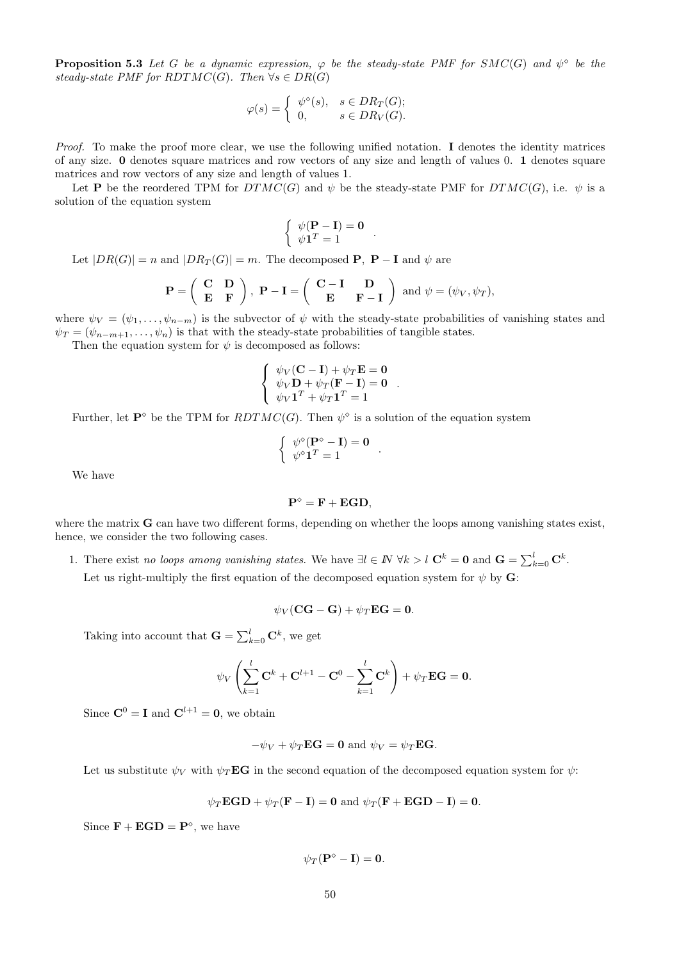**Proposition 5.3** Let G be a dynamic expression,  $\varphi$  be the steady-state PMF for SMC(G) and  $\psi^{\diamond}$  be the steady-state PMF for RDTMC(G). Then  $\forall s \in DR(G)$ 

$$
\varphi(s) = \begin{cases} \psi^{\diamond}(s), & s \in DR_T(G); \\ 0, & s \in DR_V(G). \end{cases}
$$

Proof. To make the proof more clear, we use the following unified notation. I denotes the identity matrices of any size. 0 denotes square matrices and row vectors of any size and length of values 0. 1 denotes square matrices and row vectors of any size and length of values 1.

Let **P** be the reordered TPM for  $DTMC(G)$  and  $\psi$  be the steady-state PMF for  $DTMC(G)$ , i.e.  $\psi$  is a solution of the equation system

$$
\left\{ \begin{array}{c} \psi(\mathbf{P} - \mathbf{I}) = \mathbf{0} \\ \psi \mathbf{1}^T = 1 \end{array} \right. .
$$

Let  $|DR(G)| = n$  and  $|DR_T(G)| = m$ . The decomposed **P**, **P** – **I** and  $\psi$  are

$$
\mathbf{P} = \begin{pmatrix} \mathbf{C} & \mathbf{D} \\ \mathbf{E} & \mathbf{F} \end{pmatrix}, \ \mathbf{P} - \mathbf{I} = \begin{pmatrix} \mathbf{C} - \mathbf{I} & \mathbf{D} \\ \mathbf{E} & \mathbf{F} - \mathbf{I} \end{pmatrix} \text{ and } \psi = (\psi_V, \psi_T),
$$

where  $\psi_V = (\psi_1, \dots, \psi_{n-m})$  is the subvector of  $\psi$  with the steady-state probabilities of vanishing states and  $\psi_T = (\psi_{n-m+1}, \dots, \psi_n)$  is that with the steady-state probabilities of tangible states.

Then the equation system for  $\psi$  is decomposed as follows:

$$
\left\{\begin{array}{c} \psi_V(\mathbf{C}-\mathbf{I})+\psi_T\mathbf{E}=\mathbf{0}\\ \psi_V\mathbf{D}+\psi_T(\mathbf{F}-\mathbf{I})=\mathbf{0}\\ \psi_V\mathbf{1}^T+\psi_T\mathbf{1}^T=1 \end{array}\right.
$$

.

Further, let  $\mathbf{P}^{\diamond}$  be the TPM for  $RDTMC(G)$ . Then  $\psi^{\diamond}$  is a solution of the equation system

$$
\left\{ \begin{array}{c} \psi^{\diamond}(\mathbf{P}^{\diamond}-\mathbf{I})=\mathbf{0} \\ \psi^{\diamond}\mathbf{1}^T=1 \end{array} \right..
$$

We have

$$
\mathbf{P}^\diamond = \mathbf{F} + \mathbf{EGD},
$$

where the matrix **G** can have two different forms, depending on whether the loops among vanishing states exist, hence, we consider the two following cases.

1. There exist no loops among vanishing states. We have  $\exists l \in \mathbb{N} \ \forall k > l \ \mathbf{C}^k = \mathbf{0}$  and  $\mathbf{G} = \sum_{k=0}^{l} \mathbf{C}^k$ .

Let us right-multiply the first equation of the decomposed equation system for  $\psi$  by G:

$$
\psi_V(\mathbf{CG}-\mathbf{G})+\psi_T\mathbf{EG}=\mathbf{0}.
$$

Taking into account that  $\mathbf{G} = \sum_{k=0}^{l} \mathbf{C}^k$ , we get

$$
\psi_V \left( \sum_{k=1}^l \mathbf{C}^k + \mathbf{C}^{l+1} - \mathbf{C}^0 - \sum_{k=1}^l \mathbf{C}^k \right) + \psi_T \mathbf{E} \mathbf{G} = \mathbf{0}.
$$

Since  $\mathbf{C}^0 = \mathbf{I}$  and  $\mathbf{C}^{l+1} = \mathbf{0}$ , we obtain

$$
-\psi_V + \psi_T \mathbf{EG} = \mathbf{0} \text{ and } \psi_V = \psi_T \mathbf{EG}.
$$

Let us substitute  $\psi_V$  with  $\psi_T \mathbf{E} \mathbf{G}$  in the second equation of the decomposed equation system for  $\psi$ :

$$
\psi_T \mathbf{EGD} + \psi_T (\mathbf{F} - \mathbf{I}) = \mathbf{0} \text{ and } \psi_T (\mathbf{F} + \mathbf{EGD} - \mathbf{I}) = \mathbf{0}.
$$

Since  $\mathbf{F} + \mathbf{EGD} = \mathbf{P}^{\diamond}$ , we have

$$
\psi_T(\mathbf{P}^\diamond-\mathbf{I})=\mathbf{0}.
$$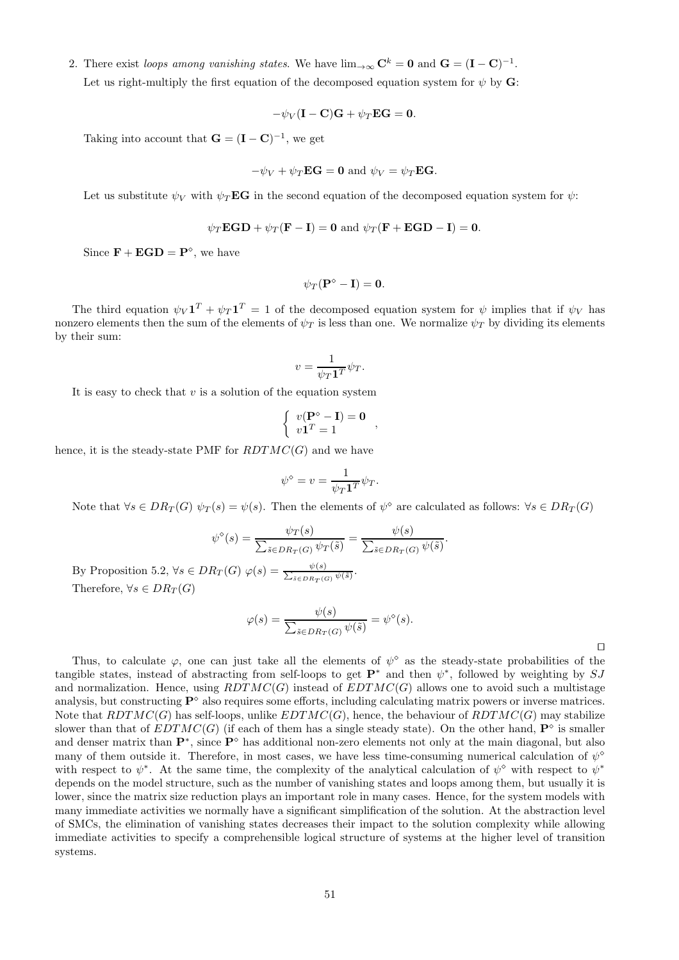2. There exist loops among vanishing states. We have  $\lim_{\to\infty} C^k = 0$  and  $G = (I - C)^{-1}$ . Let us right-multiply the first equation of the decomposed equation system for  $\psi$  by G:

$$
-\psi_V(\mathbf{I}-\mathbf{C})\mathbf{G}+\psi_T\mathbf{E}\mathbf{G}=\mathbf{0}.
$$

Taking into account that  $\mathbf{G} = (\mathbf{I} - \mathbf{C})^{-1}$ , we get

$$
-\psi_V + \psi_T \mathbf{EG} = \mathbf{0} \text{ and } \psi_V = \psi_T \mathbf{EG}.
$$

Let us substitute  $\psi_V$  with  $\psi_T$ **EG** in the second equation of the decomposed equation system for  $\psi$ :

$$
\psi_T \mathbf{EGD} + \psi_T (\mathbf{F} - \mathbf{I}) = \mathbf{0} \text{ and } \psi_T (\mathbf{F} + \mathbf{EGD} - \mathbf{I}) = \mathbf{0}.
$$

Since  $\mathbf{F} + \mathbf{EGD} = \mathbf{P}^{\diamond}$ , we have

$$
\psi_T(\mathbf{P}^\diamond-\mathbf{I})=\mathbf{0}.
$$

The third equation  $\psi_V \mathbf{1}^T + \psi_T \mathbf{1}^T = 1$  of the decomposed equation system for  $\psi$  implies that if  $\psi_V$  has nonzero elements then the sum of the elements of  $\psi_T$  is less than one. We normalize  $\psi_T$  by dividing its elements by their sum:

$$
v = \frac{1}{\psi_T \mathbf{1}^T} \psi_T.
$$

It is easy to check that  $v$  is a solution of the equation system

$$
\begin{cases}\nv(\mathbf{P}^{\diamond} - \mathbf{I}) = \mathbf{0} \\
v\mathbf{1}^T = 1\n\end{cases}
$$

hence, it is the steady-state PMF for  $RDTMC(G)$  and we have

$$
\psi^{\diamond} = v = \frac{1}{\psi_T \mathbf{1}^T} \psi_T.
$$

Note that  $\forall s \in DR_T(G) \psi_T(s) = \psi(s)$ . Then the elements of  $\psi^{\diamond}$  are calculated as follows:  $\forall s \in DR_T(G)$ 

$$
\psi^{\diamond}(s) = \frac{\psi_T(s)}{\sum_{\tilde{s} \in DR_T(G)} \psi_T(\tilde{s})} = \frac{\psi(s)}{\sum_{\tilde{s} \in DR_T(G)} \psi(\tilde{s})}.
$$

By Proposition 5.2,  $\forall s \in DR_T(G)$   $\varphi(s) = \frac{\psi(s)}{\sum_{s \in RR} \psi(s)}$  $\frac{\psi(s)}{\tilde{s} \in DR_T(G)} \cdot \frac{\psi(\tilde{s})}{\psi(\tilde{s})}$ . Therefore,  $\forall s \in DR_T(G)$ 

$$
\varphi(s) = \frac{\psi(s)}{\sum_{\tilde{s} \in DR_T(G)} \psi(\tilde{s})} = \psi^{\diamond}(s).
$$

⊓⊔

Thus, to calculate  $\varphi$ , one can just take all the elements of  $\psi^{\diamond}$  as the steady-state probabilities of the tangible states, instead of abstracting from self-loops to get  $\mathbf{P}^*$  and then  $\psi^*$ , followed by weighting by  $SJ$ and normalization. Hence, using  $RDTMC(G)$  instead of  $EDTMC(G)$  allows one to avoid such a multistage analysis, but constructing  $\mathbf{P}^{\diamond}$  also requires some efforts, including calculating matrix powers or inverse matrices. Note that  $RDTMC(G)$  has self-loops, unlike  $EDTMC(G)$ , hence, the behaviour of  $RDTMC(G)$  may stabilize slower than that of  $EDTMC(G)$  (if each of them has a single steady state). On the other hand,  $\mathbf{P}^{\diamond}$  is smaller and denser matrix than P<sup>∗</sup>, since P<sup>◇</sup> has additional non-zero elements not only at the main diagonal, but also many of them outside it. Therefore, in most cases, we have less time-consuming numerical calculation of  $\psi^{\diamond}$ with respect to  $\psi^*$ . At the same time, the complexity of the analytical calculation of  $\psi^*$  with respect to  $\psi^*$ depends on the model structure, such as the number of vanishing states and loops among them, but usually it is lower, since the matrix size reduction plays an important role in many cases. Hence, for the system models with many immediate activities we normally have a significant simplification of the solution. At the abstraction level of SMCs, the elimination of vanishing states decreases their impact to the solution complexity while allowing immediate activities to specify a comprehensible logical structure of systems at the higher level of transition systems.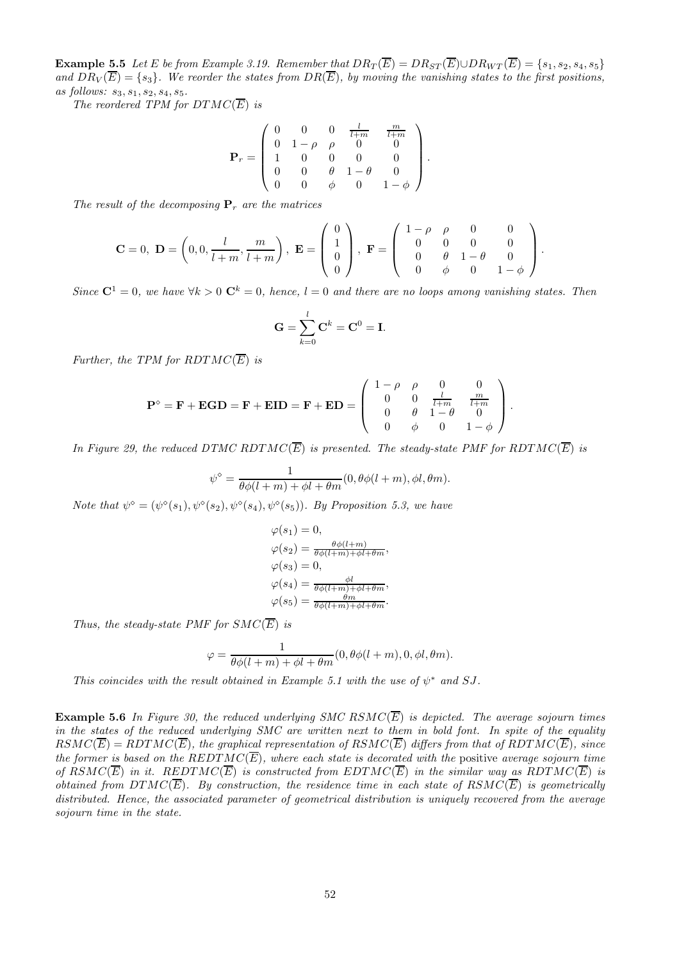**Example 5.5** Let E be from Example 3.19. Remember that  $DR_T(\overline{E}) = DR_{ST}(\overline{E}) \cup DR_{WT}(\overline{E}) = \{s_1, s_2, s_4, s_5\}$ and  $DR_V(\overline{E}) = \{s_3\}.$  We reorder the states from  $DR(\overline{E})$ , by moving the vanishing states to the first positions, as follows:  $s_3, s_1, s_2, s_4, s_5$ .

The reordered TPM for  $DTMC(\overline{E})$  is

$$
\mathbf{P}_r = \left(\begin{array}{cccccc} 0 & 0 & 0 & \frac{l}{l+m} & \frac{m}{l+m} \\ 0 & 1-\rho & \rho & 0 & 0 \\ 1 & 0 & 0 & 0 & 0 \\ 0 & 0 & \theta & 1-\theta & 0 \\ 0 & 0 & \phi & 0 & 1-\phi \end{array}\right).
$$

The result of the decomposing  $P_r$  are the matrices

$$
\mathbf{C} = 0, \ \mathbf{D} = \left(0, 0, \frac{l}{l+m}, \frac{m}{l+m}\right), \ \mathbf{E} = \left(\begin{array}{c}0\\1\\0\\0\end{array}\right), \ \mathbf{F} = \left(\begin{array}{cccc}1-\rho & \rho & 0 & 0\\0 & 0 & 0 & 0\\0 & \theta & 1-\theta & 0\\0 & \phi & 0 & 1-\phi\end{array}\right).
$$

Since  $\mathbf{C}^1 = 0$ , we have  $\forall k > 0$   $\mathbf{C}^k = 0$ , hence,  $l = 0$  and there are no loops among vanishing states. Then

$$
\mathbf{G} = \sum_{k=0}^{l} \mathbf{C}^{k} = \mathbf{C}^{0} = \mathbf{I}.
$$

Further, the TPM for  $RDTMC(\overline{E})$  is

$$
\mathbf{P}^{\diamond} = \mathbf{F} + \mathbf{EGD} = \mathbf{F} + \mathbf{EID} = \mathbf{F} + \mathbf{ED} = \begin{pmatrix} 1 - \rho & \rho & 0 & 0 \\ 0 & 0 & \frac{l}{l+m} & \frac{m}{l+m} \\ 0 & \theta & 1 - \theta & 0 \\ 0 & \phi & 0 & 1 - \phi \end{pmatrix}.
$$

In Figure 29, the reduced DTMC RDTMC( $\overline{E}$ ) is presented. The steady-state PMF for RDTMC( $\overline{E}$ ) is

$$
\psi^{\diamond} = \frac{1}{\theta \phi(l+m) + \phi l + \theta m}(0, \theta \phi(l+m), \phi l, \theta m).
$$

Note that  $\psi^{\diamond} = (\psi^{\diamond}(s_1), \psi^{\diamond}(s_2), \psi^{\diamond}(s_4), \psi^{\diamond}(s_5))$ . By Proposition 5.3, we have

$$
\varphi(s_1) = 0,
$$
  
\n
$$
\varphi(s_2) = \frac{\theta \phi(l+m)}{\theta \phi(l+m) + \phi l + \theta m},
$$
  
\n
$$
\varphi(s_3) = 0,
$$
  
\n
$$
\varphi(s_4) = \frac{\phi l}{\theta \phi(l+m) + \phi l + \theta m},
$$
  
\n
$$
\varphi(s_5) = \frac{\theta m}{\theta \phi(l+m) + \phi l + \theta m}.
$$

Thus, the steady-state PMF for  $SMC(\overline{E})$  is

$$
\varphi = \frac{1}{\theta \phi(l+m) + \phi l + \theta m}(0, \theta \phi(l+m), 0, \phi l, \theta m).
$$

This coincides with the result obtained in Example 5.1 with the use of  $\psi^*$  and SJ.

**Example 5.6** In Figure 30, the reduced underlying SMC RSMC( $\overline{E}$ ) is depicted. The average sojourn times in the states of the reduced underlying SMC are written next to them in bold font. In spite of the equality  $RSMC(\overline{E}) = RDTMC(\overline{E})$ , the graphical representation of  $RSMC(\overline{E})$  differs from that of  $RDTMC(\overline{E})$ , since the former is based on the REDTMC( $\overline{E}$ ), where each state is decorated with the positive average sojourn time of RSMC( $\overline{E}$ ) in it. REDTMC( $\overline{E}$ ) is constructed from EDTMC( $\overline{E}$ ) in the similar way as RDTMC( $\overline{E}$ ) is obtained from DTMC( $\overline{E}$ ). By construction, the residence time in each state of RSMC( $\overline{E}$ ) is geometrically distributed. Hence, the associated parameter of geometrical distribution is uniquely recovered from the average sojourn time in the state.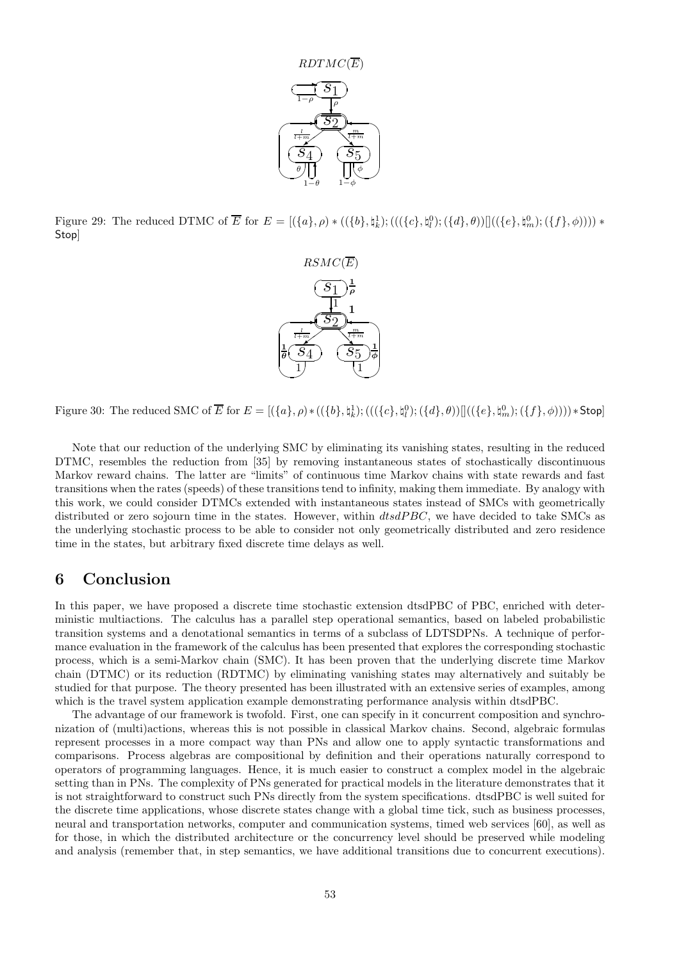

Figure 29: The reduced DTMC of  $\overline{E}$  for  $E = [(\lbrace a \rbrace, \rho) * ((\lbrace b \rbrace, \natural_k^1); (((\lbrace c \rbrace, \natural_l^0); (\lbrace d \rbrace, \theta))]((\lbrace e \rbrace, \natural_m^0); (\lbrace f \rbrace, \phi)))) *$ Stop]



Figure 30: The reduced SMC of  $\overline{E}$  for  $E = [(\{a\}, \rho) * ((\{b\}, \natural_k^1); (((\{c\}, \natural_l^0); (\{d\}, \theta))]((\{e\}, \natural_m^0); (\{f\}, \phi)))) * Stop]$ 

Note that our reduction of the underlying SMC by eliminating its vanishing states, resulting in the reduced DTMC, resembles the reduction from [35] by removing instantaneous states of stochastically discontinuous Markov reward chains. The latter are "limits" of continuous time Markov chains with state rewards and fast transitions when the rates (speeds) of these transitions tend to infinity, making them immediate. By analogy with this work, we could consider DTMCs extended with instantaneous states instead of SMCs with geometrically distributed or zero sojourn time in the states. However, within  $dtsdPBC$ , we have decided to take SMCs as the underlying stochastic process to be able to consider not only geometrically distributed and zero residence time in the states, but arbitrary fixed discrete time delays as well.

# 6 Conclusion

In this paper, we have proposed a discrete time stochastic extension dtsdPBC of PBC, enriched with deterministic multiactions. The calculus has a parallel step operational semantics, based on labeled probabilistic transition systems and a denotational semantics in terms of a subclass of LDTSDPNs. A technique of performance evaluation in the framework of the calculus has been presented that explores the corresponding stochastic process, which is a semi-Markov chain (SMC). It has been proven that the underlying discrete time Markov chain (DTMC) or its reduction (RDTMC) by eliminating vanishing states may alternatively and suitably be studied for that purpose. The theory presented has been illustrated with an extensive series of examples, among which is the travel system application example demonstrating performance analysis within dtsdPBC.

The advantage of our framework is twofold. First, one can specify in it concurrent composition and synchronization of (multi)actions, whereas this is not possible in classical Markov chains. Second, algebraic formulas represent processes in a more compact way than PNs and allow one to apply syntactic transformations and comparisons. Process algebras are compositional by definition and their operations naturally correspond to operators of programming languages. Hence, it is much easier to construct a complex model in the algebraic setting than in PNs. The complexity of PNs generated for practical models in the literature demonstrates that it is not straightforward to construct such PNs directly from the system specifications. dtsdPBC is well suited for the discrete time applications, whose discrete states change with a global time tick, such as business processes, neural and transportation networks, computer and communication systems, timed web services [60], as well as for those, in which the distributed architecture or the concurrency level should be preserved while modeling and analysis (remember that, in step semantics, we have additional transitions due to concurrent executions).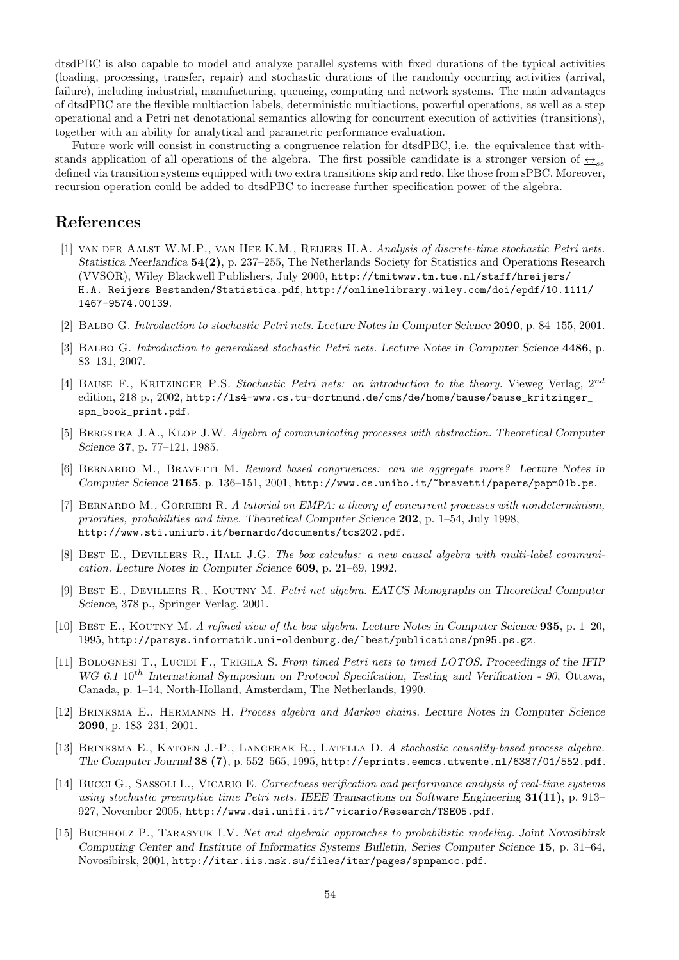dtsdPBC is also capable to model and analyze parallel systems with fixed durations of the typical activities (loading, processing, transfer, repair) and stochastic durations of the randomly occurring activities (arrival, failure), including industrial, manufacturing, queueing, computing and network systems. The main advantages of dtsdPBC are the flexible multiaction labels, deterministic multiactions, powerful operations, as well as a step operational and a Petri net denotational semantics allowing for concurrent execution of activities (transitions), together with an ability for analytical and parametric performance evaluation.

Future work will consist in constructing a congruence relation for dtsdPBC, i.e. the equivalence that withstands application of all operations of the algebra. The first possible candidate is a stronger version of  $\leftrightarrow$ <sub>ss</sub> defined via transition systems equipped with two extra transitions skip and redo, like those from sPBC. Moreover, recursion operation could be added to dtsdPBC to increase further specification power of the algebra.

# References

- [1] van der Aalst W.M.P., van Hee K.M., Reijers H.A. Analysis of discrete-time stochastic Petri nets. Statistica Neerlandica 54(2), p. 237–255, The Netherlands Society for Statistics and Operations Research (VVSOR), Wiley Blackwell Publishers, July 2000, http://tmitwww.tm.tue.nl/staff/hreijers/ H.A. Reijers Bestanden/Statistica.pdf, http://onlinelibrary.wiley.com/doi/epdf/10.1111/ 1467-9574.00139.
- [2] Balbo G. Introduction to stochastic Petri nets. Lecture Notes in Computer Science 2090, p. 84–155, 2001.
- [3] BALBO G. Introduction to generalized stochastic Petri nets. Lecture Notes in Computer Science 4486, p. 83–131, 2007.
- [4] BAUSE F., KRITZINGER P.S. Stochastic Petri nets: an introduction to the theory. Vieweg Verlag,  $2^{nd}$ edition, 218 p., 2002, http://ls4-www.cs.tu-dortmund.de/cms/de/home/bause/bause\_kritzinger\_ spn\_book\_print.pdf.
- [5] Bergstra J.A., Klop J.W. Algebra of communicating processes with abstraction. Theoretical Computer Science 37, p. 77–121, 1985.
- [6] BERNARDO M., BRAVETTI M. Reward based congruences: can we aggregate more? Lecture Notes in Computer Science 2165, p. 136–151, 2001, http://www.cs.unibo.it/~bravetti/papers/papm01b.ps.
- [7] BERNARDO M., GORRIERI R. A tutorial on EMPA: a theory of concurrent processes with nondeterminism, priorities, probabilities and time. Theoretical Computer Science 202, p. 1–54, July 1998, http://www.sti.uniurb.it/bernardo/documents/tcs202.pdf.
- [8] BEST E., DEVILLERS R., HALL J.G. The box calculus: a new causal algebra with multi-label communication. Lecture Notes in Computer Science 609, p. 21–69, 1992.
- [9] BEST E., DEVILLERS R., KOUTNY M. Petri net algebra. EATCS Monographs on Theoretical Computer Science, 378 p., Springer Verlag, 2001.
- [10] Best E., Koutny M. A refined view of the box algebra. Lecture Notes in Computer Science 935, p. 1–20, 1995, http://parsys.informatik.uni-oldenburg.de/~best/publications/pn95.ps.gz.
- [11] BOLOGNESI T., LUCIDI F., TRIGILA S. From timed Petri nets to timed LOTOS. Proceedings of the IFIP WG 6.1  $10^{th}$  International Symposium on Protocol Specification, Testing and Verification - 90, Ottawa, Canada, p. 1–14, North-Holland, Amsterdam, The Netherlands, 1990.
- [12] Brinksma E., Hermanns H. Process algebra and Markov chains. Lecture Notes in Computer Science 2090, p. 183–231, 2001.
- [13] BRINKSMA E., KATOEN J.-P., LANGERAK R., LATELLA D. A stochastic causality-based process algebra. The Computer Journal 38 (7), p. 552–565, 1995, http://eprints.eemcs.utwente.nl/6387/01/552.pdf.
- [14] BUCCI G., SASSOLI L., VICARIO E. Correctness verification and performance analysis of real-time systems using stochastic preemptive time Petri nets. IEEE Transactions on Software Engineering  $31(11)$ , p. 913– 927, November 2005, http://www.dsi.unifi.it/~vicario/Research/TSE05.pdf.
- [15] Buchholz P., Tarasyuk I.V. Net and algebraic approaches to probabilistic modeling. Joint Novosibirsk Computing Center and Institute of Informatics Systems Bulletin, Series Computer Science 15, p. 31–64, Novosibirsk, 2001, http://itar.iis.nsk.su/files/itar/pages/spnpancc.pdf.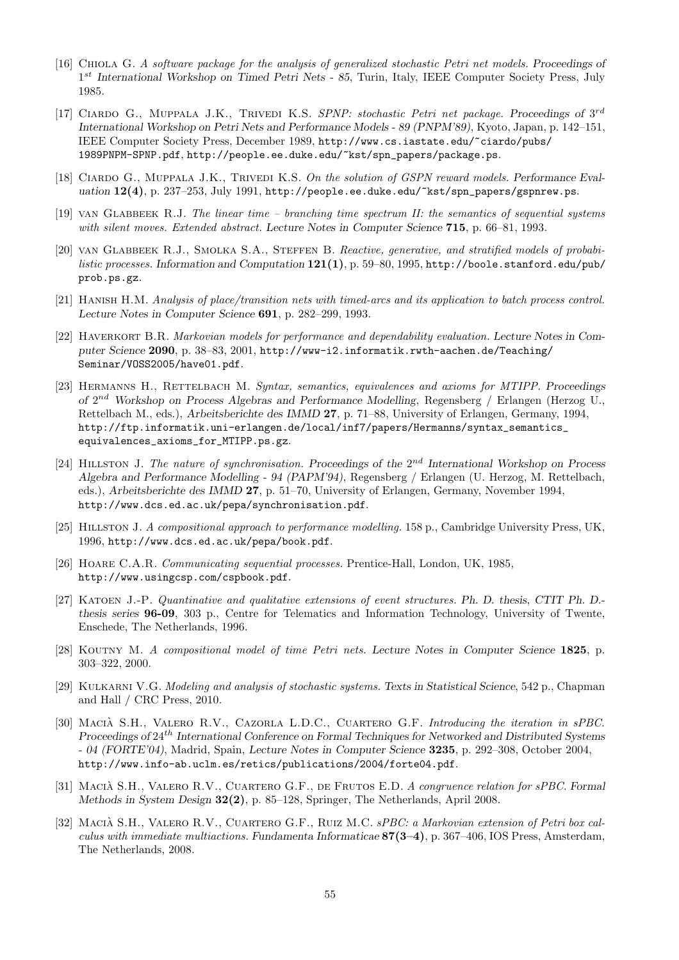- [16] Chiola G. A software package for the analysis of generalized stochastic Petri net models. Proceedings of 1<sup>st</sup> International Workshop on Timed Petri Nets - 85, Turin, Italy, IEEE Computer Society Press, July 1985.
- [17] CIARDO G., MUPPALA J.K., TRIVEDI K.S. SPNP: stochastic Petri net package. Proceedings of  $3^{rd}$ International Workshop on Petri Nets and Performance Models - 89 (PNPM'89), Kyoto, Japan, p. 142–151, IEEE Computer Society Press, December 1989, http://www.cs.iastate.edu/~ciardo/pubs/ 1989PNPM-SPNP.pdf, http://people.ee.duke.edu/~kst/spn\_papers/package.ps.
- [18] CIARDO G., MUPPALA J.K., TRIVEDI K.S. On the solution of GSPN reward models. Performance Evaluation  $12(4)$ , p. 237-253, July 1991, http://people.ee.duke.edu/~kst/spn\_papers/gspnrew.ps.
- [19] van Glabbeek R.J. The linear time branching time spectrum II: the semantics of sequential systems with silent moves. Extended abstract. Lecture Notes in Computer Science 715, p. 66–81, 1993.
- [20] VAN GLABBEEK R.J., SMOLKA S.A., STEFFEN B. Reactive, generative, and stratified models of probabilistic processes. Information and Computation  $121(1)$ , p. 59–80, 1995, http://boole.stanford.edu/pub/ prob.ps.gz.
- [21] Hanish H.M. Analysis of place/transition nets with timed-arcs and its application to batch process control. Lecture Notes in Computer Science 691, p. 282–299, 1993.
- [22] HAVERKORT B.R. Markovian models for performance and dependability evaluation. Lecture Notes in Computer Science 2090, p. 38-83, 2001, http://www-i2.informatik.rwth-aachen.de/Teaching/ Seminar/VOSS2005/have01.pdf.
- [23] HERMANNS H., RETTELBACH M. Syntax, semantics, equivalences and axioms for MTIPP. Proceedings of  $2^{nd}$  Workshop on Process Algebras and Performance Modelling, Regensberg / Erlangen (Herzog U., Rettelbach M., eds.), Arbeitsberichte des IMMD 27, p. 71–88, University of Erlangen, Germany, 1994, http://ftp.informatik.uni-erlangen.de/local/inf7/papers/Hermanns/syntax\_semantics\_ equivalences\_axioms\_for\_MTIPP.ps.gz.
- [24] HILLSTON J. The nature of synchronisation. Proceedings of the  $2^{nd}$  International Workshop on Process Algebra and Performance Modelling - 94 (PAPM'94), Regensberg / Erlangen (U. Herzog, M. Rettelbach, eds.), Arbeitsberichte des IMMD 27, p. 51–70, University of Erlangen, Germany, November 1994, http://www.dcs.ed.ac.uk/pepa/synchronisation.pdf.
- [25] Hillston J. A compositional approach to performance modelling. 158 p., Cambridge University Press, UK, 1996, http://www.dcs.ed.ac.uk/pepa/book.pdf.
- [26] Hoare C.A.R. Communicating sequential processes. Prentice-Hall, London, UK, 1985, http://www.usingcsp.com/cspbook.pdf.
- [27] Katoen J.-P. Quantinative and qualitative extensions of event structures. Ph. D. thesis, CTIT Ph. D. thesis series 96-09, 303 p., Centre for Telematics and Information Technology, University of Twente, Enschede, The Netherlands, 1996.
- [28] KOUTNY M. A compositional model of time Petri nets. Lecture Notes in Computer Science 1825, p. 303–322, 2000.
- [29] Kulkarni V.G. Modeling and analysis of stochastic systems. Texts in Statistical Science, 542 p., Chapman and Hall / CRC Press, 2010.
- [30] MACIÀ S.H., VALERO R.V., CAZORLA L.D.C., CUARTERO G.F. Introducing the iteration in sPBC. Proceedings of 24th International Conference on Formal Techniques for Networked and Distributed Systems - 04 (FORTE'04), Madrid, Spain, Lecture Notes in Computer Science 3235, p. 292–308, October 2004, http://www.info-ab.uclm.es/retics/publications/2004/forte04.pdf.
- [31] MACIÀ S.H., VALERO R.V., CUARTERO G.F., DE FRUTOS E.D. A congruence relation for sPBC. Formal Methods in System Design 32(2), p. 85–128, Springer, The Netherlands, April 2008.
- [32] MACIA S.H., VALERO R.V., CUARTERO G.F., RUIZ M.C. sPBC: a Markovian extension of Petri box calculus with immediate multiactions. Fundamenta Informaticae  $87(3-4)$ , p. 367-406, IOS Press, Amsterdam, The Netherlands, 2008.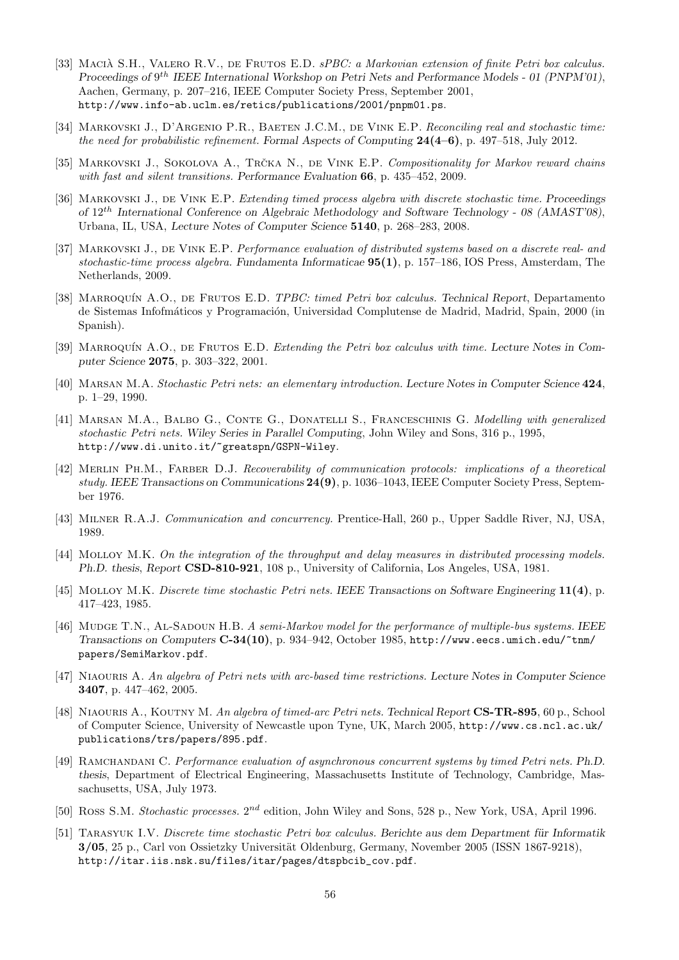- [33] MACIÀ S.H., VALERO R.V., DE FRUTOS E.D.  $sPBC: a Markovian extension of finite Petri box calculus.$ Proceedings of  $9^{th}$  IEEE International Workshop on Petri Nets and Performance Models - 01 (PNPM'01), Aachen, Germany, p. 207–216, IEEE Computer Society Press, September 2001, http://www.info-ab.uclm.es/retics/publications/2001/pnpm01.ps.
- [34] MARKOVSKI J., D'ARGENIO P.R., BAETEN J.C.M., DE VINK E.P. Reconciling real and stochastic time: the need for probabilistic refinement. Formal Aspects of Computing  $24(4-6)$ , p. 497–518, July 2012.
- [35] MARKOVSKI J., SOKOLOVA A., TRČKA N., DE VINK E.P. Compositionality for Markov reward chains with fast and silent transitions. Performance Evaluation 66, p. 435–452, 2009.
- [36] MARKOVSKI J., DE VINK E.P. Extending timed process algebra with discrete stochastic time. Proceedings of  $12^{th}$  International Conference on Algebraic Methodology and Software Technology - 08 (AMAST'08), Urbana, IL, USA, Lecture Notes of Computer Science 5140, p. 268–283, 2008.
- [37] MARKOVSKI J., DE VINK E.P. Performance evaluation of distributed systems based on a discrete real- and stochastic-time process algebra. Fundamenta Informaticae  $95(1)$ , p. 157–186, IOS Press, Amsterdam, The Netherlands, 2009.
- [38] MARROQUÍN A.O., DE FRUTOS E.D. *TPBC: timed Petri box calculus. Technical Report*, Departamento de Sistemas Infofmáticos y Programación, Universidad Complutense de Madrid, Madrid, Spain, 2000 (in Spanish).
- [39] MARROQUÍN A.O., DE FRUTOS E.D. Extending the Petri box calculus with time. Lecture Notes in Computer Science 2075, p. 303–322, 2001.
- [40] Marsan M.A. Stochastic Petri nets: an elementary introduction. Lecture Notes in Computer Science 424, p. 1–29, 1990.
- [41] MARSAN M.A., BALBO G., CONTE G., DONATELLI S., FRANCESCHINIS G. Modelling with generalized stochastic Petri nets. Wiley Series in Parallel Computing, John Wiley and Sons, 316 p., 1995, http://www.di.unito.it/~greatspn/GSPN-Wiley.
- [42] MERLIN PH.M., FARBER D.J. Recoverability of communication protocols: implications of a theoretical study. IEEE Transactions on Communications 24(9), p. 1036–1043, IEEE Computer Society Press, September 1976.
- [43] Milner R.A.J. Communication and concurrency. Prentice-Hall, 260 p., Upper Saddle River, NJ, USA, 1989.
- [44] MOLLOY M.K. On the integration of the throughput and delay measures in distributed processing models. Ph.D. thesis, Report CSD-810-921, 108 p., University of California, Los Angeles, USA, 1981.
- [45] Molloy M.K. Discrete time stochastic Petri nets. IEEE Transactions on Software Engineering 11(4), p. 417–423, 1985.
- [46] MUDGE T.N., AL-SADOUN H.B. A semi-Markov model for the performance of multiple-bus systems. IEEE Transactions on Computers C-34(10), p. 934–942, October 1985, http://www.eecs.umich.edu/~tnm/ papers/SemiMarkov.pdf.
- [47] Niaouris A. An algebra of Petri nets with arc-based time restrictions. Lecture Notes in Computer Science 3407, p. 447–462, 2005.
- [48] Niaouris A., Koutny M. An algebra of timed-arc Petri nets. Technical Report CS-TR-895, 60 p., School of Computer Science, University of Newcastle upon Tyne, UK, March 2005, http://www.cs.ncl.ac.uk/ publications/trs/papers/895.pdf.
- [49] Ramchandani C. Performance evaluation of asynchronous concurrent systems by timed Petri nets. Ph.D. thesis, Department of Electrical Engineering, Massachusetts Institute of Technology, Cambridge, Massachusetts, USA, July 1973.
- [50] Ross S.M. Stochastic processes.  $2^{nd}$  edition, John Wiley and Sons, 528 p., New York, USA, April 1996.
- [51] TARASYUK I.V. Discrete time stochastic Petri box calculus. Berichte aus dem Department für Informatik  $3/05$ , 25 p., Carl von Ossietzky Universität Oldenburg, Germany, November 2005 (ISSN 1867-9218), http://itar.iis.nsk.su/files/itar/pages/dtspbcib\_cov.pdf.